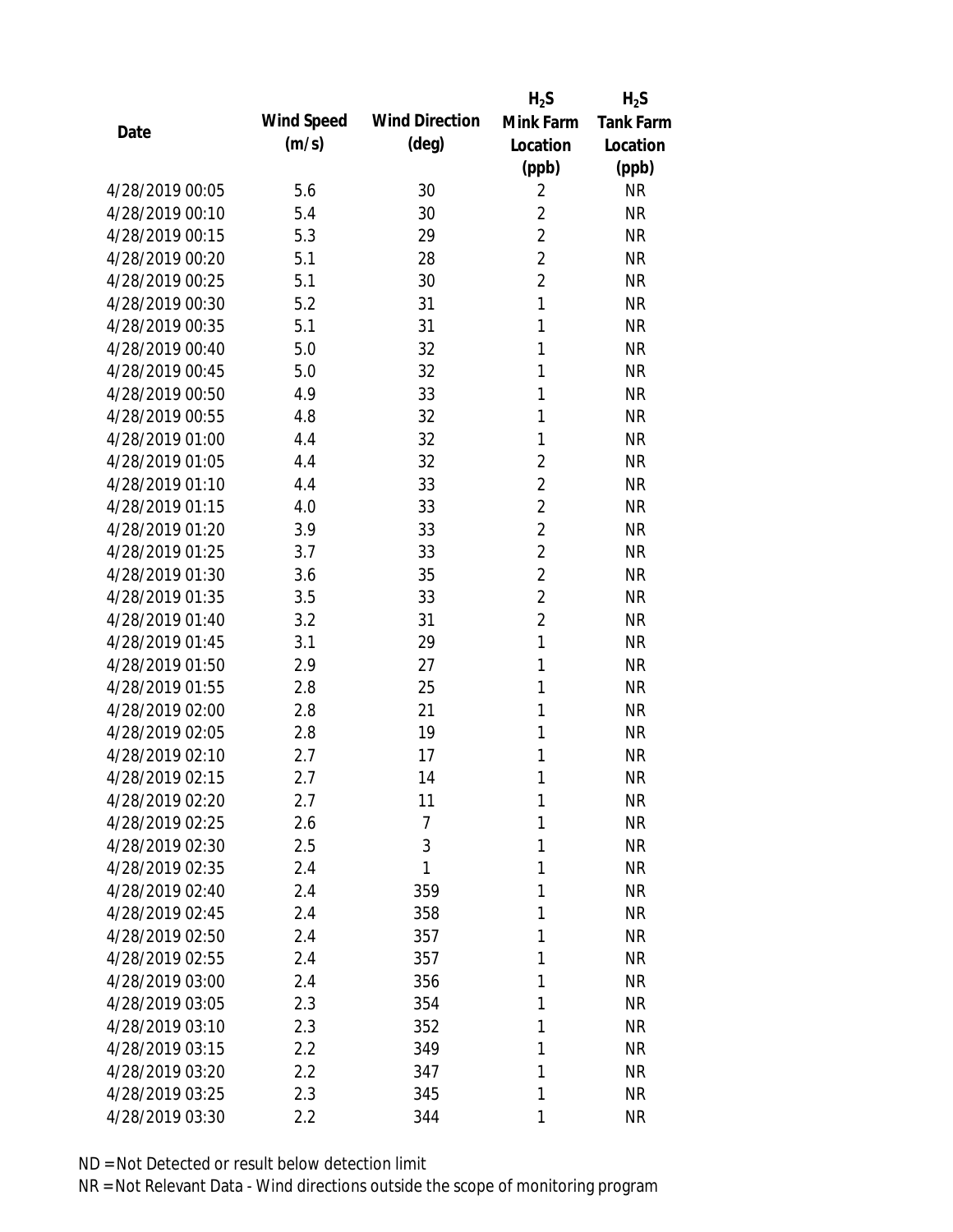|                 |            |                       | $H_2S$         | $H_2S$           |
|-----------------|------------|-----------------------|----------------|------------------|
| Date            | Wind Speed | <b>Wind Direction</b> | Mink Farm      | <b>Tank Farm</b> |
|                 | (m/s)      | $(\text{deg})$        | Location       | Location         |
|                 |            |                       | (ppb)          | (ppb)            |
| 4/28/2019 00:05 | 5.6        | 30                    | $\overline{2}$ | <b>NR</b>        |
| 4/28/2019 00:10 | 5.4        | 30                    | $\overline{2}$ | <b>NR</b>        |
| 4/28/2019 00:15 | 5.3        | 29                    | $\overline{2}$ | <b>NR</b>        |
| 4/28/2019 00:20 | 5.1        | 28                    | $\overline{2}$ | <b>NR</b>        |
| 4/28/2019 00:25 | 5.1        | 30                    | $\overline{2}$ | <b>NR</b>        |
| 4/28/2019 00:30 | 5.2        | 31                    | $\mathbf{1}$   | <b>NR</b>        |
| 4/28/2019 00:35 | 5.1        | 31                    | 1              | <b>NR</b>        |
| 4/28/2019 00:40 | 5.0        | 32                    | 1              | <b>NR</b>        |
| 4/28/2019 00:45 | 5.0        | 32                    | 1              | <b>NR</b>        |
| 4/28/2019 00:50 | 4.9        | 33                    | 1              | <b>NR</b>        |
| 4/28/2019 00:55 | 4.8        | 32                    | 1              | <b>NR</b>        |
| 4/28/2019 01:00 | 4.4        | 32                    | 1              | <b>NR</b>        |
| 4/28/2019 01:05 | 4.4        | 32                    | $\overline{2}$ | <b>NR</b>        |
| 4/28/2019 01:10 | 4.4        | 33                    | $\overline{2}$ | <b>NR</b>        |
| 4/28/2019 01:15 | 4.0        | 33                    | $\overline{2}$ | <b>NR</b>        |
| 4/28/2019 01:20 | 3.9        | 33                    | $\overline{2}$ | <b>NR</b>        |
| 4/28/2019 01:25 | 3.7        | 33                    | $\overline{2}$ | <b>NR</b>        |
| 4/28/2019 01:30 | 3.6        | 35                    | $\overline{2}$ | <b>NR</b>        |
| 4/28/2019 01:35 | 3.5        | 33                    | $\overline{2}$ | <b>NR</b>        |
| 4/28/2019 01:40 | 3.2        | 31                    | $\overline{2}$ | <b>NR</b>        |
| 4/28/2019 01:45 | 3.1        | 29                    | $\mathbf{1}$   | <b>NR</b>        |
| 4/28/2019 01:50 | 2.9        | 27                    | 1              | <b>NR</b>        |
| 4/28/2019 01:55 | 2.8        | 25                    | 1              | <b>NR</b>        |
| 4/28/2019 02:00 | 2.8        | 21                    | 1              | <b>NR</b>        |
| 4/28/2019 02:05 | 2.8        | 19                    | 1              | <b>NR</b>        |
| 4/28/2019 02:10 | 2.7        | 17                    | 1              | <b>NR</b>        |
| 4/28/2019 02:15 | 2.7        | 14                    | 1              | <b>NR</b>        |
| 4/28/2019 02:20 | 2.7        | 11                    | 1              | <b>NR</b>        |
| 4/28/2019 02:25 | 2.6        | 7                     | 1              | <b>NR</b>        |
| 4/28/2019 02:30 | 2.5        | 3                     | 1              | <b>NR</b>        |
| 4/28/2019 02:35 | 2.4        | 1                     | 1              | <b>NR</b>        |
| 4/28/2019 02:40 | 2.4        | 359                   | 1              | <b>NR</b>        |
| 4/28/2019 02:45 | 2.4        | 358                   | 1              | <b>NR</b>        |
| 4/28/2019 02:50 | 2.4        | 357                   | 1              | <b>NR</b>        |
| 4/28/2019 02:55 | 2.4        | 357                   | 1              | <b>NR</b>        |
| 4/28/2019 03:00 | 2.4        | 356                   | 1              | <b>NR</b>        |
| 4/28/2019 03:05 | 2.3        | 354                   | 1              | <b>NR</b>        |
| 4/28/2019 03:10 | 2.3        | 352                   | 1              | NR               |
| 4/28/2019 03:15 | 2.2        | 349                   | 1              | NR               |
| 4/28/2019 03:20 | 2.2        | 347                   | 1              | NR               |
| 4/28/2019 03:25 | 2.3        | 345                   | 1              | <b>NR</b>        |
| 4/28/2019 03:30 | 2.2        | 344                   | 1              | <b>NR</b>        |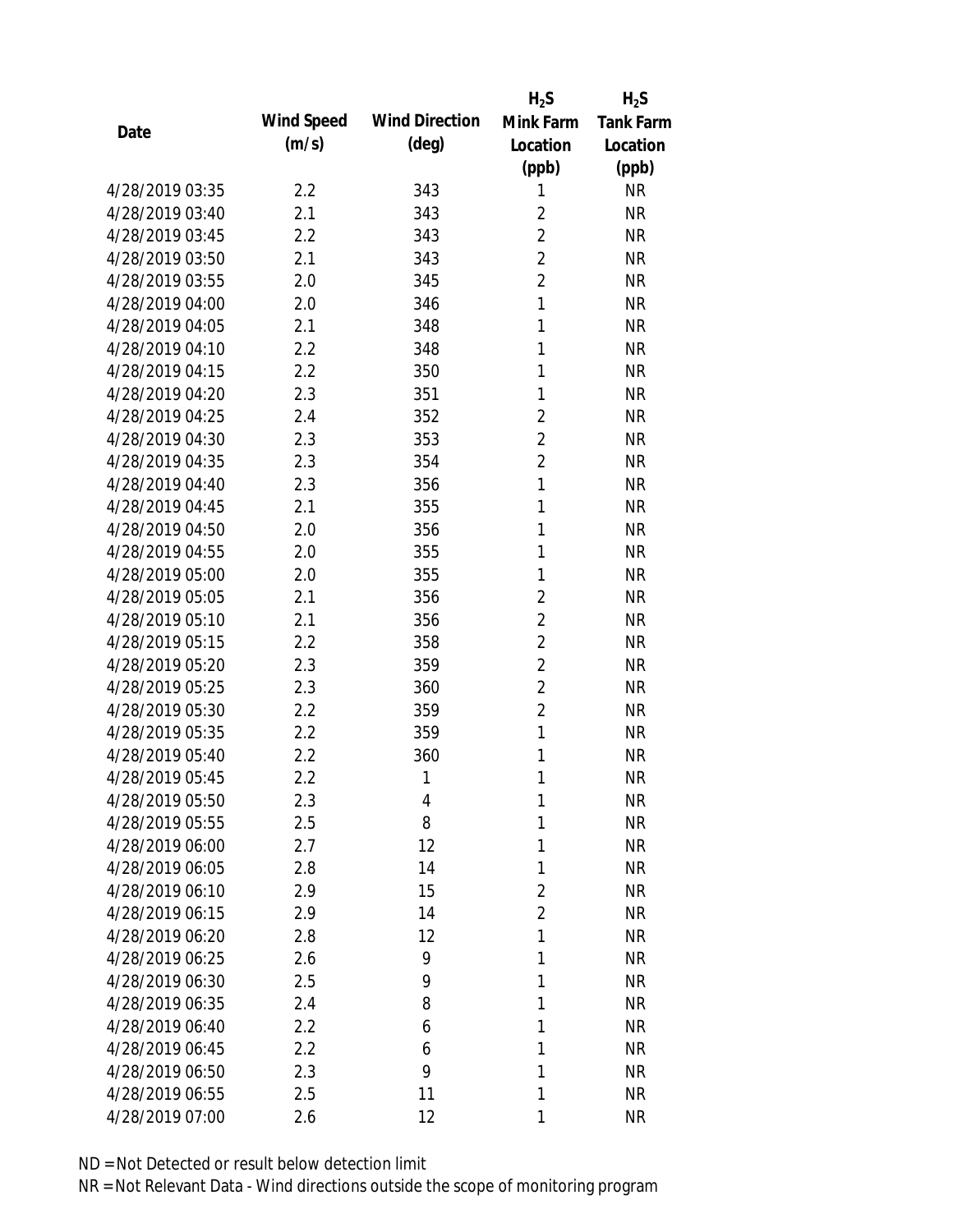|                 |            |                       | $H_2S$         | $H_2S$           |
|-----------------|------------|-----------------------|----------------|------------------|
| Date            | Wind Speed | <b>Wind Direction</b> | Mink Farm      | <b>Tank Farm</b> |
|                 | (m/s)      | $(\text{deg})$        | Location       | Location         |
|                 |            |                       | (ppb)          | (ppb)            |
| 4/28/2019 03:35 | 2.2        | 343                   | 1              | <b>NR</b>        |
| 4/28/2019 03:40 | 2.1        | 343                   | $\overline{2}$ | <b>NR</b>        |
| 4/28/2019 03:45 | 2.2        | 343                   | $\overline{2}$ | <b>NR</b>        |
| 4/28/2019 03:50 | 2.1        | 343                   | $\overline{2}$ | <b>NR</b>        |
| 4/28/2019 03:55 | 2.0        | 345                   | $\overline{2}$ | <b>NR</b>        |
| 4/28/2019 04:00 | 2.0        | 346                   | $\mathbf{1}$   | <b>NR</b>        |
| 4/28/2019 04:05 | 2.1        | 348                   | 1              | <b>NR</b>        |
| 4/28/2019 04:10 | 2.2        | 348                   | 1              | <b>NR</b>        |
| 4/28/2019 04:15 | 2.2        | 350                   | 1              | <b>NR</b>        |
| 4/28/2019 04:20 | 2.3        | 351                   | 1              | <b>NR</b>        |
| 4/28/2019 04:25 | 2.4        | 352                   | $\overline{2}$ | <b>NR</b>        |
| 4/28/2019 04:30 | 2.3        | 353                   | $\overline{2}$ | <b>NR</b>        |
| 4/28/2019 04:35 | 2.3        | 354                   | $\overline{2}$ | <b>NR</b>        |
| 4/28/2019 04:40 | 2.3        | 356                   | 1              | <b>NR</b>        |
| 4/28/2019 04:45 | 2.1        | 355                   | 1              | <b>NR</b>        |
| 4/28/2019 04:50 | 2.0        | 356                   | 1              | <b>NR</b>        |
| 4/28/2019 04:55 | 2.0        | 355                   | 1              | <b>NR</b>        |
| 4/28/2019 05:00 | 2.0        | 355                   | 1              | <b>NR</b>        |
| 4/28/2019 05:05 | 2.1        | 356                   | $\overline{2}$ | <b>NR</b>        |
| 4/28/2019 05:10 | 2.1        | 356                   | $\overline{2}$ | <b>NR</b>        |
| 4/28/2019 05:15 | 2.2        | 358                   | $\overline{2}$ | <b>NR</b>        |
| 4/28/2019 05:20 | 2.3        | 359                   | $\overline{2}$ | <b>NR</b>        |
| 4/28/2019 05:25 | 2.3        | 360                   | $\overline{2}$ | <b>NR</b>        |
| 4/28/2019 05:30 | 2.2        | 359                   | $\overline{2}$ | <b>NR</b>        |
| 4/28/2019 05:35 | 2.2        | 359                   | $\mathbf{1}$   | <b>NR</b>        |
| 4/28/2019 05:40 | 2.2        | 360                   | 1              | <b>NR</b>        |
| 4/28/2019 05:45 | 2.2        | 1                     | 1              | <b>NR</b>        |
| 4/28/2019 05:50 | 2.3        | 4                     | 1              | <b>NR</b>        |
| 4/28/2019 05:55 | 2.5        | 8                     | 1              | <b>NR</b>        |
| 4/28/2019 06:00 | 2.7        | 12                    | 1              | <b>NR</b>        |
| 4/28/2019 06:05 | 2.8        | 14                    | 1              | <b>NR</b>        |
| 4/28/2019 06:10 | 2.9        | 15                    | $\overline{2}$ | <b>NR</b>        |
| 4/28/2019 06:15 | 2.9        | 14                    | $\overline{2}$ | <b>NR</b>        |
| 4/28/2019 06:20 | 2.8        | 12                    | 1              | <b>NR</b>        |
| 4/28/2019 06:25 | 2.6        | 9                     | 1              | <b>NR</b>        |
| 4/28/2019 06:30 | 2.5        | 9                     | 1              | <b>NR</b>        |
| 4/28/2019 06:35 | 2.4        | 8                     | 1              | <b>NR</b>        |
| 4/28/2019 06:40 | 2.2        | 6                     | 1              | <b>NR</b>        |
| 4/28/2019 06:45 | 2.2        | 6                     | 1              | <b>NR</b>        |
| 4/28/2019 06:50 | 2.3        | 9                     | 1              | <b>NR</b>        |
| 4/28/2019 06:55 | 2.5        | 11                    | 1              | <b>NR</b>        |
| 4/28/2019 07:00 | 2.6        | 12                    | 1              | <b>NR</b>        |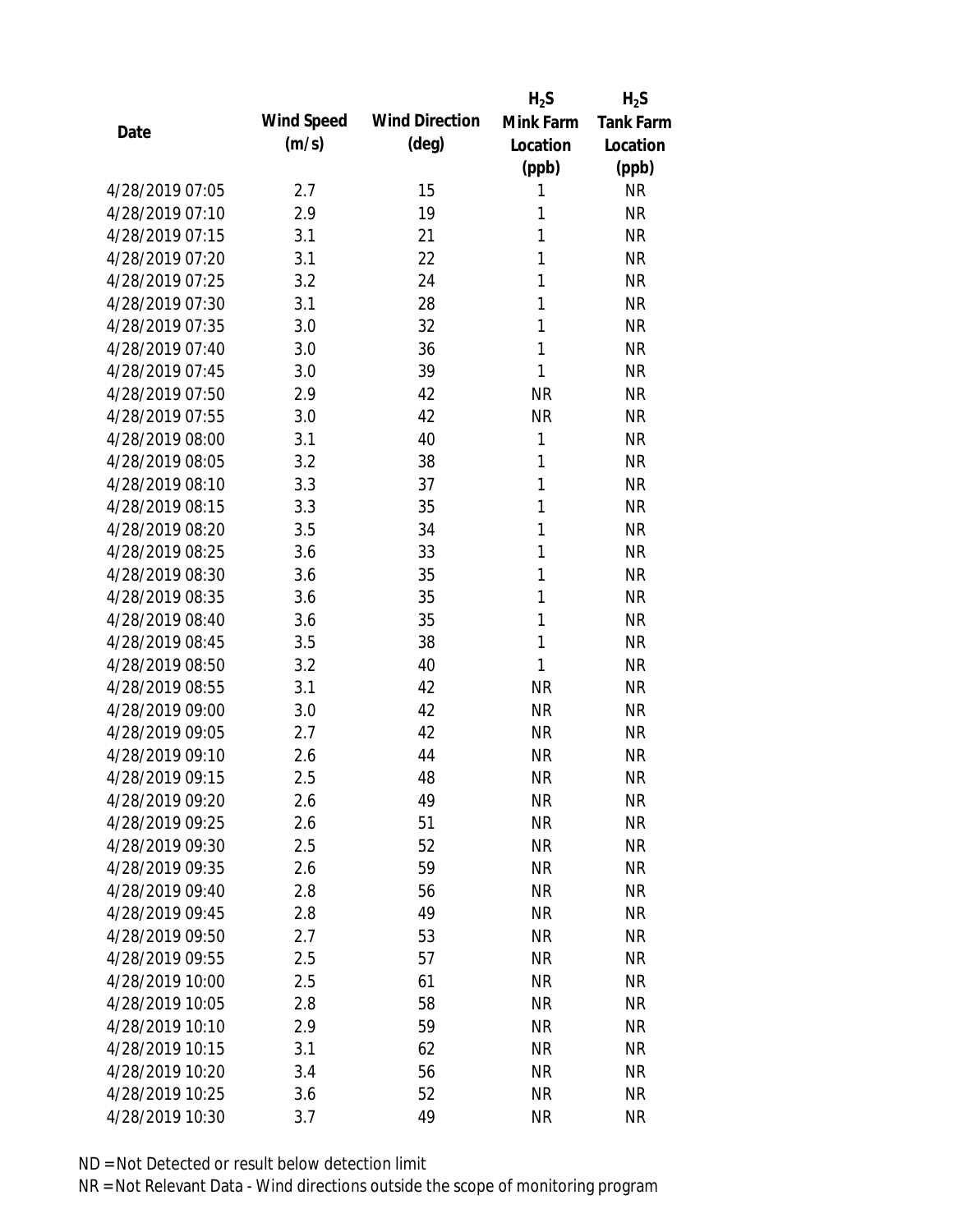|                 |            |                       | $H_2S$    | $H_2S$           |
|-----------------|------------|-----------------------|-----------|------------------|
| Date            | Wind Speed | <b>Wind Direction</b> | Mink Farm | <b>Tank Farm</b> |
|                 | (m/s)      | $(\text{deg})$        | Location  | Location         |
|                 |            |                       | (ppb)     | (ppb)            |
| 4/28/2019 07:05 | 2.7        | 15                    | 1         | <b>NR</b>        |
| 4/28/2019 07:10 | 2.9        | 19                    | 1         | <b>NR</b>        |
| 4/28/2019 07:15 | 3.1        | 21                    | 1         | <b>NR</b>        |
| 4/28/2019 07:20 | 3.1        | 22                    | 1         | <b>NR</b>        |
| 4/28/2019 07:25 | 3.2        | 24                    | 1         | <b>NR</b>        |
| 4/28/2019 07:30 | 3.1        | 28                    | 1         | <b>NR</b>        |
| 4/28/2019 07:35 | 3.0        | 32                    | 1         | <b>NR</b>        |
| 4/28/2019 07:40 | 3.0        | 36                    | 1         | <b>NR</b>        |
| 4/28/2019 07:45 | 3.0        | 39                    | 1         | <b>NR</b>        |
| 4/28/2019 07:50 | 2.9        | 42                    | <b>NR</b> | <b>NR</b>        |
| 4/28/2019 07:55 | 3.0        | 42                    | <b>NR</b> | <b>NR</b>        |
| 4/28/2019 08:00 | 3.1        | 40                    | 1         | <b>NR</b>        |
| 4/28/2019 08:05 | 3.2        | 38                    | 1         | <b>NR</b>        |
| 4/28/2019 08:10 | 3.3        | 37                    | 1         | <b>NR</b>        |
| 4/28/2019 08:15 | 3.3        | 35                    | 1         | <b>NR</b>        |
| 4/28/2019 08:20 | 3.5        | 34                    | 1         | <b>NR</b>        |
| 4/28/2019 08:25 | 3.6        | 33                    | 1         | <b>NR</b>        |
| 4/28/2019 08:30 | 3.6        | 35                    | 1         | <b>NR</b>        |
| 4/28/2019 08:35 | 3.6        | 35                    | 1         | <b>NR</b>        |
| 4/28/2019 08:40 | 3.6        | 35                    | 1         | <b>NR</b>        |
| 4/28/2019 08:45 | 3.5        | 38                    | 1         | <b>NR</b>        |
| 4/28/2019 08:50 | 3.2        | 40                    | 1         | <b>NR</b>        |
| 4/28/2019 08:55 | 3.1        | 42                    | <b>NR</b> | <b>NR</b>        |
| 4/28/2019 09:00 | 3.0        | 42                    | <b>NR</b> | <b>NR</b>        |
| 4/28/2019 09:05 | 2.7        | 42                    | <b>NR</b> | <b>NR</b>        |
| 4/28/2019 09:10 | 2.6        | 44                    | <b>NR</b> | <b>NR</b>        |
| 4/28/2019 09:15 | 2.5        | 48                    | <b>NR</b> | <b>NR</b>        |
| 4/28/2019 09:20 | 2.6        | 49                    | <b>NR</b> | <b>NR</b>        |
| 4/28/2019 09:25 | 2.6        | 51                    | <b>NR</b> | <b>NR</b>        |
| 4/28/2019 09:30 | 2.5        | 52                    | <b>NR</b> | <b>NR</b>        |
| 4/28/2019 09:35 | 2.6        | 59                    | <b>NR</b> | <b>NR</b>        |
| 4/28/2019 09:40 | 2.8        | 56                    | <b>NR</b> | <b>NR</b>        |
| 4/28/2019 09:45 | 2.8        | 49                    | <b>NR</b> | <b>NR</b>        |
| 4/28/2019 09:50 | 2.7        | 53                    | <b>NR</b> | <b>NR</b>        |
| 4/28/2019 09:55 | 2.5        | 57                    | <b>NR</b> | <b>NR</b>        |
| 4/28/2019 10:00 | 2.5        | 61                    | <b>NR</b> | <b>NR</b>        |
| 4/28/2019 10:05 | 2.8        | 58                    | <b>NR</b> | <b>NR</b>        |
| 4/28/2019 10:10 | 2.9        | 59                    | <b>NR</b> | <b>NR</b>        |
| 4/28/2019 10:15 | 3.1        | 62                    | <b>NR</b> | <b>NR</b>        |
| 4/28/2019 10:20 | 3.4        | 56                    | <b>NR</b> | <b>NR</b>        |
| 4/28/2019 10:25 | 3.6        | 52                    | <b>NR</b> | <b>NR</b>        |
| 4/28/2019 10:30 | 3.7        | 49                    | <b>NR</b> | <b>NR</b>        |
|                 |            |                       |           |                  |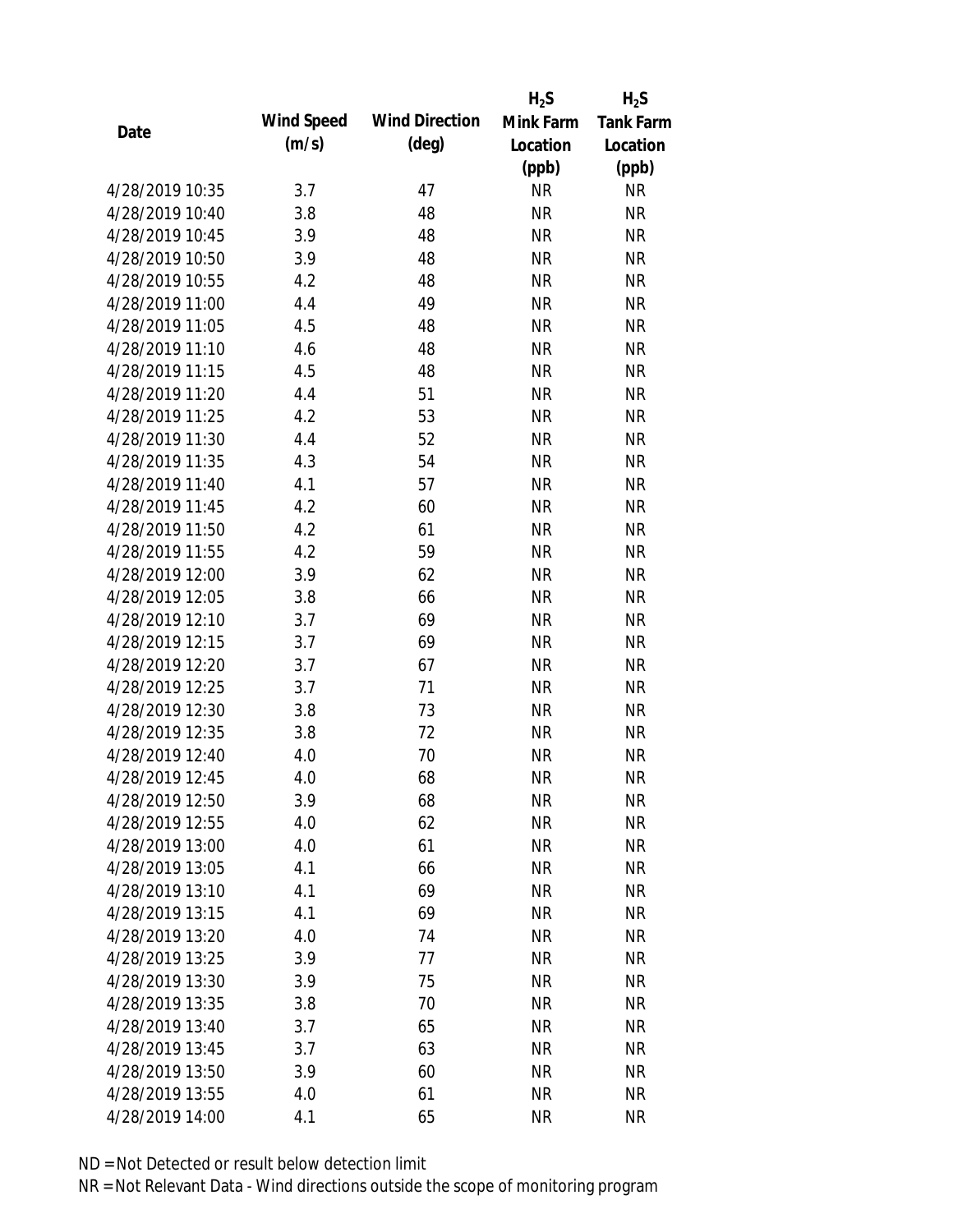|                 |            |                       | $H_2S$    | $H_2S$           |
|-----------------|------------|-----------------------|-----------|------------------|
| Date            | Wind Speed | <b>Wind Direction</b> | Mink Farm | <b>Tank Farm</b> |
|                 | (m/s)      | $(\text{deg})$        | Location  | Location         |
|                 |            |                       | (ppb)     | (ppb)            |
| 4/28/2019 10:35 | 3.7        | 47                    | <b>NR</b> | <b>NR</b>        |
| 4/28/2019 10:40 | 3.8        | 48                    | <b>NR</b> | <b>NR</b>        |
| 4/28/2019 10:45 | 3.9        | 48                    | <b>NR</b> | <b>NR</b>        |
| 4/28/2019 10:50 | 3.9        | 48                    | <b>NR</b> | <b>NR</b>        |
| 4/28/2019 10:55 | 4.2        | 48                    | <b>NR</b> | <b>NR</b>        |
| 4/28/2019 11:00 | 4.4        | 49                    | <b>NR</b> | <b>NR</b>        |
| 4/28/2019 11:05 | 4.5        | 48                    | <b>NR</b> | <b>NR</b>        |
| 4/28/2019 11:10 | 4.6        | 48                    | <b>NR</b> | <b>NR</b>        |
| 4/28/2019 11:15 | 4.5        | 48                    | <b>NR</b> | <b>NR</b>        |
| 4/28/2019 11:20 | 4.4        | 51                    | <b>NR</b> | <b>NR</b>        |
| 4/28/2019 11:25 | 4.2        | 53                    | <b>NR</b> | <b>NR</b>        |
| 4/28/2019 11:30 | 4.4        | 52                    | <b>NR</b> | <b>NR</b>        |
| 4/28/2019 11:35 | 4.3        | 54                    | <b>NR</b> | <b>NR</b>        |
| 4/28/2019 11:40 | 4.1        | 57                    | <b>NR</b> | <b>NR</b>        |
| 4/28/2019 11:45 | 4.2        | 60                    | <b>NR</b> | <b>NR</b>        |
| 4/28/2019 11:50 | 4.2        | 61                    | <b>NR</b> | <b>NR</b>        |
| 4/28/2019 11:55 | 4.2        | 59                    | <b>NR</b> | <b>NR</b>        |
| 4/28/2019 12:00 | 3.9        | 62                    | <b>NR</b> | <b>NR</b>        |
| 4/28/2019 12:05 | 3.8        | 66                    | <b>NR</b> | <b>NR</b>        |
| 4/28/2019 12:10 | 3.7        | 69                    | <b>NR</b> | <b>NR</b>        |
| 4/28/2019 12:15 | 3.7        | 69                    | <b>NR</b> | <b>NR</b>        |
| 4/28/2019 12:20 | 3.7        | 67                    | <b>NR</b> | <b>NR</b>        |
| 4/28/2019 12:25 | 3.7        | 71                    | <b>NR</b> | <b>NR</b>        |
| 4/28/2019 12:30 | 3.8        | 73                    | <b>NR</b> | <b>NR</b>        |
| 4/28/2019 12:35 | 3.8        | 72                    | <b>NR</b> | <b>NR</b>        |
| 4/28/2019 12:40 | 4.0        | 70                    | <b>NR</b> | <b>NR</b>        |
| 4/28/2019 12:45 | 4.0        | 68                    | <b>NR</b> | <b>NR</b>        |
| 4/28/2019 12:50 | 3.9        | 68                    | <b>NR</b> | <b>NR</b>        |
| 4/28/2019 12:55 | 4.0        | 62                    | <b>NR</b> | <b>NR</b>        |
| 4/28/2019 13:00 | 4.0        | 61                    | <b>NR</b> | <b>NR</b>        |
| 4/28/2019 13:05 | 4.1        | 66                    | <b>NR</b> | <b>NR</b>        |
| 4/28/2019 13:10 | 4.1        | 69                    | <b>NR</b> | <b>NR</b>        |
| 4/28/2019 13:15 | 4.1        | 69                    | <b>NR</b> | <b>NR</b>        |
| 4/28/2019 13:20 | 4.0        | 74                    | <b>NR</b> | <b>NR</b>        |
| 4/28/2019 13:25 | 3.9        | 77                    | <b>NR</b> | <b>NR</b>        |
| 4/28/2019 13:30 | 3.9        | 75                    | <b>NR</b> | <b>NR</b>        |
| 4/28/2019 13:35 | 3.8        | 70                    | <b>NR</b> | <b>NR</b>        |
| 4/28/2019 13:40 | 3.7        | 65                    | NR        | <b>NR</b>        |
| 4/28/2019 13:45 | 3.7        | 63                    | <b>NR</b> | <b>NR</b>        |
| 4/28/2019 13:50 | 3.9        | 60                    | <b>NR</b> | <b>NR</b>        |
| 4/28/2019 13:55 | 4.0        | 61                    | <b>NR</b> | <b>NR</b>        |
| 4/28/2019 14:00 | 4.1        | 65                    | <b>NR</b> | <b>NR</b>        |
|                 |            |                       |           |                  |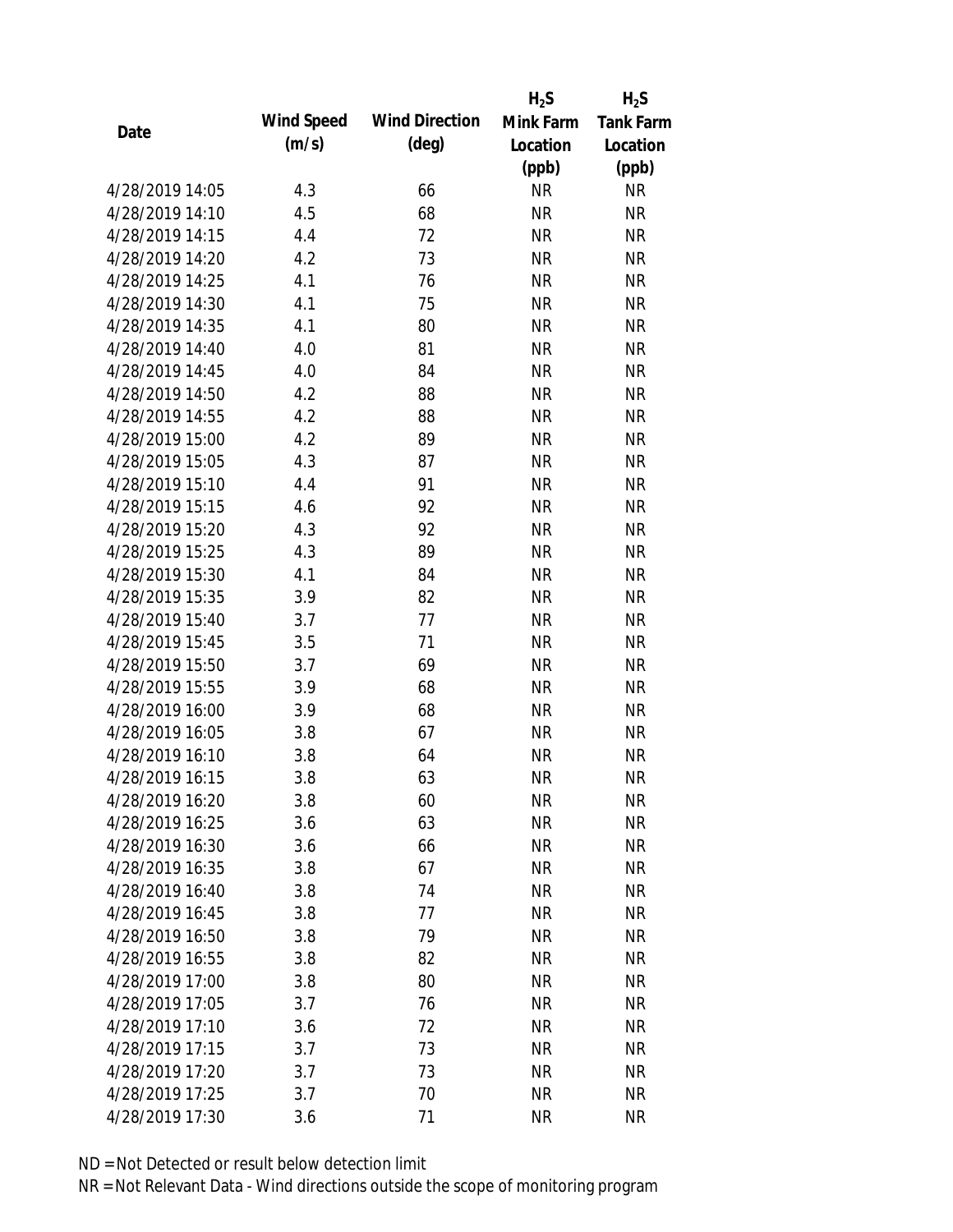|                 |            |                       | $H_2S$    | $H_2S$           |
|-----------------|------------|-----------------------|-----------|------------------|
| Date            | Wind Speed | <b>Wind Direction</b> | Mink Farm | <b>Tank Farm</b> |
|                 | (m/s)      | $(\text{deg})$        | Location  | Location         |
|                 |            |                       | (ppb)     | (ppb)            |
| 4/28/2019 14:05 | 4.3        | 66                    | <b>NR</b> | NR               |
| 4/28/2019 14:10 | 4.5        | 68                    | <b>NR</b> | <b>NR</b>        |
| 4/28/2019 14:15 | 4.4        | 72                    | <b>NR</b> | <b>NR</b>        |
| 4/28/2019 14:20 | 4.2        | 73                    | <b>NR</b> | <b>NR</b>        |
| 4/28/2019 14:25 | 4.1        | 76                    | <b>NR</b> | <b>NR</b>        |
| 4/28/2019 14:30 | 4.1        | 75                    | <b>NR</b> | <b>NR</b>        |
| 4/28/2019 14:35 | 4.1        | 80                    | <b>NR</b> | <b>NR</b>        |
| 4/28/2019 14:40 | 4.0        | 81                    | <b>NR</b> | <b>NR</b>        |
| 4/28/2019 14:45 | 4.0        | 84                    | <b>NR</b> | <b>NR</b>        |
| 4/28/2019 14:50 | 4.2        | 88                    | <b>NR</b> | <b>NR</b>        |
| 4/28/2019 14:55 | 4.2        | 88                    | <b>NR</b> | <b>NR</b>        |
| 4/28/2019 15:00 | 4.2        | 89                    | <b>NR</b> | <b>NR</b>        |
| 4/28/2019 15:05 | 4.3        | 87                    | <b>NR</b> | <b>NR</b>        |
| 4/28/2019 15:10 | 4.4        | 91                    | <b>NR</b> | <b>NR</b>        |
| 4/28/2019 15:15 | 4.6        | 92                    | <b>NR</b> | <b>NR</b>        |
| 4/28/2019 15:20 | 4.3        | 92                    | <b>NR</b> | <b>NR</b>        |
| 4/28/2019 15:25 | 4.3        | 89                    | <b>NR</b> | <b>NR</b>        |
| 4/28/2019 15:30 | 4.1        | 84                    | <b>NR</b> | <b>NR</b>        |
| 4/28/2019 15:35 | 3.9        | 82                    | <b>NR</b> | <b>NR</b>        |
| 4/28/2019 15:40 | 3.7        | 77                    | <b>NR</b> | <b>NR</b>        |
| 4/28/2019 15:45 | 3.5        | 71                    | <b>NR</b> | <b>NR</b>        |
| 4/28/2019 15:50 | 3.7        | 69                    | <b>NR</b> | <b>NR</b>        |
| 4/28/2019 15:55 | 3.9        | 68                    | <b>NR</b> | <b>NR</b>        |
| 4/28/2019 16:00 | 3.9        | 68                    | <b>NR</b> | <b>NR</b>        |
| 4/28/2019 16:05 | 3.8        | 67                    | <b>NR</b> | <b>NR</b>        |
| 4/28/2019 16:10 | 3.8        | 64                    | <b>NR</b> | <b>NR</b>        |
| 4/28/2019 16:15 | 3.8        | 63                    | <b>NR</b> | <b>NR</b>        |
| 4/28/2019 16:20 | 3.8        | 60                    | <b>NR</b> | <b>NR</b>        |
| 4/28/2019 16:25 | 3.6        | 63                    | <b>NR</b> | <b>NR</b>        |
| 4/28/2019 16:30 | 3.6        | 66                    | <b>NR</b> | <b>NR</b>        |
| 4/28/2019 16:35 | 3.8        | 67                    | <b>NR</b> | <b>NR</b>        |
| 4/28/2019 16:40 | 3.8        | 74                    | <b>NR</b> | <b>NR</b>        |
| 4/28/2019 16:45 | 3.8        | 77                    | <b>NR</b> | <b>NR</b>        |
| 4/28/2019 16:50 | 3.8        | 79                    | <b>NR</b> | <b>NR</b>        |
| 4/28/2019 16:55 | 3.8        | 82                    | <b>NR</b> | <b>NR</b>        |
| 4/28/2019 17:00 | 3.8        | 80                    | <b>NR</b> | <b>NR</b>        |
| 4/28/2019 17:05 | 3.7        | 76                    | <b>NR</b> | <b>NR</b>        |
| 4/28/2019 17:10 | 3.6        | 72                    | NR        | <b>NR</b>        |
| 4/28/2019 17:15 | 3.7        | 73                    | <b>NR</b> | <b>NR</b>        |
| 4/28/2019 17:20 | 3.7        | 73                    | <b>NR</b> | NR               |
| 4/28/2019 17:25 | 3.7        | 70                    | <b>NR</b> | <b>NR</b>        |
| 4/28/2019 17:30 | 3.6        | 71                    | <b>NR</b> | <b>NR</b>        |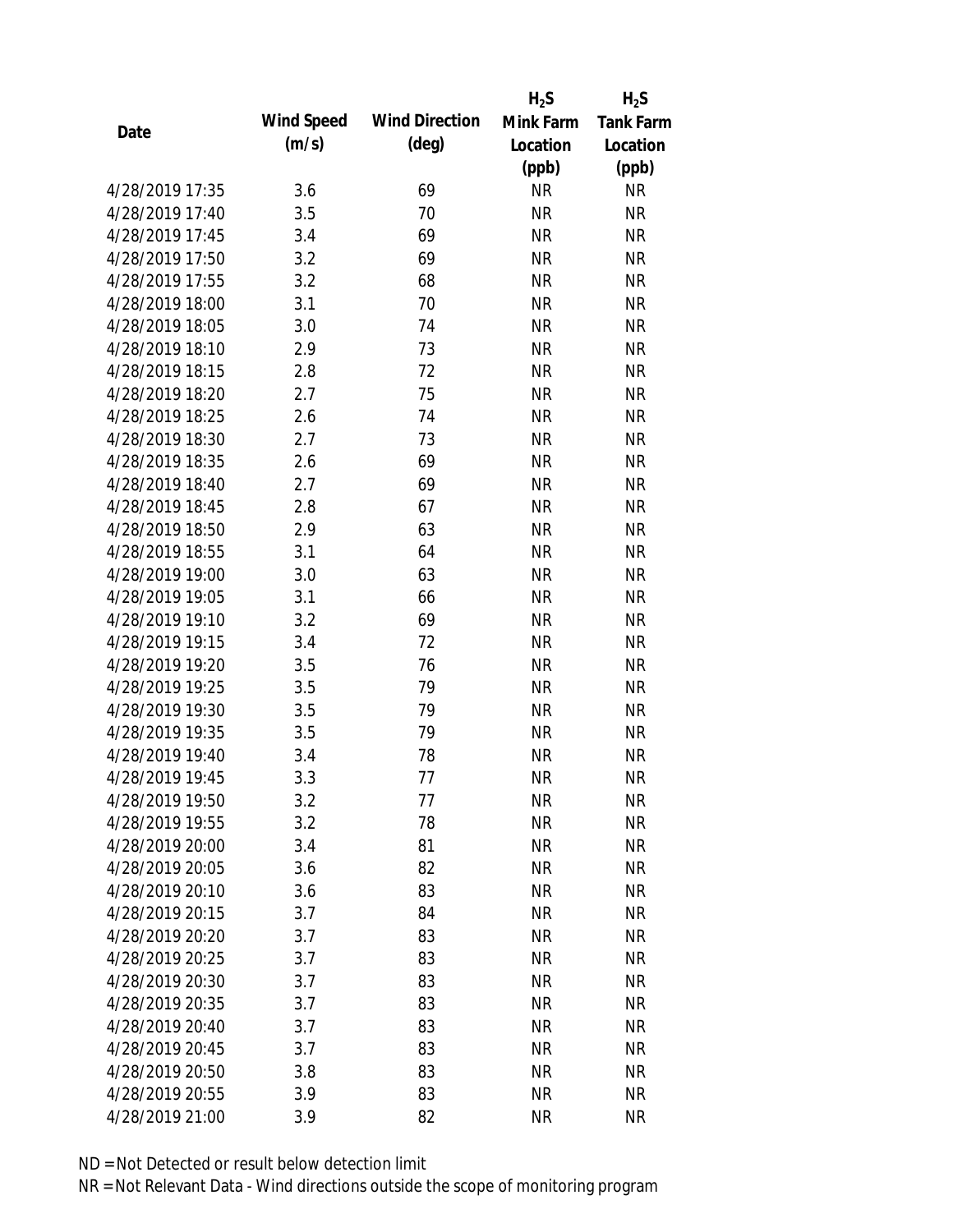|                 |            |                       | $H_2S$    | $H_2S$           |
|-----------------|------------|-----------------------|-----------|------------------|
| Date            | Wind Speed | <b>Wind Direction</b> | Mink Farm | <b>Tank Farm</b> |
|                 | (m/s)      | $(\text{deg})$        | Location  | Location         |
|                 |            |                       | (ppb)     | (ppb)            |
| 4/28/2019 17:35 | 3.6        | 69                    | <b>NR</b> | <b>NR</b>        |
| 4/28/2019 17:40 | 3.5        | 70                    | <b>NR</b> | <b>NR</b>        |
| 4/28/2019 17:45 | 3.4        | 69                    | <b>NR</b> | <b>NR</b>        |
| 4/28/2019 17:50 | 3.2        | 69                    | <b>NR</b> | <b>NR</b>        |
| 4/28/2019 17:55 | 3.2        | 68                    | <b>NR</b> | <b>NR</b>        |
| 4/28/2019 18:00 | 3.1        | 70                    | <b>NR</b> | <b>NR</b>        |
| 4/28/2019 18:05 | 3.0        | 74                    | <b>NR</b> | <b>NR</b>        |
| 4/28/2019 18:10 | 2.9        | 73                    | <b>NR</b> | <b>NR</b>        |
| 4/28/2019 18:15 | 2.8        | 72                    | <b>NR</b> | <b>NR</b>        |
| 4/28/2019 18:20 | 2.7        | 75                    | <b>NR</b> | <b>NR</b>        |
| 4/28/2019 18:25 | 2.6        | 74                    | <b>NR</b> | <b>NR</b>        |
| 4/28/2019 18:30 | 2.7        | 73                    | <b>NR</b> | <b>NR</b>        |
| 4/28/2019 18:35 | 2.6        | 69                    | <b>NR</b> | <b>NR</b>        |
| 4/28/2019 18:40 | 2.7        | 69                    | <b>NR</b> | <b>NR</b>        |
| 4/28/2019 18:45 | 2.8        | 67                    | <b>NR</b> | <b>NR</b>        |
| 4/28/2019 18:50 | 2.9        | 63                    | <b>NR</b> | <b>NR</b>        |
| 4/28/2019 18:55 | 3.1        | 64                    | <b>NR</b> | <b>NR</b>        |
| 4/28/2019 19:00 | 3.0        | 63                    | <b>NR</b> | <b>NR</b>        |
| 4/28/2019 19:05 | 3.1        | 66                    | <b>NR</b> | <b>NR</b>        |
| 4/28/2019 19:10 | 3.2        | 69                    | <b>NR</b> | <b>NR</b>        |
| 4/28/2019 19:15 | 3.4        | 72                    | <b>NR</b> | <b>NR</b>        |
| 4/28/2019 19:20 | 3.5        | 76                    | <b>NR</b> | <b>NR</b>        |
| 4/28/2019 19:25 | 3.5        | 79                    | <b>NR</b> | <b>NR</b>        |
| 4/28/2019 19:30 | 3.5        | 79                    | <b>NR</b> | <b>NR</b>        |
| 4/28/2019 19:35 | 3.5        | 79                    | <b>NR</b> | <b>NR</b>        |
| 4/28/2019 19:40 | 3.4        | 78                    | <b>NR</b> | <b>NR</b>        |
| 4/28/2019 19:45 | 3.3        | 77                    | <b>NR</b> | <b>NR</b>        |
| 4/28/2019 19:50 | 3.2        | 77                    | <b>NR</b> | <b>NR</b>        |
| 4/28/2019 19:55 | 3.2        | 78                    | <b>NR</b> | <b>NR</b>        |
| 4/28/2019 20:00 | 3.4        | 81                    | <b>NR</b> | <b>NR</b>        |
| 4/28/2019 20:05 | 3.6        | 82                    | <b>NR</b> | <b>NR</b>        |
| 4/28/2019 20:10 | 3.6        | 83                    | <b>NR</b> | <b>NR</b>        |
| 4/28/2019 20:15 | 3.7        | 84                    | <b>NR</b> | <b>NR</b>        |
| 4/28/2019 20:20 | 3.7        | 83                    | <b>NR</b> | <b>NR</b>        |
| 4/28/2019 20:25 | 3.7        | 83                    | <b>NR</b> | NR               |
| 4/28/2019 20:30 | 3.7        | 83                    | <b>NR</b> | <b>NR</b>        |
| 4/28/2019 20:35 | 3.7        | 83                    | <b>NR</b> | <b>NR</b>        |
| 4/28/2019 20:40 | 3.7        | 83                    | NR        | <b>NR</b>        |
| 4/28/2019 20:45 | 3.7        | 83                    | <b>NR</b> | <b>NR</b>        |
| 4/28/2019 20:50 | 3.8        | 83                    | <b>NR</b> | NR               |
| 4/28/2019 20:55 | 3.9        | 83                    | <b>NR</b> | <b>NR</b>        |
| 4/28/2019 21:00 | 3.9        | 82                    | <b>NR</b> | <b>NR</b>        |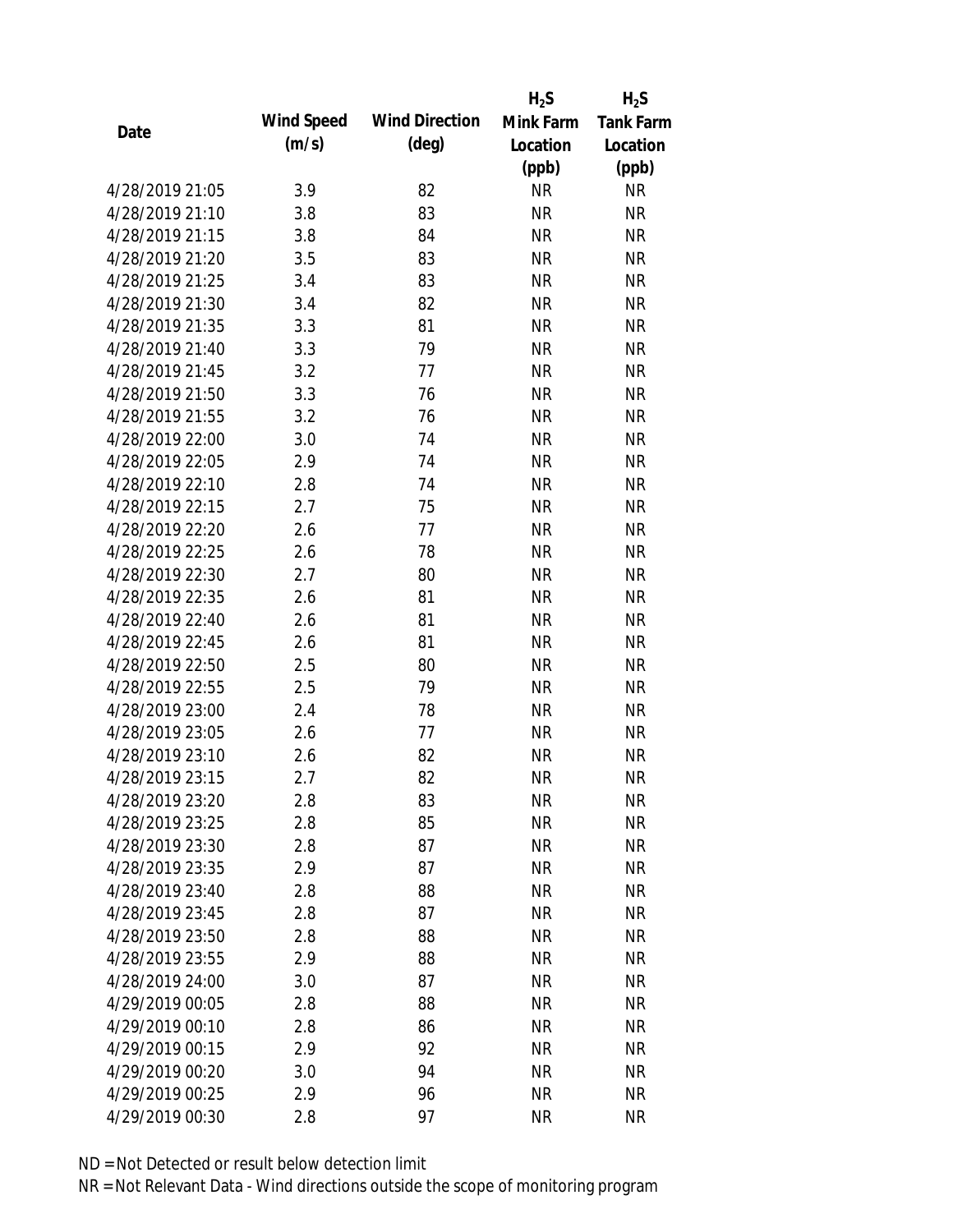|                 |            |                       | $H_2S$    | $H_2S$           |
|-----------------|------------|-----------------------|-----------|------------------|
|                 | Wind Speed | <b>Wind Direction</b> | Mink Farm | <b>Tank Farm</b> |
| Date            | (m/s)      | $(\text{deg})$        | Location  | Location         |
|                 |            |                       | (ppb)     | (ppb)            |
| 4/28/2019 21:05 | 3.9        | 82                    | <b>NR</b> | <b>NR</b>        |
| 4/28/2019 21:10 | 3.8        | 83                    | <b>NR</b> | <b>NR</b>        |
| 4/28/2019 21:15 | 3.8        | 84                    | <b>NR</b> | <b>NR</b>        |
| 4/28/2019 21:20 | 3.5        | 83                    | <b>NR</b> | <b>NR</b>        |
| 4/28/2019 21:25 | 3.4        | 83                    | <b>NR</b> | <b>NR</b>        |
| 4/28/2019 21:30 | 3.4        | 82                    | <b>NR</b> | <b>NR</b>        |
| 4/28/2019 21:35 | 3.3        | 81                    | <b>NR</b> | <b>NR</b>        |
| 4/28/2019 21:40 | 3.3        | 79                    | <b>NR</b> | <b>NR</b>        |
| 4/28/2019 21:45 | 3.2        | 77                    | <b>NR</b> | <b>NR</b>        |
| 4/28/2019 21:50 | 3.3        | 76                    | <b>NR</b> | <b>NR</b>        |
| 4/28/2019 21:55 | 3.2        | 76                    | <b>NR</b> | <b>NR</b>        |
| 4/28/2019 22:00 | 3.0        | 74                    | <b>NR</b> | <b>NR</b>        |
| 4/28/2019 22:05 | 2.9        | 74                    | <b>NR</b> | <b>NR</b>        |
| 4/28/2019 22:10 | 2.8        | 74                    | <b>NR</b> | <b>NR</b>        |
| 4/28/2019 22:15 | 2.7        | 75                    | <b>NR</b> | <b>NR</b>        |
| 4/28/2019 22:20 | 2.6        | 77                    | <b>NR</b> | <b>NR</b>        |
| 4/28/2019 22:25 | 2.6        | 78                    | <b>NR</b> | <b>NR</b>        |
| 4/28/2019 22:30 | 2.7        | 80                    | <b>NR</b> | <b>NR</b>        |
| 4/28/2019 22:35 | 2.6        | 81                    | <b>NR</b> | <b>NR</b>        |
| 4/28/2019 22:40 | 2.6        | 81                    | <b>NR</b> | <b>NR</b>        |
| 4/28/2019 22:45 | 2.6        | 81                    | <b>NR</b> | <b>NR</b>        |
| 4/28/2019 22:50 | 2.5        | 80                    | <b>NR</b> | <b>NR</b>        |
| 4/28/2019 22:55 | 2.5        | 79                    | <b>NR</b> | <b>NR</b>        |
| 4/28/2019 23:00 | 2.4        | 78                    | <b>NR</b> | <b>NR</b>        |
| 4/28/2019 23:05 | 2.6        | 77                    | <b>NR</b> | <b>NR</b>        |
| 4/28/2019 23:10 | 2.6        | 82                    | <b>NR</b> | <b>NR</b>        |
| 4/28/2019 23:15 | 2.7        | 82                    | <b>NR</b> | <b>NR</b>        |
| 4/28/2019 23:20 | 2.8        | 83                    | <b>NR</b> | <b>NR</b>        |
| 4/28/2019 23:25 | 2.8        | 85                    | <b>NR</b> | <b>NR</b>        |
| 4/28/2019 23:30 | 2.8        | 87                    | <b>NR</b> | <b>NR</b>        |
| 4/28/2019 23:35 | 2.9        | 87                    | <b>NR</b> | <b>NR</b>        |
| 4/28/2019 23:40 | 2.8        | 88                    | <b>NR</b> | <b>NR</b>        |
| 4/28/2019 23:45 | 2.8        | 87                    | <b>NR</b> | <b>NR</b>        |
| 4/28/2019 23:50 | 2.8        | 88                    | <b>NR</b> | <b>NR</b>        |
| 4/28/2019 23:55 | 2.9        | 88                    | <b>NR</b> | <b>NR</b>        |
| 4/28/2019 24:00 | 3.0        | 87                    | <b>NR</b> | <b>NR</b>        |
| 4/29/2019 00:05 | 2.8        | 88                    | <b>NR</b> | <b>NR</b>        |
| 4/29/2019 00:10 | 2.8        | 86                    | <b>NR</b> | <b>NR</b>        |
| 4/29/2019 00:15 | 2.9        | 92                    | <b>NR</b> | <b>NR</b>        |
| 4/29/2019 00:20 | 3.0        | 94                    | <b>NR</b> | NR               |
| 4/29/2019 00:25 | 2.9        | 96                    | <b>NR</b> | <b>NR</b>        |
| 4/29/2019 00:30 | 2.8        | 97                    | <b>NR</b> | <b>NR</b>        |
|                 |            |                       |           |                  |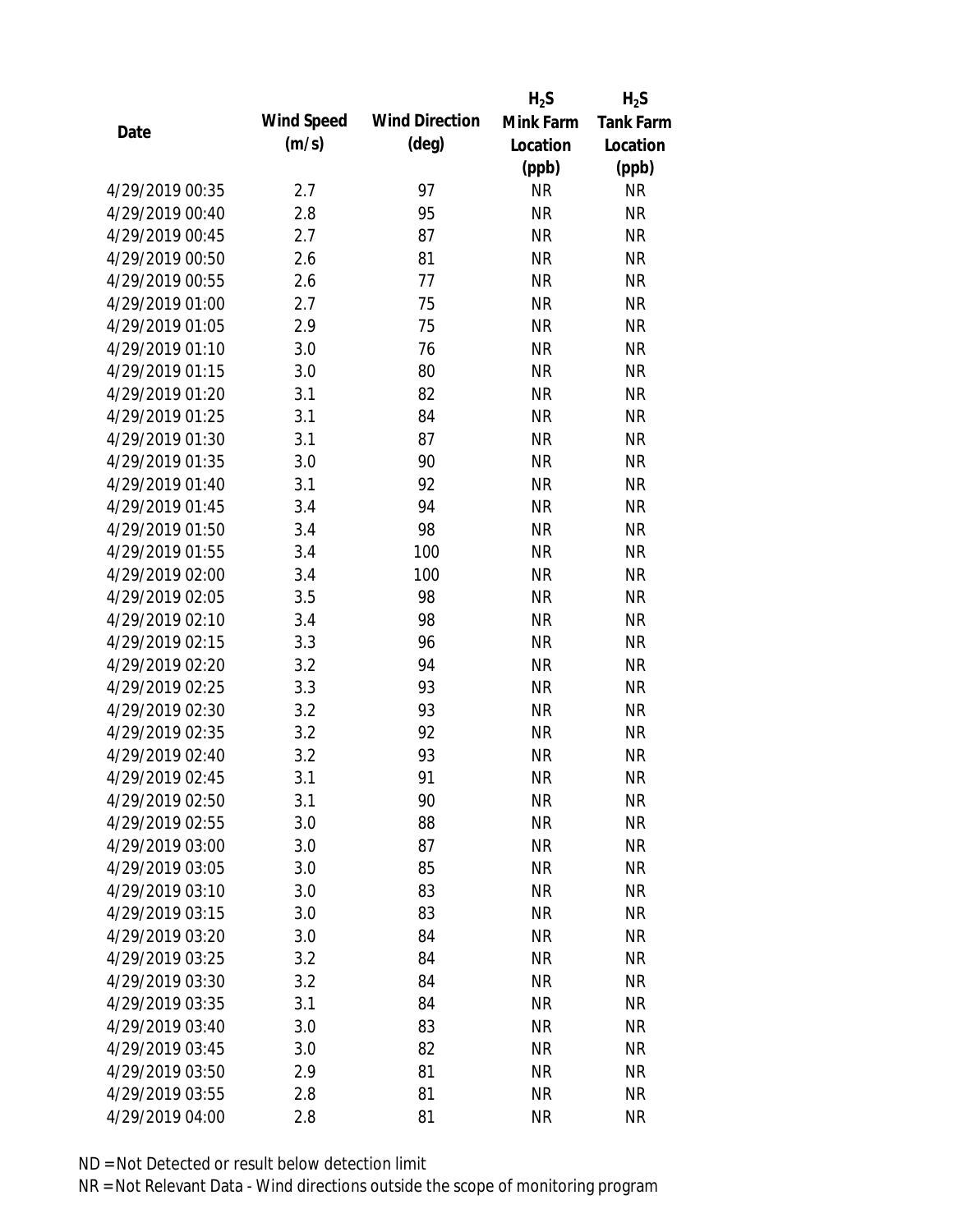|                 |            |                       | $H_2S$    | $H_2S$           |
|-----------------|------------|-----------------------|-----------|------------------|
| Date            | Wind Speed | <b>Wind Direction</b> | Mink Farm | <b>Tank Farm</b> |
|                 | (m/s)      | $(\text{deg})$        | Location  | Location         |
|                 |            |                       | (ppb)     | (ppb)            |
| 4/29/2019 00:35 | 2.7        | 97                    | <b>NR</b> | <b>NR</b>        |
| 4/29/2019 00:40 | 2.8        | 95                    | <b>NR</b> | <b>NR</b>        |
| 4/29/2019 00:45 | 2.7        | 87                    | <b>NR</b> | <b>NR</b>        |
| 4/29/2019 00:50 | 2.6        | 81                    | <b>NR</b> | <b>NR</b>        |
| 4/29/2019 00:55 | 2.6        | 77                    | <b>NR</b> | <b>NR</b>        |
| 4/29/2019 01:00 | 2.7        | 75                    | <b>NR</b> | <b>NR</b>        |
| 4/29/2019 01:05 | 2.9        | 75                    | <b>NR</b> | <b>NR</b>        |
| 4/29/2019 01:10 | 3.0        | 76                    | <b>NR</b> | <b>NR</b>        |
| 4/29/2019 01:15 | 3.0        | 80                    | <b>NR</b> | <b>NR</b>        |
| 4/29/2019 01:20 | 3.1        | 82                    | <b>NR</b> | <b>NR</b>        |
| 4/29/2019 01:25 | 3.1        | 84                    | <b>NR</b> | <b>NR</b>        |
| 4/29/2019 01:30 | 3.1        | 87                    | <b>NR</b> | <b>NR</b>        |
| 4/29/2019 01:35 | 3.0        | 90                    | <b>NR</b> | <b>NR</b>        |
| 4/29/2019 01:40 | 3.1        | 92                    | <b>NR</b> | <b>NR</b>        |
| 4/29/2019 01:45 | 3.4        | 94                    | <b>NR</b> | <b>NR</b>        |
| 4/29/2019 01:50 | 3.4        | 98                    | <b>NR</b> | <b>NR</b>        |
| 4/29/2019 01:55 | 3.4        | 100                   | <b>NR</b> | <b>NR</b>        |
| 4/29/2019 02:00 | 3.4        | 100                   | <b>NR</b> | <b>NR</b>        |
| 4/29/2019 02:05 | 3.5        | 98                    | <b>NR</b> | <b>NR</b>        |
| 4/29/2019 02:10 | 3.4        | 98                    | <b>NR</b> | <b>NR</b>        |
| 4/29/2019 02:15 | 3.3        | 96                    | <b>NR</b> | <b>NR</b>        |
| 4/29/2019 02:20 | 3.2        | 94                    | <b>NR</b> | <b>NR</b>        |
| 4/29/2019 02:25 | 3.3        | 93                    | <b>NR</b> | <b>NR</b>        |
| 4/29/2019 02:30 | 3.2        | 93                    | <b>NR</b> | <b>NR</b>        |
| 4/29/2019 02:35 | 3.2        | 92                    | <b>NR</b> | <b>NR</b>        |
| 4/29/2019 02:40 | 3.2        | 93                    | <b>NR</b> | <b>NR</b>        |
| 4/29/2019 02:45 | 3.1        | 91                    | <b>NR</b> | <b>NR</b>        |
| 4/29/2019 02:50 | 3.1        | 90                    | <b>NR</b> | <b>NR</b>        |
| 4/29/2019 02:55 | 3.0        | 88                    | <b>NR</b> | <b>NR</b>        |
| 4/29/2019 03:00 | 3.0        | 87                    | <b>NR</b> | <b>NR</b>        |
| 4/29/2019 03:05 | 3.0        | 85                    | <b>NR</b> | <b>NR</b>        |
| 4/29/2019 03:10 | 3.0        | 83                    | <b>NR</b> | <b>NR</b>        |
| 4/29/2019 03:15 | 3.0        | 83                    | <b>NR</b> | <b>NR</b>        |
| 4/29/2019 03:20 | 3.0        | 84                    | <b>NR</b> | <b>NR</b>        |
| 4/29/2019 03:25 | 3.2        | 84                    | <b>NR</b> | <b>NR</b>        |
| 4/29/2019 03:30 | 3.2        | 84                    | <b>NR</b> | <b>NR</b>        |
| 4/29/2019 03:35 | 3.1        | 84                    | <b>NR</b> | <b>NR</b>        |
| 4/29/2019 03:40 | 3.0        | 83                    | <b>NR</b> | <b>NR</b>        |
| 4/29/2019 03:45 | 3.0        | 82                    | <b>NR</b> | <b>NR</b>        |
| 4/29/2019 03:50 | 2.9        | 81                    | <b>NR</b> | <b>NR</b>        |
| 4/29/2019 03:55 | 2.8        | 81                    | <b>NR</b> | <b>NR</b>        |
| 4/29/2019 04:00 | 2.8        | 81                    | <b>NR</b> | <b>NR</b>        |
|                 |            |                       |           |                  |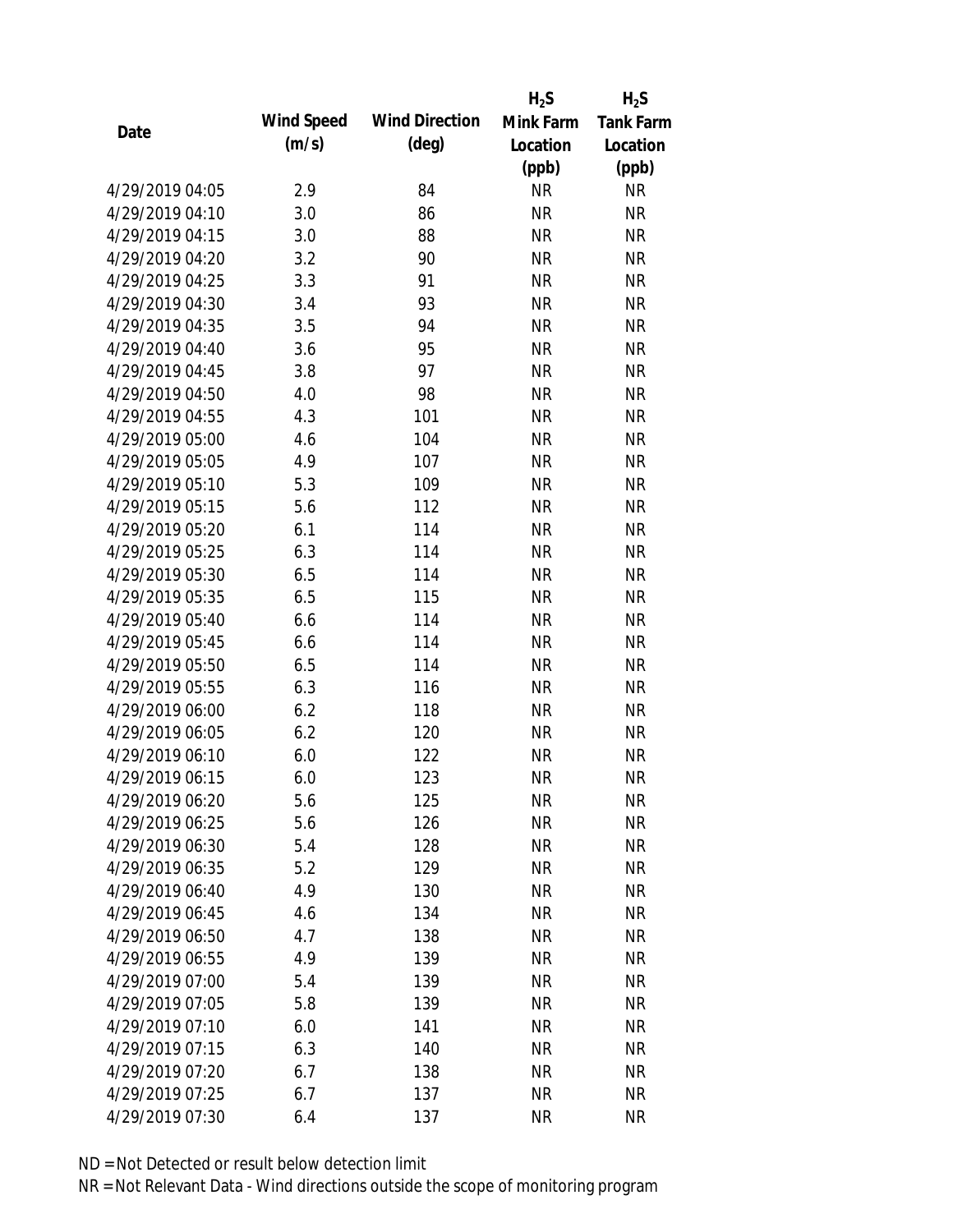|                 |            |                       | $H_2S$    | $H_2S$           |
|-----------------|------------|-----------------------|-----------|------------------|
|                 | Wind Speed | <b>Wind Direction</b> | Mink Farm | <b>Tank Farm</b> |
| Date            | (m/s)      | $(\text{deg})$        | Location  | Location         |
|                 |            |                       | (ppb)     | (ppb)            |
| 4/29/2019 04:05 | 2.9        | 84                    | <b>NR</b> | <b>NR</b>        |
| 4/29/2019 04:10 | 3.0        | 86                    | <b>NR</b> | <b>NR</b>        |
| 4/29/2019 04:15 | 3.0        | 88                    | <b>NR</b> | <b>NR</b>        |
| 4/29/2019 04:20 | 3.2        | 90                    | <b>NR</b> | <b>NR</b>        |
| 4/29/2019 04:25 | 3.3        | 91                    | <b>NR</b> | <b>NR</b>        |
| 4/29/2019 04:30 | 3.4        | 93                    | <b>NR</b> | <b>NR</b>        |
| 4/29/2019 04:35 | 3.5        | 94                    | <b>NR</b> | <b>NR</b>        |
| 4/29/2019 04:40 | 3.6        | 95                    | <b>NR</b> | <b>NR</b>        |
| 4/29/2019 04:45 | 3.8        | 97                    | <b>NR</b> | <b>NR</b>        |
| 4/29/2019 04:50 | 4.0        | 98                    | <b>NR</b> | <b>NR</b>        |
| 4/29/2019 04:55 | 4.3        | 101                   | <b>NR</b> | <b>NR</b>        |
| 4/29/2019 05:00 | 4.6        | 104                   | <b>NR</b> | <b>NR</b>        |
| 4/29/2019 05:05 | 4.9        | 107                   | <b>NR</b> | <b>NR</b>        |
| 4/29/2019 05:10 | 5.3        | 109                   | <b>NR</b> | <b>NR</b>        |
| 4/29/2019 05:15 | 5.6        | 112                   | <b>NR</b> | <b>NR</b>        |
| 4/29/2019 05:20 | 6.1        | 114                   | <b>NR</b> | <b>NR</b>        |
| 4/29/2019 05:25 | 6.3        | 114                   | <b>NR</b> | <b>NR</b>        |
| 4/29/2019 05:30 | 6.5        | 114                   | <b>NR</b> | <b>NR</b>        |
| 4/29/2019 05:35 | 6.5        | 115                   | <b>NR</b> | <b>NR</b>        |
| 4/29/2019 05:40 | 6.6        | 114                   | <b>NR</b> | <b>NR</b>        |
| 4/29/2019 05:45 | 6.6        | 114                   | <b>NR</b> | <b>NR</b>        |
| 4/29/2019 05:50 | 6.5        | 114                   | <b>NR</b> | <b>NR</b>        |
| 4/29/2019 05:55 | 6.3        | 116                   | <b>NR</b> | <b>NR</b>        |
| 4/29/2019 06:00 | 6.2        | 118                   | <b>NR</b> | <b>NR</b>        |
| 4/29/2019 06:05 | 6.2        | 120                   | <b>NR</b> | <b>NR</b>        |
| 4/29/2019 06:10 | 6.0        | 122                   | <b>NR</b> | <b>NR</b>        |
| 4/29/2019 06:15 | 6.0        | 123                   | <b>NR</b> | <b>NR</b>        |
| 4/29/2019 06:20 | 5.6        | 125                   | <b>NR</b> | <b>NR</b>        |
| 4/29/2019 06:25 | 5.6        | 126                   | <b>NR</b> | <b>NR</b>        |
| 4/29/2019 06:30 | 5.4        | 128                   | <b>NR</b> | <b>NR</b>        |
| 4/29/2019 06:35 | 5.2        | 129                   | <b>NR</b> | <b>NR</b>        |
| 4/29/2019 06:40 | 4.9        | 130                   | <b>NR</b> | <b>NR</b>        |
| 4/29/2019 06:45 | 4.6        | 134                   | <b>NR</b> | <b>NR</b>        |
| 4/29/2019 06:50 | 4.7        | 138                   | <b>NR</b> | <b>NR</b>        |
| 4/29/2019 06:55 | 4.9        | 139                   | <b>NR</b> | <b>NR</b>        |
| 4/29/2019 07:00 | 5.4        | 139                   | <b>NR</b> | <b>NR</b>        |
| 4/29/2019 07:05 | 5.8        | 139                   | <b>NR</b> | <b>NR</b>        |
| 4/29/2019 07:10 | 6.0        | 141                   | <b>NR</b> | <b>NR</b>        |
| 4/29/2019 07:15 | 6.3        | 140                   | <b>NR</b> | NR               |
| 4/29/2019 07:20 | 6.7        | 138                   | <b>NR</b> | NR               |
| 4/29/2019 07:25 | 6.7        | 137                   | <b>NR</b> | <b>NR</b>        |
| 4/29/2019 07:30 | 6.4        | 137                   | <b>NR</b> | <b>NR</b>        |
|                 |            |                       |           |                  |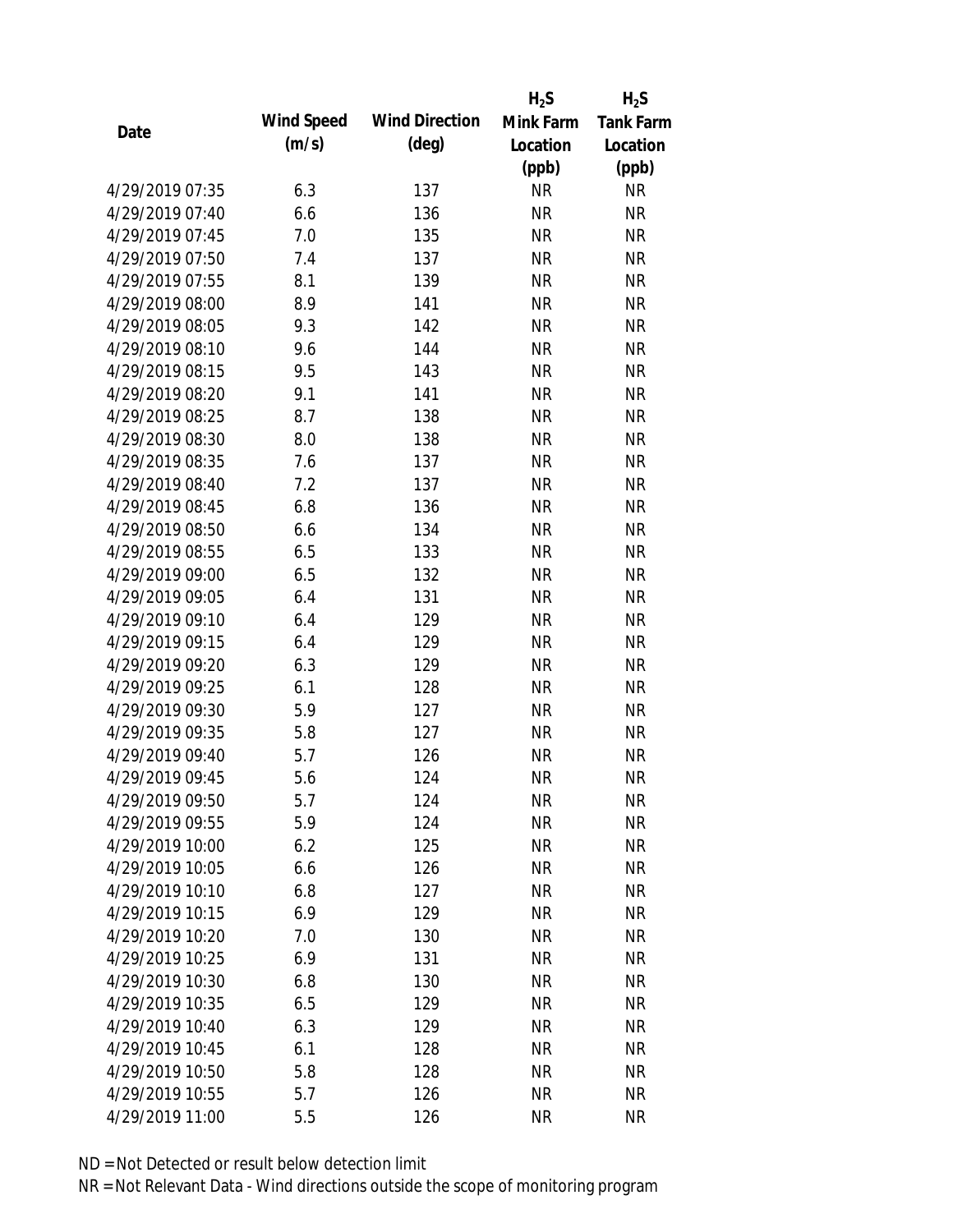|                 |            |                       | $H_2S$    | $H_2S$           |
|-----------------|------------|-----------------------|-----------|------------------|
|                 | Wind Speed | <b>Wind Direction</b> | Mink Farm | <b>Tank Farm</b> |
| Date            | (m/s)      | $(\text{deg})$        | Location  | Location         |
|                 |            |                       | (ppb)     | (ppb)            |
| 4/29/2019 07:35 | 6.3        | 137                   | <b>NR</b> | <b>NR</b>        |
| 4/29/2019 07:40 | 6.6        | 136                   | <b>NR</b> | <b>NR</b>        |
| 4/29/2019 07:45 | 7.0        | 135                   | <b>NR</b> | <b>NR</b>        |
| 4/29/2019 07:50 | 7.4        | 137                   | <b>NR</b> | <b>NR</b>        |
| 4/29/2019 07:55 | 8.1        | 139                   | <b>NR</b> | <b>NR</b>        |
| 4/29/2019 08:00 | 8.9        | 141                   | <b>NR</b> | <b>NR</b>        |
| 4/29/2019 08:05 | 9.3        | 142                   | <b>NR</b> | <b>NR</b>        |
| 4/29/2019 08:10 | 9.6        | 144                   | <b>NR</b> | <b>NR</b>        |
| 4/29/2019 08:15 | 9.5        | 143                   | <b>NR</b> | <b>NR</b>        |
| 4/29/2019 08:20 | 9.1        | 141                   | <b>NR</b> | <b>NR</b>        |
| 4/29/2019 08:25 | 8.7        | 138                   | <b>NR</b> | <b>NR</b>        |
| 4/29/2019 08:30 | 8.0        | 138                   | <b>NR</b> | <b>NR</b>        |
| 4/29/2019 08:35 | 7.6        | 137                   | <b>NR</b> | <b>NR</b>        |
| 4/29/2019 08:40 | 7.2        | 137                   | <b>NR</b> | <b>NR</b>        |
| 4/29/2019 08:45 | 6.8        | 136                   | <b>NR</b> | <b>NR</b>        |
| 4/29/2019 08:50 | 6.6        | 134                   | <b>NR</b> | <b>NR</b>        |
| 4/29/2019 08:55 | 6.5        | 133                   | <b>NR</b> | <b>NR</b>        |
| 4/29/2019 09:00 | 6.5        | 132                   | <b>NR</b> | <b>NR</b>        |
| 4/29/2019 09:05 | 6.4        | 131                   | <b>NR</b> | <b>NR</b>        |
| 4/29/2019 09:10 | 6.4        | 129                   | <b>NR</b> | <b>NR</b>        |
| 4/29/2019 09:15 | 6.4        | 129                   | <b>NR</b> | <b>NR</b>        |
| 4/29/2019 09:20 | 6.3        | 129                   | <b>NR</b> | <b>NR</b>        |
| 4/29/2019 09:25 | 6.1        | 128                   | <b>NR</b> | <b>NR</b>        |
| 4/29/2019 09:30 | 5.9        | 127                   | <b>NR</b> | <b>NR</b>        |
| 4/29/2019 09:35 | 5.8        | 127                   | <b>NR</b> | <b>NR</b>        |
| 4/29/2019 09:40 | 5.7        | 126                   | <b>NR</b> | <b>NR</b>        |
| 4/29/2019 09:45 | 5.6        | 124                   | <b>NR</b> | <b>NR</b>        |
| 4/29/2019 09:50 | 5.7        | 124                   | <b>NR</b> | <b>NR</b>        |
| 4/29/2019 09:55 | 5.9        | 124                   | <b>NR</b> | <b>NR</b>        |
| 4/29/2019 10:00 | 6.2        | 125                   | <b>NR</b> | <b>NR</b>        |
| 4/29/2019 10:05 | 6.6        | 126                   | <b>NR</b> | <b>NR</b>        |
| 4/29/2019 10:10 | 6.8        | 127                   | <b>NR</b> | <b>NR</b>        |
| 4/29/2019 10:15 | 6.9        | 129                   | <b>NR</b> | <b>NR</b>        |
| 4/29/2019 10:20 | 7.0        | 130                   | <b>NR</b> | <b>NR</b>        |
| 4/29/2019 10:25 | 6.9        | 131                   | <b>NR</b> | <b>NR</b>        |
| 4/29/2019 10:30 | 6.8        | 130                   | <b>NR</b> | <b>NR</b>        |
| 4/29/2019 10:35 | 6.5        | 129                   | <b>NR</b> | <b>NR</b>        |
| 4/29/2019 10:40 | 6.3        | 129                   | <b>NR</b> | <b>NR</b>        |
| 4/29/2019 10:45 | 6.1        | 128                   | <b>NR</b> | NR               |
| 4/29/2019 10:50 | 5.8        | 128                   | <b>NR</b> | NR               |
| 4/29/2019 10:55 | 5.7        | 126                   | <b>NR</b> | <b>NR</b>        |
| 4/29/2019 11:00 | 5.5        | 126                   | <b>NR</b> | <b>NR</b>        |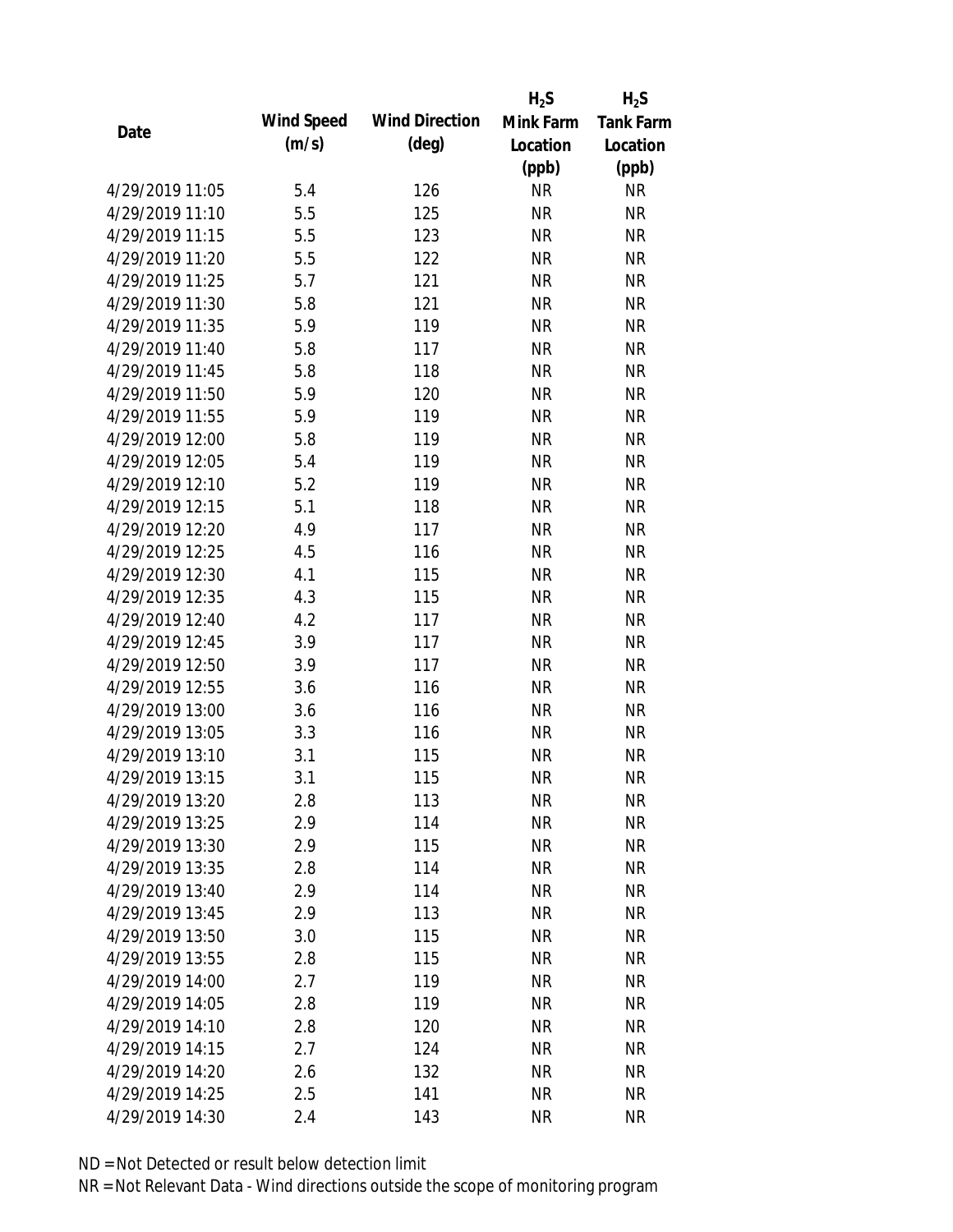|                 |            |                       | $H_2S$    | $H_2S$           |
|-----------------|------------|-----------------------|-----------|------------------|
| Date            | Wind Speed | <b>Wind Direction</b> | Mink Farm | <b>Tank Farm</b> |
|                 | (m/s)      | $(\text{deg})$        | Location  | Location         |
|                 |            |                       | (ppb)     | (ppb)            |
| 4/29/2019 11:05 | 5.4        | 126                   | <b>NR</b> | <b>NR</b>        |
| 4/29/2019 11:10 | 5.5        | 125                   | <b>NR</b> | <b>NR</b>        |
| 4/29/2019 11:15 | 5.5        | 123                   | <b>NR</b> | <b>NR</b>        |
| 4/29/2019 11:20 | 5.5        | 122                   | <b>NR</b> | <b>NR</b>        |
| 4/29/2019 11:25 | 5.7        | 121                   | <b>NR</b> | <b>NR</b>        |
| 4/29/2019 11:30 | 5.8        | 121                   | <b>NR</b> | <b>NR</b>        |
| 4/29/2019 11:35 | 5.9        | 119                   | <b>NR</b> | <b>NR</b>        |
| 4/29/2019 11:40 | 5.8        | 117                   | <b>NR</b> | <b>NR</b>        |
| 4/29/2019 11:45 | 5.8        | 118                   | <b>NR</b> | <b>NR</b>        |
| 4/29/2019 11:50 | 5.9        | 120                   | <b>NR</b> | <b>NR</b>        |
| 4/29/2019 11:55 | 5.9        | 119                   | <b>NR</b> | <b>NR</b>        |
| 4/29/2019 12:00 | 5.8        | 119                   | <b>NR</b> | <b>NR</b>        |
| 4/29/2019 12:05 | 5.4        | 119                   | <b>NR</b> | <b>NR</b>        |
| 4/29/2019 12:10 | 5.2        | 119                   | <b>NR</b> | <b>NR</b>        |
| 4/29/2019 12:15 | 5.1        | 118                   | <b>NR</b> | <b>NR</b>        |
| 4/29/2019 12:20 | 4.9        | 117                   | <b>NR</b> | <b>NR</b>        |
| 4/29/2019 12:25 | 4.5        | 116                   | <b>NR</b> | <b>NR</b>        |
| 4/29/2019 12:30 | 4.1        | 115                   | <b>NR</b> | <b>NR</b>        |
| 4/29/2019 12:35 | 4.3        | 115                   | <b>NR</b> | <b>NR</b>        |
| 4/29/2019 12:40 | 4.2        | 117                   | <b>NR</b> | <b>NR</b>        |
| 4/29/2019 12:45 | 3.9        | 117                   | <b>NR</b> | <b>NR</b>        |
| 4/29/2019 12:50 | 3.9        | 117                   | <b>NR</b> | <b>NR</b>        |
| 4/29/2019 12:55 | 3.6        | 116                   | <b>NR</b> | <b>NR</b>        |
| 4/29/2019 13:00 | 3.6        | 116                   | <b>NR</b> | <b>NR</b>        |
| 4/29/2019 13:05 | 3.3        | 116                   | <b>NR</b> | <b>NR</b>        |
| 4/29/2019 13:10 | 3.1        | 115                   | <b>NR</b> | <b>NR</b>        |
| 4/29/2019 13:15 | 3.1        | 115                   | <b>NR</b> | <b>NR</b>        |
| 4/29/2019 13:20 | 2.8        | 113                   | <b>NR</b> | <b>NR</b>        |
| 4/29/2019 13:25 | 2.9        | 114                   | <b>NR</b> | <b>NR</b>        |
| 4/29/2019 13:30 | 2.9        | 115                   | <b>NR</b> | <b>NR</b>        |
| 4/29/2019 13:35 | 2.8        | 114                   | <b>NR</b> | <b>NR</b>        |
| 4/29/2019 13:40 | 2.9        | 114                   | <b>NR</b> | <b>NR</b>        |
| 4/29/2019 13:45 | 2.9        | 113                   | <b>NR</b> | <b>NR</b>        |
| 4/29/2019 13:50 | 3.0        | 115                   | <b>NR</b> | <b>NR</b>        |
| 4/29/2019 13:55 | 2.8        | 115                   | <b>NR</b> | <b>NR</b>        |
| 4/29/2019 14:00 | 2.7        | 119                   | <b>NR</b> | <b>NR</b>        |
| 4/29/2019 14:05 | 2.8        | 119                   | <b>NR</b> | NR               |
| 4/29/2019 14:10 | 2.8        | 120                   | <b>NR</b> | NR               |
| 4/29/2019 14:15 | 2.7        | 124                   | <b>NR</b> | NR               |
| 4/29/2019 14:20 | 2.6        | 132                   | <b>NR</b> | NR               |
| 4/29/2019 14:25 | 2.5        | 141                   | <b>NR</b> | <b>NR</b>        |
| 4/29/2019 14:30 | 2.4        | 143                   | <b>NR</b> | <b>NR</b>        |
|                 |            |                       |           |                  |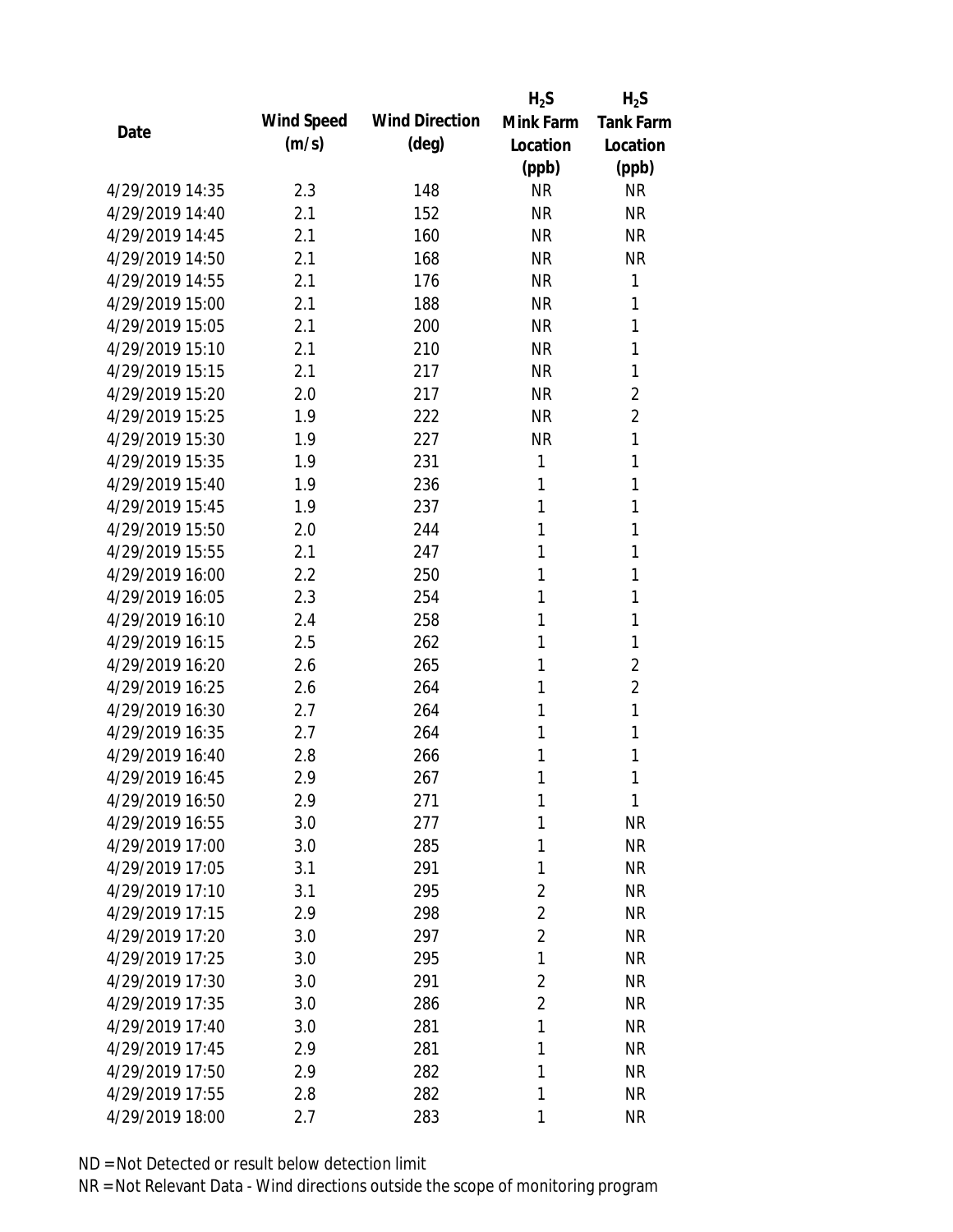|                 |            |                       | $H_2S$         | $H_2S$           |
|-----------------|------------|-----------------------|----------------|------------------|
| Date            | Wind Speed | <b>Wind Direction</b> | Mink Farm      | <b>Tank Farm</b> |
|                 | (m/s)      | $(\text{deg})$        | Location       | Location         |
|                 |            |                       | (ppb)          | (ppb)            |
| 4/29/2019 14:35 | 2.3        | 148                   | <b>NR</b>      | <b>NR</b>        |
| 4/29/2019 14:40 | 2.1        | 152                   | <b>NR</b>      | <b>NR</b>        |
| 4/29/2019 14:45 | 2.1        | 160                   | <b>NR</b>      | <b>NR</b>        |
| 4/29/2019 14:50 | 2.1        | 168                   | <b>NR</b>      | <b>NR</b>        |
| 4/29/2019 14:55 | 2.1        | 176                   | <b>NR</b>      | 1                |
| 4/29/2019 15:00 | 2.1        | 188                   | <b>NR</b>      | 1                |
| 4/29/2019 15:05 | 2.1        | 200                   | <b>NR</b>      | 1                |
| 4/29/2019 15:10 | 2.1        | 210                   | <b>NR</b>      | 1                |
| 4/29/2019 15:15 | 2.1        | 217                   | <b>NR</b>      | 1                |
| 4/29/2019 15:20 | 2.0        | 217                   | <b>NR</b>      | $\overline{2}$   |
| 4/29/2019 15:25 | 1.9        | 222                   | <b>NR</b>      | $\overline{2}$   |
| 4/29/2019 15:30 | 1.9        | 227                   | <b>NR</b>      | 1                |
| 4/29/2019 15:35 | 1.9        | 231                   | 1              | 1                |
| 4/29/2019 15:40 | 1.9        | 236                   | 1              | 1                |
| 4/29/2019 15:45 | 1.9        | 237                   | 1              | 1                |
| 4/29/2019 15:50 | 2.0        | 244                   | 1              | 1                |
| 4/29/2019 15:55 | 2.1        | 247                   | 1              | 1                |
| 4/29/2019 16:00 | 2.2        | 250                   | 1              | 1                |
| 4/29/2019 16:05 | 2.3        | 254                   | 1              | 1                |
| 4/29/2019 16:10 | 2.4        | 258                   | 1              | 1                |
| 4/29/2019 16:15 | 2.5        | 262                   | 1              | 1                |
| 4/29/2019 16:20 | 2.6        | 265                   | 1              | $\overline{2}$   |
| 4/29/2019 16:25 | 2.6        | 264                   | 1              | $\overline{2}$   |
| 4/29/2019 16:30 | 2.7        | 264                   | 1              | 1                |
| 4/29/2019 16:35 | 2.7        | 264                   | 1              | 1                |
| 4/29/2019 16:40 | 2.8        | 266                   | 1              | 1                |
| 4/29/2019 16:45 | 2.9        | 267                   | 1              | 1                |
| 4/29/2019 16:50 | 2.9        | 271                   | 1              | 1                |
| 4/29/2019 16:55 | 3.0        | 277                   | 1              | <b>NR</b>        |
| 4/29/2019 17:00 | 3.0        | 285                   | 1              | <b>NR</b>        |
| 4/29/2019 17:05 | 3.1        | 291                   | 1              | <b>NR</b>        |
| 4/29/2019 17:10 | 3.1        | 295                   | $\overline{2}$ | <b>NR</b>        |
| 4/29/2019 17:15 | 2.9        | 298                   | $\overline{2}$ | <b>NR</b>        |
| 4/29/2019 17:20 | 3.0        | 297                   | $\overline{2}$ | <b>NR</b>        |
| 4/29/2019 17:25 | 3.0        | 295                   | 1              | <b>NR</b>        |
| 4/29/2019 17:30 | 3.0        | 291                   | $\overline{2}$ | <b>NR</b>        |
| 4/29/2019 17:35 | 3.0        | 286                   | $\overline{2}$ | <b>NR</b>        |
| 4/29/2019 17:40 | 3.0        | 281                   | 1              | <b>NR</b>        |
| 4/29/2019 17:45 | 2.9        | 281                   | 1              | <b>NR</b>        |
| 4/29/2019 17:50 | 2.9        | 282                   | 1              | <b>NR</b>        |
| 4/29/2019 17:55 | 2.8        | 282                   | 1              | <b>NR</b>        |
| 4/29/2019 18:00 | 2.7        | 283                   | 1              | <b>NR</b>        |
|                 |            |                       |                |                  |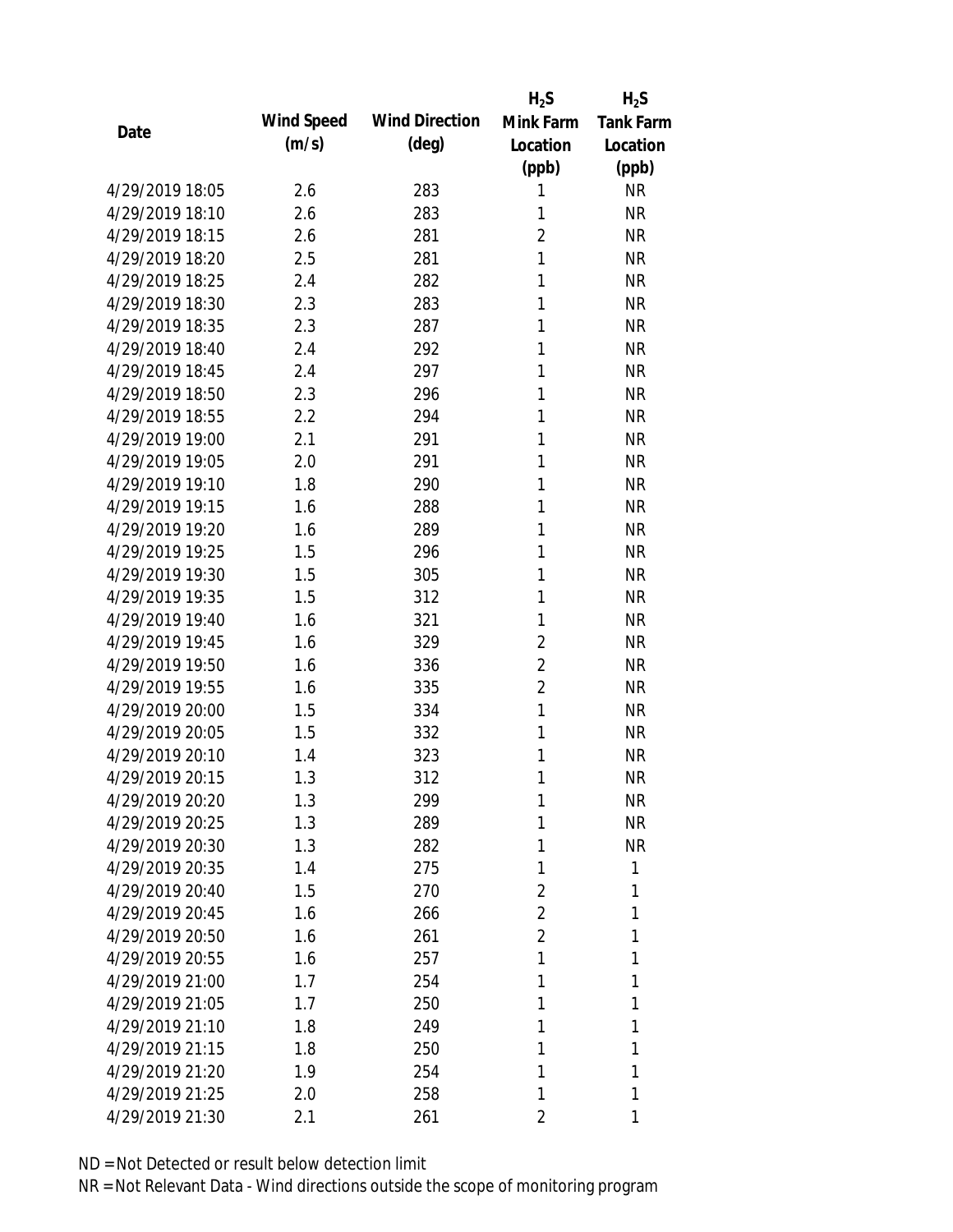|                 |            | $H_2S$                             | $H_2S$           |
|-----------------|------------|------------------------------------|------------------|
| Date            | Wind Speed | <b>Wind Direction</b><br>Mink Farm | <b>Tank Farm</b> |
|                 | (m/s)      | $(\text{deg})$<br>Location         | Location         |
|                 |            | (ppb)                              | (ppb)            |
| 4/29/2019 18:05 | 2.6        | 283<br>1                           | <b>NR</b>        |
| 4/29/2019 18:10 | 2.6        | 283<br>1                           | <b>NR</b>        |
| 4/29/2019 18:15 | 2.6        | $\overline{2}$<br>281              | <b>NR</b>        |
| 4/29/2019 18:20 | 2.5        | 1<br>281                           | <b>NR</b>        |
| 4/29/2019 18:25 | 2.4        | 1<br>282                           | <b>NR</b>        |
| 4/29/2019 18:30 | 2.3        | 1<br>283                           | <b>NR</b>        |
| 4/29/2019 18:35 | 2.3        | 287<br>1                           | <b>NR</b>        |
| 4/29/2019 18:40 | 2.4        | 292<br>1                           | <b>NR</b>        |
| 4/29/2019 18:45 | 2.4        | 1<br>297                           | <b>NR</b>        |
| 4/29/2019 18:50 | 2.3        | 296<br>1                           | <b>NR</b>        |
| 4/29/2019 18:55 | 2.2        | 1<br>294                           | <b>NR</b>        |
| 4/29/2019 19:00 | 2.1        | 1<br>291                           | <b>NR</b>        |
| 4/29/2019 19:05 | 2.0        | 291<br>1                           | <b>NR</b>        |
| 4/29/2019 19:10 | 1.8        | 1<br>290                           | <b>NR</b>        |
| 4/29/2019 19:15 | 1.6        | 1<br>288                           | <b>NR</b>        |
| 4/29/2019 19:20 | 1.6        | 1<br>289                           | <b>NR</b>        |
| 4/29/2019 19:25 | 1.5        | 296<br>1                           | <b>NR</b>        |
| 4/29/2019 19:30 | 1.5        | 1<br>305                           | <b>NR</b>        |
| 4/29/2019 19:35 | 1.5        | 1<br>312                           | <b>NR</b>        |
| 4/29/2019 19:40 | 1.6        | 1<br>321                           | <b>NR</b>        |
| 4/29/2019 19:45 | 1.6        | $\overline{2}$<br>329              | <b>NR</b>        |
| 4/29/2019 19:50 | 1.6        | $\overline{2}$<br>336              | <b>NR</b>        |
| 4/29/2019 19:55 | 1.6        | $\overline{2}$<br>335              | <b>NR</b>        |
| 4/29/2019 20:00 | 1.5        | $\mathbf{1}$<br>334                | <b>NR</b>        |
| 4/29/2019 20:05 | 1.5        | 1<br>332                           | <b>NR</b>        |
| 4/29/2019 20:10 | 1.4        | 323<br>1                           | <b>NR</b>        |
| 4/29/2019 20:15 | 1.3        | 312<br>1                           | <b>NR</b>        |
| 4/29/2019 20:20 | 1.3        | 299<br>1                           | <b>NR</b>        |
| 4/29/2019 20:25 | 1.3        | 289<br>1                           | <b>NR</b>        |
| 4/29/2019 20:30 | 1.3        | 1<br>282                           | <b>NR</b>        |
| 4/29/2019 20:35 | 1.4        | 275<br>1                           | 1                |
| 4/29/2019 20:40 | 1.5        | 270<br>2                           | 1                |
| 4/29/2019 20:45 | 1.6        | $\overline{2}$<br>266              | 1                |
| 4/29/2019 20:50 | 1.6        | $\overline{2}$<br>261              | 1                |
| 4/29/2019 20:55 | 1.6        | 1<br>257                           | 1                |
| 4/29/2019 21:00 | 1.7        | 1<br>254                           | 1                |
| 4/29/2019 21:05 | 1.7        | 250<br>1                           | 1                |
| 4/29/2019 21:10 | 1.8        | 249<br>1                           | 1                |
| 4/29/2019 21:15 | 1.8        | 250<br>1                           | 1                |
| 4/29/2019 21:20 | 1.9        | 254<br>1                           | 1                |
| 4/29/2019 21:25 | 2.0        | 258<br>1                           | 1                |
| 4/29/2019 21:30 | 2.1        | 2<br>261                           | 1                |
|                 |            |                                    |                  |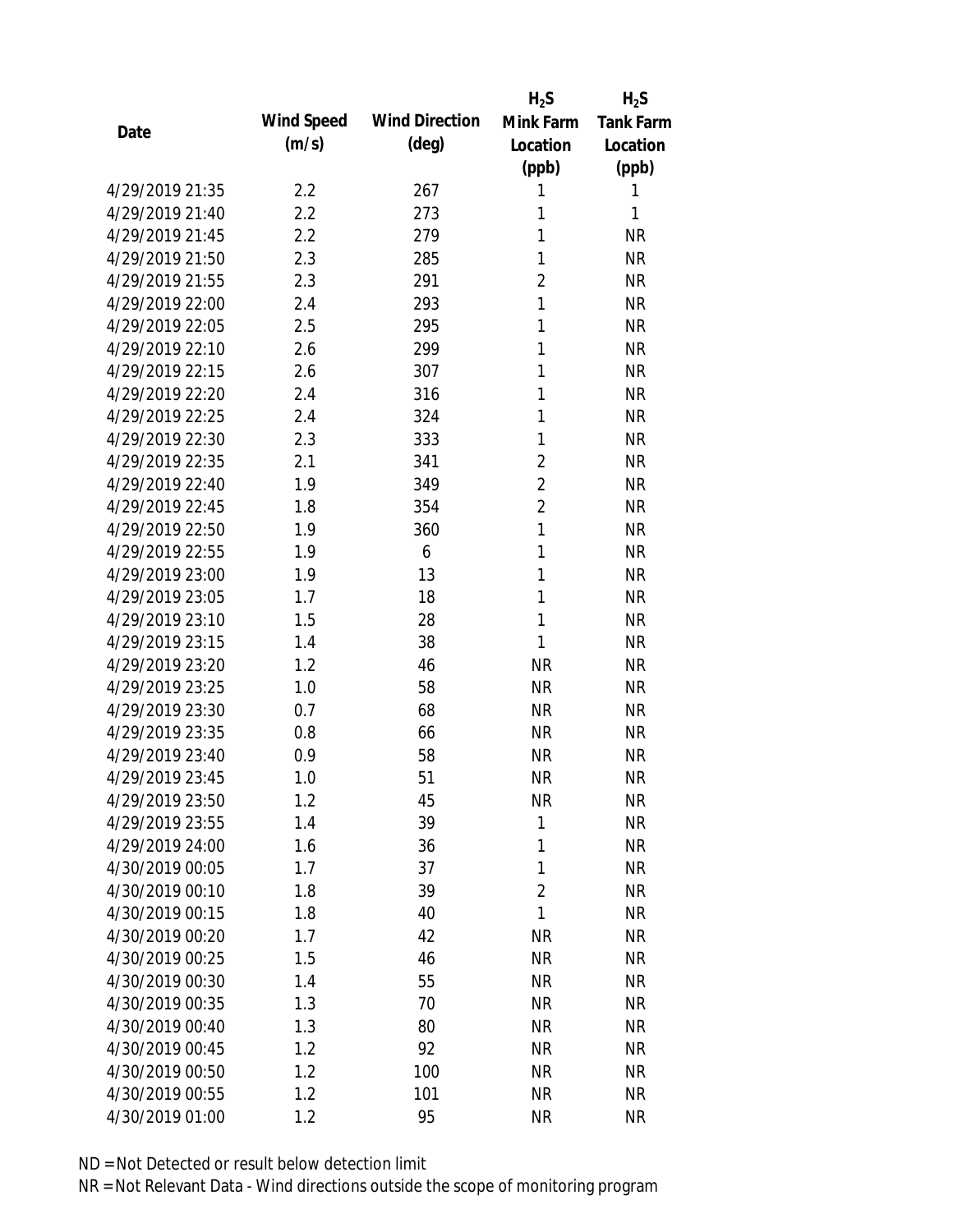|                 |            |                       | $H_2S$         | $H_2S$           |
|-----------------|------------|-----------------------|----------------|------------------|
| Date            | Wind Speed | <b>Wind Direction</b> | Mink Farm      | <b>Tank Farm</b> |
|                 | (m/s)      | $(\text{deg})$        | Location       | Location         |
|                 |            |                       | (ppb)          | (ppb)            |
| 4/29/2019 21:35 | 2.2        | 267                   | 1              | 1                |
| 4/29/2019 21:40 | 2.2        | 273                   | 1              | 1                |
| 4/29/2019 21:45 | 2.2        | 279                   | 1              | <b>NR</b>        |
| 4/29/2019 21:50 | 2.3        | 285                   | 1              | <b>NR</b>        |
| 4/29/2019 21:55 | 2.3        | 291                   | $\overline{2}$ | <b>NR</b>        |
| 4/29/2019 22:00 | 2.4        | 293                   | 1              | <b>NR</b>        |
| 4/29/2019 22:05 | 2.5        | 295                   | 1              | <b>NR</b>        |
| 4/29/2019 22:10 | 2.6        | 299                   | 1              | <b>NR</b>        |
| 4/29/2019 22:15 | 2.6        | 307                   | 1              | <b>NR</b>        |
| 4/29/2019 22:20 | 2.4        | 316                   | 1              | <b>NR</b>        |
| 4/29/2019 22:25 | 2.4        | 324                   | 1              | <b>NR</b>        |
| 4/29/2019 22:30 | 2.3        | 333                   | 1              | <b>NR</b>        |
| 4/29/2019 22:35 | 2.1        | 341                   | $\overline{2}$ | <b>NR</b>        |
| 4/29/2019 22:40 | 1.9        | 349                   | $\overline{2}$ | <b>NR</b>        |
| 4/29/2019 22:45 | 1.8        | 354                   | $\overline{2}$ | <b>NR</b>        |
| 4/29/2019 22:50 | 1.9        | 360                   | 1              | <b>NR</b>        |
| 4/29/2019 22:55 | 1.9        | 6                     | 1              | <b>NR</b>        |
| 4/29/2019 23:00 | 1.9        | 13                    | 1              | <b>NR</b>        |
| 4/29/2019 23:05 | 1.7        | 18                    | 1              | <b>NR</b>        |
| 4/29/2019 23:10 | 1.5        | 28                    | 1              | <b>NR</b>        |
| 4/29/2019 23:15 | 1.4        | 38                    | 1              | <b>NR</b>        |
| 4/29/2019 23:20 | 1.2        | 46                    | <b>NR</b>      | <b>NR</b>        |
| 4/29/2019 23:25 | 1.0        | 58                    | <b>NR</b>      | <b>NR</b>        |
| 4/29/2019 23:30 | 0.7        | 68                    | <b>NR</b>      | <b>NR</b>        |
| 4/29/2019 23:35 | 0.8        | 66                    | <b>NR</b>      | <b>NR</b>        |
| 4/29/2019 23:40 | 0.9        | 58                    | <b>NR</b>      | <b>NR</b>        |
| 4/29/2019 23:45 | 1.0        | 51                    | <b>NR</b>      | <b>NR</b>        |
| 4/29/2019 23:50 | 1.2        | 45                    | <b>NR</b>      | <b>NR</b>        |
| 4/29/2019 23:55 | 1.4        | 39                    | $\mathbf{1}$   | <b>NR</b>        |
| 4/29/2019 24:00 | 1.6        | 36                    | 1              | <b>NR</b>        |
| 4/30/2019 00:05 | 1.7        | 37                    | 1              | <b>NR</b>        |
| 4/30/2019 00:10 | 1.8        | 39                    | $\overline{2}$ | <b>NR</b>        |
| 4/30/2019 00:15 | 1.8        | 40                    | 1              | <b>NR</b>        |
| 4/30/2019 00:20 | 1.7        | 42                    | <b>NR</b>      | <b>NR</b>        |
| 4/30/2019 00:25 | 1.5        | 46                    | <b>NR</b>      | <b>NR</b>        |
| 4/30/2019 00:30 | 1.4        | 55                    | <b>NR</b>      | <b>NR</b>        |
| 4/30/2019 00:35 | 1.3        | 70                    | <b>NR</b>      | <b>NR</b>        |
| 4/30/2019 00:40 | 1.3        | 80                    | <b>NR</b>      | <b>NR</b>        |
| 4/30/2019 00:45 | 1.2        | 92                    | <b>NR</b>      | <b>NR</b>        |
| 4/30/2019 00:50 | 1.2        | 100                   | <b>NR</b>      | <b>NR</b>        |
| 4/30/2019 00:55 | 1.2        | 101                   | <b>NR</b>      | <b>NR</b>        |
| 4/30/2019 01:00 | 1.2        | 95                    | <b>NR</b>      | <b>NR</b>        |
|                 |            |                       |                |                  |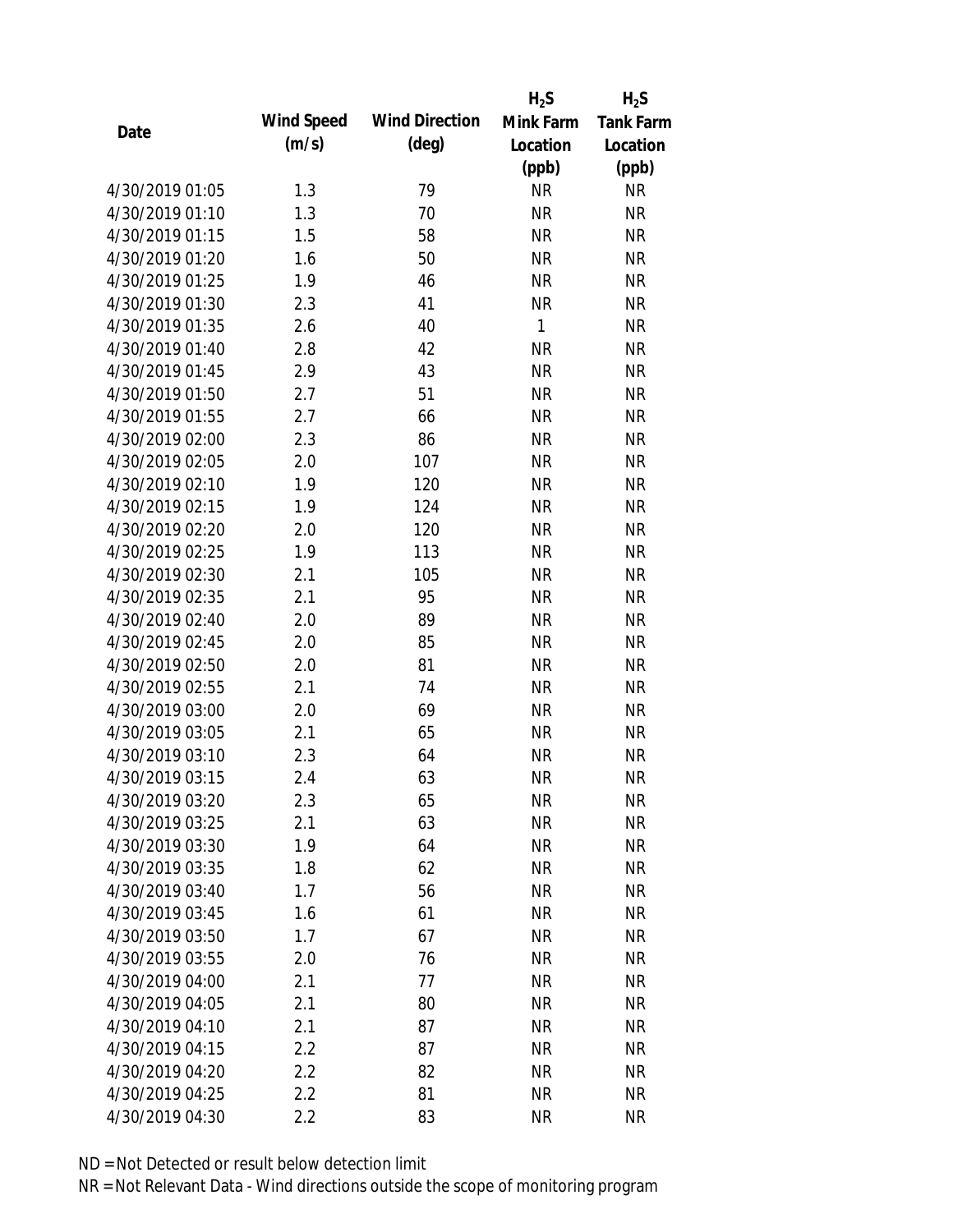|                 |            |                       | $H_2S$       | $H_2S$           |
|-----------------|------------|-----------------------|--------------|------------------|
| Date            | Wind Speed | <b>Wind Direction</b> | Mink Farm    | <b>Tank Farm</b> |
|                 | (m/s)      | $(\text{deg})$        | Location     | Location         |
|                 |            |                       | (ppb)        | (ppb)            |
| 4/30/2019 01:05 | 1.3        | 79                    | <b>NR</b>    | <b>NR</b>        |
| 4/30/2019 01:10 | 1.3        | 70                    | <b>NR</b>    | <b>NR</b>        |
| 4/30/2019 01:15 | 1.5        | 58                    | <b>NR</b>    | <b>NR</b>        |
| 4/30/2019 01:20 | 1.6        | 50                    | <b>NR</b>    | <b>NR</b>        |
| 4/30/2019 01:25 | 1.9        | 46                    | <b>NR</b>    | <b>NR</b>        |
| 4/30/2019 01:30 | 2.3        | 41                    | <b>NR</b>    | <b>NR</b>        |
| 4/30/2019 01:35 | 2.6        | 40                    | $\mathbf{1}$ | <b>NR</b>        |
| 4/30/2019 01:40 | 2.8        | 42                    | <b>NR</b>    | <b>NR</b>        |
| 4/30/2019 01:45 | 2.9        | 43                    | <b>NR</b>    | <b>NR</b>        |
| 4/30/2019 01:50 | 2.7        | 51                    | <b>NR</b>    | <b>NR</b>        |
| 4/30/2019 01:55 | 2.7        | 66                    | <b>NR</b>    | <b>NR</b>        |
| 4/30/2019 02:00 | 2.3        | 86                    | <b>NR</b>    | <b>NR</b>        |
| 4/30/2019 02:05 | 2.0        | 107                   | <b>NR</b>    | <b>NR</b>        |
| 4/30/2019 02:10 | 1.9        | 120                   | <b>NR</b>    | <b>NR</b>        |
| 4/30/2019 02:15 | 1.9        | 124                   | <b>NR</b>    | <b>NR</b>        |
| 4/30/2019 02:20 | 2.0        | 120                   | <b>NR</b>    | <b>NR</b>        |
| 4/30/2019 02:25 | 1.9        | 113                   | <b>NR</b>    | <b>NR</b>        |
| 4/30/2019 02:30 | 2.1        | 105                   | <b>NR</b>    | <b>NR</b>        |
| 4/30/2019 02:35 | 2.1        | 95                    | <b>NR</b>    | <b>NR</b>        |
| 4/30/2019 02:40 | 2.0        | 89                    | <b>NR</b>    | <b>NR</b>        |
| 4/30/2019 02:45 | 2.0        | 85                    | <b>NR</b>    | <b>NR</b>        |
| 4/30/2019 02:50 | 2.0        | 81                    | <b>NR</b>    | <b>NR</b>        |
| 4/30/2019 02:55 | 2.1        | 74                    | <b>NR</b>    | <b>NR</b>        |
| 4/30/2019 03:00 | 2.0        | 69                    | <b>NR</b>    | <b>NR</b>        |
| 4/30/2019 03:05 | 2.1        | 65                    | <b>NR</b>    | <b>NR</b>        |
| 4/30/2019 03:10 | 2.3        | 64                    | <b>NR</b>    | <b>NR</b>        |
| 4/30/2019 03:15 | 2.4        | 63                    | <b>NR</b>    | <b>NR</b>        |
| 4/30/2019 03:20 | 2.3        | 65                    | <b>NR</b>    | <b>NR</b>        |
| 4/30/2019 03:25 | 2.1        | 63                    | <b>NR</b>    | <b>NR</b>        |
| 4/30/2019 03:30 | 1.9        | 64                    | <b>NR</b>    | <b>NR</b>        |
| 4/30/2019 03:35 | 1.8        | 62                    | <b>NR</b>    | <b>NR</b>        |
| 4/30/2019 03:40 | 1.7        | 56                    | <b>NR</b>    | <b>NR</b>        |
| 4/30/2019 03:45 | 1.6        | 61                    | <b>NR</b>    | <b>NR</b>        |
| 4/30/2019 03:50 | 1.7        | 67                    | <b>NR</b>    | <b>NR</b>        |
| 4/30/2019 03:55 | 2.0        | 76                    | <b>NR</b>    | <b>NR</b>        |
| 4/30/2019 04:00 | 2.1        | 77                    | <b>NR</b>    | <b>NR</b>        |
| 4/30/2019 04:05 | 2.1        | 80                    | <b>NR</b>    | <b>NR</b>        |
| 4/30/2019 04:10 | 2.1        | 87                    | <b>NR</b>    | <b>NR</b>        |
| 4/30/2019 04:15 | 2.2        | 87                    | <b>NR</b>    | <b>NR</b>        |
| 4/30/2019 04:20 | 2.2        | 82                    | <b>NR</b>    | <b>NR</b>        |
| 4/30/2019 04:25 | 2.2        | 81                    | <b>NR</b>    | <b>NR</b>        |
| 4/30/2019 04:30 | 2.2        | 83                    | <b>NR</b>    | <b>NR</b>        |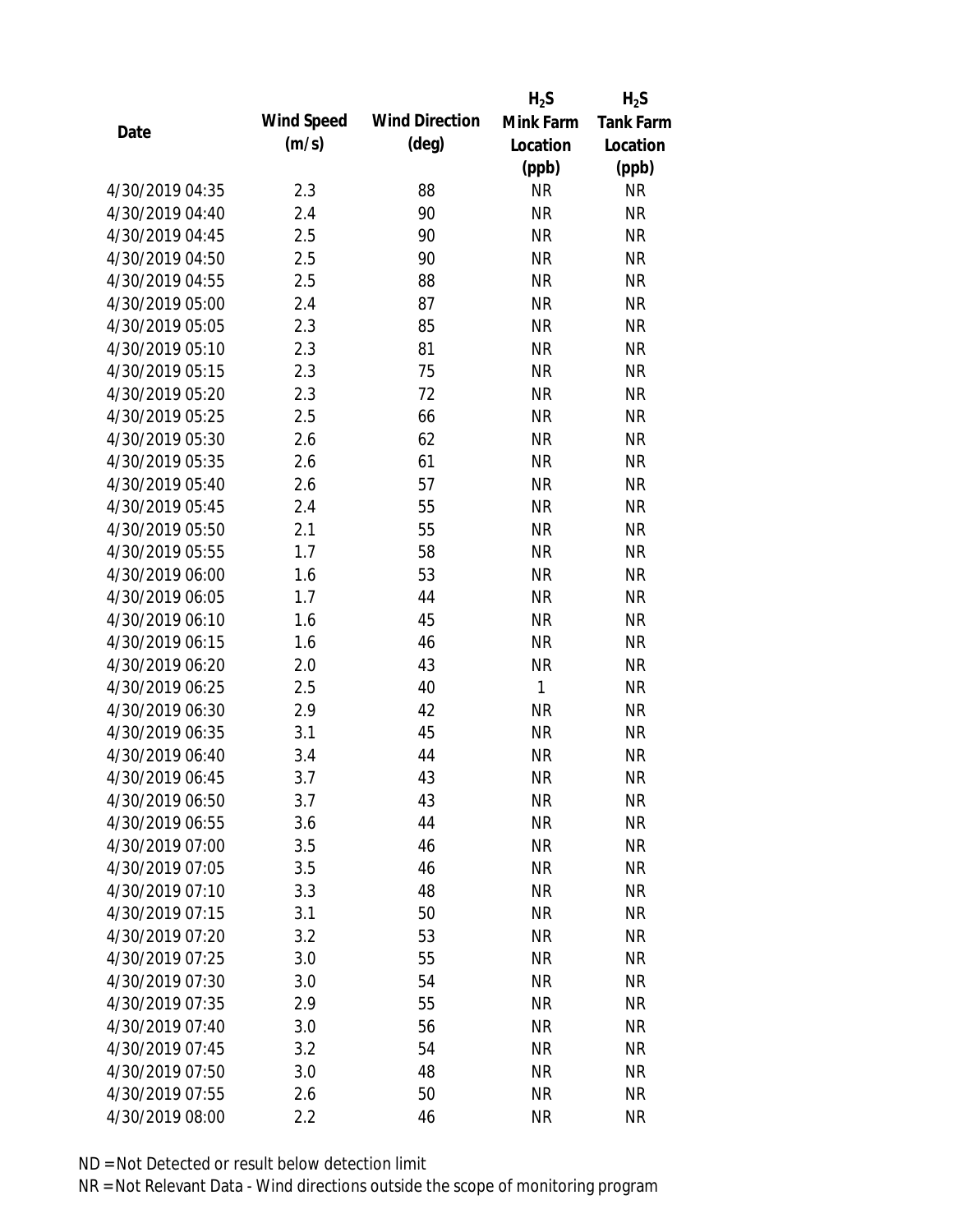|                 |            |                       | $H_2S$       | $H_2S$           |
|-----------------|------------|-----------------------|--------------|------------------|
| Date            | Wind Speed | <b>Wind Direction</b> | Mink Farm    | <b>Tank Farm</b> |
|                 | (m/s)      | $(\text{deg})$        | Location     | Location         |
|                 |            |                       | (ppb)        | (ppb)            |
| 4/30/2019 04:35 | 2.3        | 88                    | <b>NR</b>    | NR               |
| 4/30/2019 04:40 | 2.4        | 90                    | <b>NR</b>    | <b>NR</b>        |
| 4/30/2019 04:45 | 2.5        | 90                    | <b>NR</b>    | <b>NR</b>        |
| 4/30/2019 04:50 | 2.5        | 90                    | <b>NR</b>    | <b>NR</b>        |
| 4/30/2019 04:55 | 2.5        | 88                    | <b>NR</b>    | <b>NR</b>        |
| 4/30/2019 05:00 | 2.4        | 87                    | <b>NR</b>    | <b>NR</b>        |
| 4/30/2019 05:05 | 2.3        | 85                    | <b>NR</b>    | <b>NR</b>        |
| 4/30/2019 05:10 | 2.3        | 81                    | <b>NR</b>    | <b>NR</b>        |
| 4/30/2019 05:15 | 2.3        | 75                    | <b>NR</b>    | <b>NR</b>        |
| 4/30/2019 05:20 | 2.3        | 72                    | <b>NR</b>    | <b>NR</b>        |
| 4/30/2019 05:25 | 2.5        | 66                    | <b>NR</b>    | <b>NR</b>        |
| 4/30/2019 05:30 | 2.6        | 62                    | <b>NR</b>    | <b>NR</b>        |
| 4/30/2019 05:35 | 2.6        | 61                    | <b>NR</b>    | <b>NR</b>        |
| 4/30/2019 05:40 | 2.6        | 57                    | <b>NR</b>    | <b>NR</b>        |
| 4/30/2019 05:45 | 2.4        | 55                    | <b>NR</b>    | <b>NR</b>        |
| 4/30/2019 05:50 | 2.1        | 55                    | <b>NR</b>    | <b>NR</b>        |
| 4/30/2019 05:55 | 1.7        | 58                    | <b>NR</b>    | <b>NR</b>        |
| 4/30/2019 06:00 | 1.6        | 53                    | <b>NR</b>    | <b>NR</b>        |
| 4/30/2019 06:05 | 1.7        | 44                    | <b>NR</b>    | <b>NR</b>        |
| 4/30/2019 06:10 | 1.6        | 45                    | <b>NR</b>    | <b>NR</b>        |
| 4/30/2019 06:15 | 1.6        | 46                    | <b>NR</b>    | <b>NR</b>        |
| 4/30/2019 06:20 | 2.0        | 43                    | <b>NR</b>    | <b>NR</b>        |
| 4/30/2019 06:25 | 2.5        | 40                    | $\mathbf{1}$ | <b>NR</b>        |
| 4/30/2019 06:30 | 2.9        | 42                    | <b>NR</b>    | <b>NR</b>        |
| 4/30/2019 06:35 | 3.1        | 45                    | <b>NR</b>    | <b>NR</b>        |
| 4/30/2019 06:40 | 3.4        | 44                    | <b>NR</b>    | <b>NR</b>        |
| 4/30/2019 06:45 | 3.7        | 43                    | <b>NR</b>    | <b>NR</b>        |
| 4/30/2019 06:50 | 3.7        | 43                    | <b>NR</b>    | <b>NR</b>        |
| 4/30/2019 06:55 | 3.6        | 44                    | <b>NR</b>    | <b>NR</b>        |
| 4/30/2019 07:00 | 3.5        | 46                    | <b>NR</b>    | <b>NR</b>        |
| 4/30/2019 07:05 | 3.5        | 46                    | <b>NR</b>    | <b>NR</b>        |
| 4/30/2019 07:10 | 3.3        | 48                    | <b>NR</b>    | <b>NR</b>        |
| 4/30/2019 07:15 | 3.1        | 50                    | <b>NR</b>    | <b>NR</b>        |
| 4/30/2019 07:20 | 3.2        | 53                    | <b>NR</b>    | <b>NR</b>        |
| 4/30/2019 07:25 | 3.0        | 55                    | <b>NR</b>    | <b>NR</b>        |
| 4/30/2019 07:30 | 3.0        | 54                    | <b>NR</b>    | <b>NR</b>        |
| 4/30/2019 07:35 | 2.9        | 55                    | <b>NR</b>    | <b>NR</b>        |
| 4/30/2019 07:40 | 3.0        | 56                    | NR           | <b>NR</b>        |
| 4/30/2019 07:45 | 3.2        | 54                    | <b>NR</b>    | <b>NR</b>        |
| 4/30/2019 07:50 | 3.0        | 48                    | <b>NR</b>    | NR               |
| 4/30/2019 07:55 | 2.6        | 50                    | <b>NR</b>    | <b>NR</b>        |
| 4/30/2019 08:00 | 2.2        | 46                    | <b>NR</b>    | <b>NR</b>        |
|                 |            |                       |              |                  |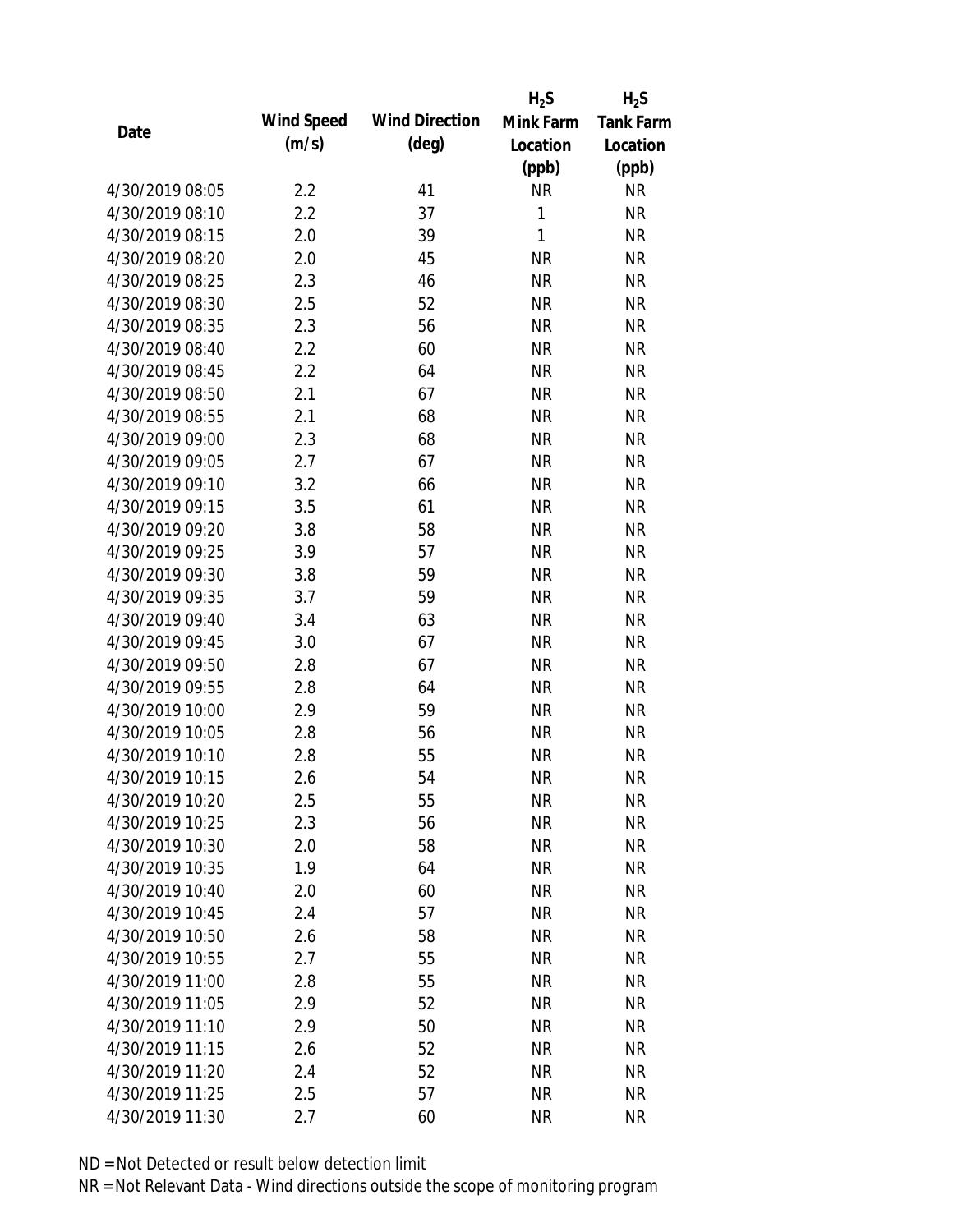|                 |            |                       | $H_2S$    | $H_2S$           |
|-----------------|------------|-----------------------|-----------|------------------|
|                 | Wind Speed | <b>Wind Direction</b> | Mink Farm | <b>Tank Farm</b> |
| Date            | (m/s)      | $(\text{deg})$        | Location  | Location         |
|                 |            |                       | (ppb)     | (ppb)            |
| 4/30/2019 08:05 | 2.2        | 41                    | <b>NR</b> | <b>NR</b>        |
| 4/30/2019 08:10 | 2.2        | 37                    | 1         | <b>NR</b>        |
| 4/30/2019 08:15 | 2.0        | 39                    | 1         | <b>NR</b>        |
| 4/30/2019 08:20 | 2.0        | 45                    | <b>NR</b> | <b>NR</b>        |
| 4/30/2019 08:25 | 2.3        | 46                    | <b>NR</b> | <b>NR</b>        |
| 4/30/2019 08:30 | 2.5        | 52                    | <b>NR</b> | <b>NR</b>        |
| 4/30/2019 08:35 | 2.3        | 56                    | <b>NR</b> | <b>NR</b>        |
| 4/30/2019 08:40 | 2.2        | 60                    | <b>NR</b> | <b>NR</b>        |
| 4/30/2019 08:45 | 2.2        | 64                    | <b>NR</b> | <b>NR</b>        |
| 4/30/2019 08:50 | 2.1        | 67                    | <b>NR</b> | <b>NR</b>        |
| 4/30/2019 08:55 | 2.1        | 68                    | <b>NR</b> | <b>NR</b>        |
| 4/30/2019 09:00 | 2.3        | 68                    | <b>NR</b> | <b>NR</b>        |
| 4/30/2019 09:05 | 2.7        | 67                    | <b>NR</b> | <b>NR</b>        |
| 4/30/2019 09:10 | 3.2        | 66                    | <b>NR</b> | <b>NR</b>        |
| 4/30/2019 09:15 | 3.5        | 61                    | <b>NR</b> | <b>NR</b>        |
| 4/30/2019 09:20 | 3.8        | 58                    | <b>NR</b> | <b>NR</b>        |
| 4/30/2019 09:25 | 3.9        | 57                    | <b>NR</b> | <b>NR</b>        |
| 4/30/2019 09:30 | 3.8        | 59                    | <b>NR</b> | <b>NR</b>        |
| 4/30/2019 09:35 | 3.7        | 59                    | <b>NR</b> | <b>NR</b>        |
| 4/30/2019 09:40 | 3.4        | 63                    | <b>NR</b> | <b>NR</b>        |
| 4/30/2019 09:45 | 3.0        | 67                    | <b>NR</b> | <b>NR</b>        |
| 4/30/2019 09:50 | 2.8        | 67                    | <b>NR</b> | <b>NR</b>        |
| 4/30/2019 09:55 | 2.8        | 64                    | <b>NR</b> | <b>NR</b>        |
| 4/30/2019 10:00 | 2.9        | 59                    | <b>NR</b> | <b>NR</b>        |
| 4/30/2019 10:05 | 2.8        | 56                    | <b>NR</b> | <b>NR</b>        |
| 4/30/2019 10:10 | 2.8        | 55                    | <b>NR</b> | <b>NR</b>        |
| 4/30/2019 10:15 | 2.6        | 54                    | <b>NR</b> | <b>NR</b>        |
| 4/30/2019 10:20 | 2.5        | 55                    | <b>NR</b> | <b>NR</b>        |
| 4/30/2019 10:25 | 2.3        | 56                    | <b>NR</b> | <b>NR</b>        |
| 4/30/2019 10:30 | 2.0        | 58                    | <b>NR</b> | <b>NR</b>        |
| 4/30/2019 10:35 | 1.9        | 64                    | <b>NR</b> | <b>NR</b>        |
| 4/30/2019 10:40 | 2.0        | 60                    | <b>NR</b> | <b>NR</b>        |
| 4/30/2019 10:45 | 2.4        | 57                    | <b>NR</b> | <b>NR</b>        |
| 4/30/2019 10:50 | 2.6        | 58                    | <b>NR</b> | <b>NR</b>        |
| 4/30/2019 10:55 | 2.7        | 55                    | <b>NR</b> | <b>NR</b>        |
| 4/30/2019 11:00 | 2.8        | 55                    | <b>NR</b> | <b>NR</b>        |
| 4/30/2019 11:05 | 2.9        | 52                    | <b>NR</b> | <b>NR</b>        |
| 4/30/2019 11:10 | 2.9        | 50                    | <b>NR</b> | <b>NR</b>        |
| 4/30/2019 11:15 | 2.6        | 52                    | <b>NR</b> | <b>NR</b>        |
| 4/30/2019 11:20 | 2.4        | 52                    | <b>NR</b> | <b>NR</b>        |
| 4/30/2019 11:25 | 2.5        | 57                    | <b>NR</b> | <b>NR</b>        |
| 4/30/2019 11:30 | 2.7        | 60                    | <b>NR</b> | <b>NR</b>        |
|                 |            |                       |           |                  |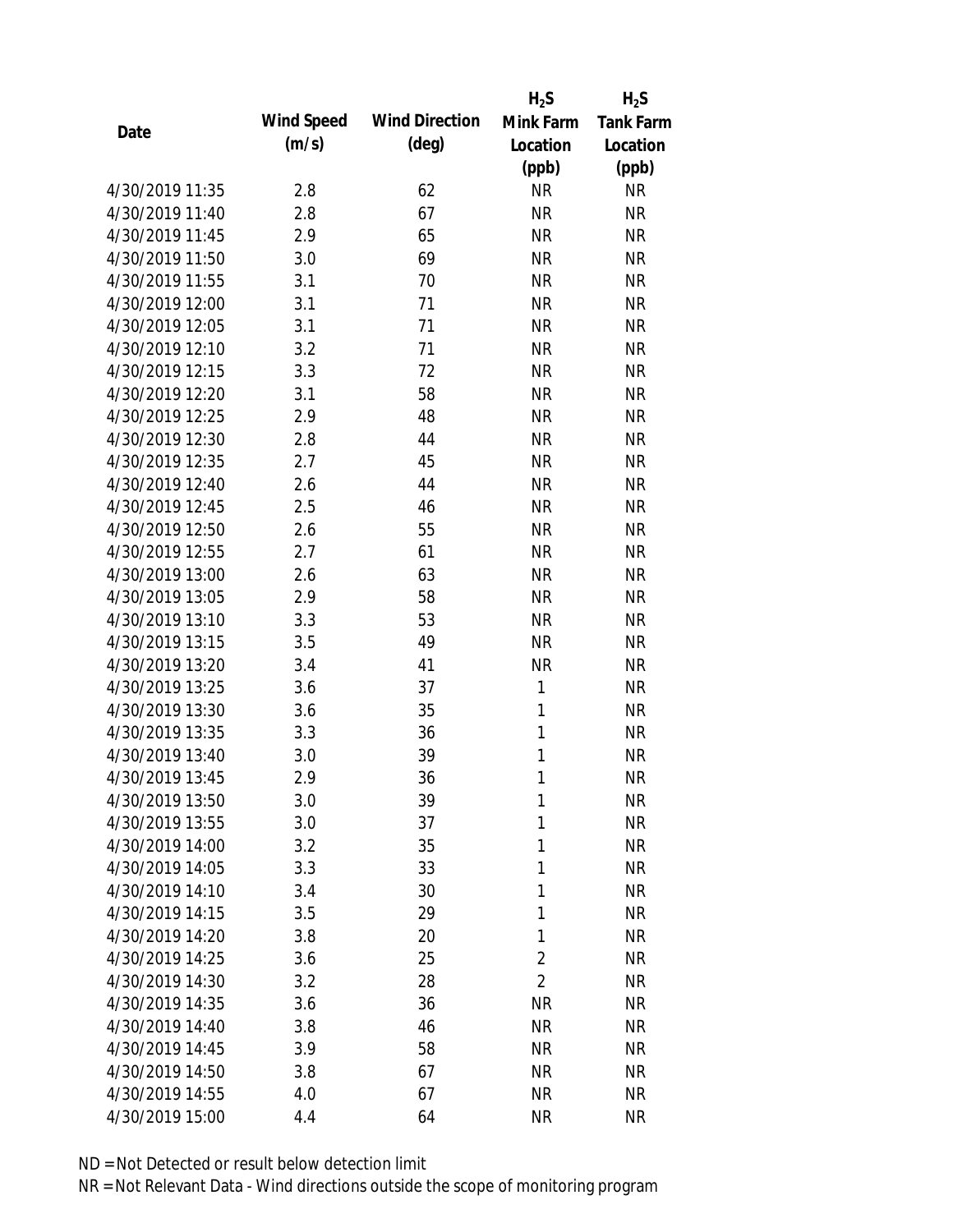|                 |            |                       | $H_2S$         | $H_2S$           |
|-----------------|------------|-----------------------|----------------|------------------|
| Date            | Wind Speed | <b>Wind Direction</b> | Mink Farm      | <b>Tank Farm</b> |
|                 | (m/s)      | $(\text{deg})$        | Location       | Location         |
|                 |            |                       | (ppb)          | (ppb)            |
| 4/30/2019 11:35 | 2.8        | 62                    | <b>NR</b>      | <b>NR</b>        |
| 4/30/2019 11:40 | 2.8        | 67                    | <b>NR</b>      | <b>NR</b>        |
| 4/30/2019 11:45 | 2.9        | 65                    | <b>NR</b>      | <b>NR</b>        |
| 4/30/2019 11:50 | 3.0        | 69                    | <b>NR</b>      | <b>NR</b>        |
| 4/30/2019 11:55 | 3.1        | 70                    | <b>NR</b>      | <b>NR</b>        |
| 4/30/2019 12:00 | 3.1        | 71                    | <b>NR</b>      | <b>NR</b>        |
| 4/30/2019 12:05 | 3.1        | 71                    | <b>NR</b>      | <b>NR</b>        |
| 4/30/2019 12:10 | 3.2        | 71                    | <b>NR</b>      | <b>NR</b>        |
| 4/30/2019 12:15 | 3.3        | 72                    | <b>NR</b>      | <b>NR</b>        |
| 4/30/2019 12:20 | 3.1        | 58                    | <b>NR</b>      | <b>NR</b>        |
| 4/30/2019 12:25 | 2.9        | 48                    | <b>NR</b>      | <b>NR</b>        |
| 4/30/2019 12:30 | 2.8        | 44                    | <b>NR</b>      | <b>NR</b>        |
| 4/30/2019 12:35 | 2.7        | 45                    | <b>NR</b>      | <b>NR</b>        |
| 4/30/2019 12:40 | 2.6        | 44                    | <b>NR</b>      | <b>NR</b>        |
| 4/30/2019 12:45 | 2.5        | 46                    | <b>NR</b>      | <b>NR</b>        |
| 4/30/2019 12:50 | 2.6        | 55                    | <b>NR</b>      | <b>NR</b>        |
| 4/30/2019 12:55 | 2.7        | 61                    | <b>NR</b>      | <b>NR</b>        |
| 4/30/2019 13:00 | 2.6        | 63                    | <b>NR</b>      | <b>NR</b>        |
| 4/30/2019 13:05 | 2.9        | 58                    | <b>NR</b>      | <b>NR</b>        |
| 4/30/2019 13:10 | 3.3        | 53                    | <b>NR</b>      | <b>NR</b>        |
| 4/30/2019 13:15 | 3.5        | 49                    | <b>NR</b>      | <b>NR</b>        |
| 4/30/2019 13:20 | 3.4        | 41                    | <b>NR</b>      | <b>NR</b>        |
| 4/30/2019 13:25 | 3.6        | 37                    | 1              | <b>NR</b>        |
| 4/30/2019 13:30 | 3.6        | 35                    | 1              | <b>NR</b>        |
| 4/30/2019 13:35 | 3.3        | 36                    | 1              | <b>NR</b>        |
| 4/30/2019 13:40 | 3.0        | 39                    | 1              | <b>NR</b>        |
| 4/30/2019 13:45 | 2.9        | 36                    | 1              | <b>NR</b>        |
| 4/30/2019 13:50 | 3.0        | 39                    | 1              | <b>NR</b>        |
| 4/30/2019 13:55 | 3.0        | 37                    | 1              | <b>NR</b>        |
| 4/30/2019 14:00 | 3.2        | 35                    | 1              | <b>NR</b>        |
| 4/30/2019 14:05 | 3.3        | 33                    | 1              | <b>NR</b>        |
| 4/30/2019 14:10 | 3.4        | 30                    | 1              | <b>NR</b>        |
| 4/30/2019 14:15 | 3.5        | 29                    | 1              | <b>NR</b>        |
| 4/30/2019 14:20 | 3.8        | 20                    | 1              | <b>NR</b>        |
| 4/30/2019 14:25 | 3.6        | 25                    | $\overline{2}$ | <b>NR</b>        |
| 4/30/2019 14:30 | 3.2        | 28                    | $\overline{2}$ | <b>NR</b>        |
| 4/30/2019 14:35 | 3.6        | 36                    | <b>NR</b>      | <b>NR</b>        |
| 4/30/2019 14:40 | 3.8        | 46                    | <b>NR</b>      | <b>NR</b>        |
| 4/30/2019 14:45 | 3.9        | 58                    | <b>NR</b>      | NR               |
| 4/30/2019 14:50 | 3.8        | 67                    | <b>NR</b>      | NR               |
| 4/30/2019 14:55 | 4.0        | 67                    | <b>NR</b>      | <b>NR</b>        |
| 4/30/2019 15:00 | 4.4        | 64                    | <b>NR</b>      | <b>NR</b>        |
|                 |            |                       |                |                  |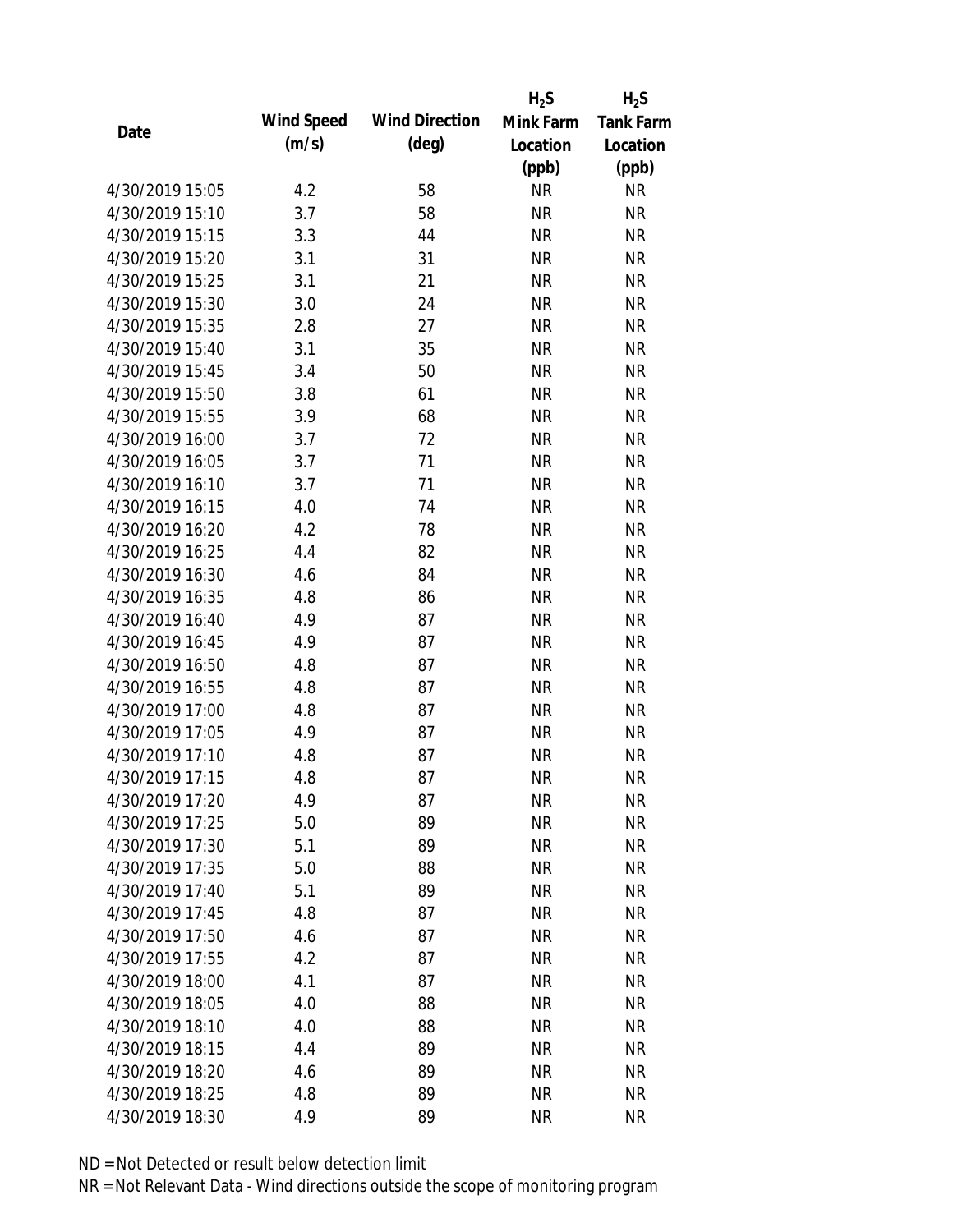|                 |            |                       | $H_2S$    | $H_2S$           |
|-----------------|------------|-----------------------|-----------|------------------|
| Date            | Wind Speed | <b>Wind Direction</b> | Mink Farm | <b>Tank Farm</b> |
|                 | (m/s)      | $(\text{deg})$        | Location  | Location         |
|                 |            |                       | (ppb)     | (ppb)            |
| 4/30/2019 15:05 | 4.2        | 58                    | <b>NR</b> | NR               |
| 4/30/2019 15:10 | 3.7        | 58                    | <b>NR</b> | <b>NR</b>        |
| 4/30/2019 15:15 | 3.3        | 44                    | <b>NR</b> | <b>NR</b>        |
| 4/30/2019 15:20 | 3.1        | 31                    | <b>NR</b> | <b>NR</b>        |
| 4/30/2019 15:25 | 3.1        | 21                    | <b>NR</b> | <b>NR</b>        |
| 4/30/2019 15:30 | 3.0        | 24                    | <b>NR</b> | <b>NR</b>        |
| 4/30/2019 15:35 | 2.8        | 27                    | <b>NR</b> | <b>NR</b>        |
| 4/30/2019 15:40 | 3.1        | 35                    | <b>NR</b> | <b>NR</b>        |
| 4/30/2019 15:45 | 3.4        | 50                    | <b>NR</b> | <b>NR</b>        |
| 4/30/2019 15:50 | 3.8        | 61                    | <b>NR</b> | <b>NR</b>        |
| 4/30/2019 15:55 | 3.9        | 68                    | <b>NR</b> | <b>NR</b>        |
| 4/30/2019 16:00 | 3.7        | 72                    | <b>NR</b> | <b>NR</b>        |
| 4/30/2019 16:05 | 3.7        | 71                    | <b>NR</b> | <b>NR</b>        |
| 4/30/2019 16:10 | 3.7        | 71                    | <b>NR</b> | <b>NR</b>        |
| 4/30/2019 16:15 | 4.0        | 74                    | <b>NR</b> | <b>NR</b>        |
| 4/30/2019 16:20 | 4.2        | 78                    | <b>NR</b> | <b>NR</b>        |
| 4/30/2019 16:25 | 4.4        | 82                    | <b>NR</b> | <b>NR</b>        |
| 4/30/2019 16:30 | 4.6        | 84                    | <b>NR</b> | <b>NR</b>        |
| 4/30/2019 16:35 | 4.8        | 86                    | <b>NR</b> | <b>NR</b>        |
| 4/30/2019 16:40 | 4.9        | 87                    | <b>NR</b> | <b>NR</b>        |
| 4/30/2019 16:45 | 4.9        | 87                    | <b>NR</b> | <b>NR</b>        |
| 4/30/2019 16:50 | 4.8        | 87                    | <b>NR</b> | <b>NR</b>        |
| 4/30/2019 16:55 | 4.8        | 87                    | <b>NR</b> | <b>NR</b>        |
| 4/30/2019 17:00 | 4.8        | 87                    | <b>NR</b> | <b>NR</b>        |
| 4/30/2019 17:05 | 4.9        | 87                    | <b>NR</b> | <b>NR</b>        |
| 4/30/2019 17:10 | 4.8        | 87                    | <b>NR</b> | <b>NR</b>        |
| 4/30/2019 17:15 | 4.8        | 87                    | <b>NR</b> | <b>NR</b>        |
| 4/30/2019 17:20 | 4.9        | 87                    | <b>NR</b> | <b>NR</b>        |
| 4/30/2019 17:25 | 5.0        | 89                    | <b>NR</b> | <b>NR</b>        |
| 4/30/2019 17:30 | 5.1        | 89                    | <b>NR</b> | <b>NR</b>        |
| 4/30/2019 17:35 | 5.0        | 88                    | <b>NR</b> | <b>NR</b>        |
| 4/30/2019 17:40 | 5.1        | 89                    | <b>NR</b> | <b>NR</b>        |
| 4/30/2019 17:45 | 4.8        | 87                    | <b>NR</b> | <b>NR</b>        |
| 4/30/2019 17:50 | 4.6        | 87                    | <b>NR</b> | <b>NR</b>        |
| 4/30/2019 17:55 | 4.2        | 87                    | <b>NR</b> | <b>NR</b>        |
| 4/30/2019 18:00 | 4.1        | 87                    | <b>NR</b> | <b>NR</b>        |
| 4/30/2019 18:05 | 4.0        | 88                    | <b>NR</b> | <b>NR</b>        |
| 4/30/2019 18:10 | 4.0        | 88                    | NR        | <b>NR</b>        |
| 4/30/2019 18:15 | 4.4        | 89                    | <b>NR</b> | <b>NR</b>        |
| 4/30/2019 18:20 | 4.6        | 89                    | <b>NR</b> | <b>NR</b>        |
| 4/30/2019 18:25 | 4.8        | 89                    | <b>NR</b> | <b>NR</b>        |
| 4/30/2019 18:30 | 4.9        | 89                    | <b>NR</b> | <b>NR</b>        |
|                 |            |                       |           |                  |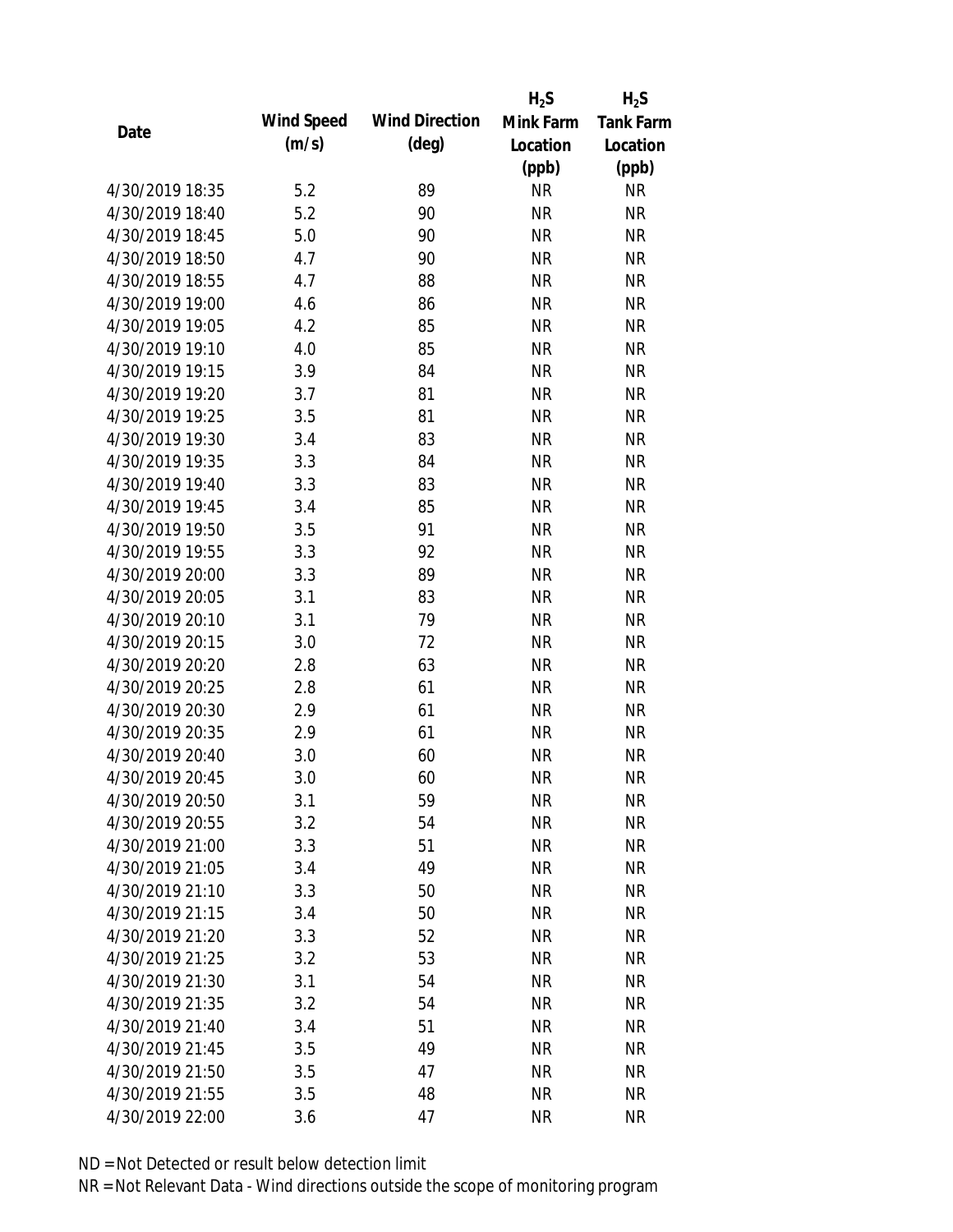|                 |            |                       | $H_2S$    | $H_2S$           |
|-----------------|------------|-----------------------|-----------|------------------|
| Date            | Wind Speed | <b>Wind Direction</b> | Mink Farm | <b>Tank Farm</b> |
|                 | (m/s)      | $(\text{deg})$        | Location  | Location         |
|                 |            |                       | (ppb)     | (ppb)            |
| 4/30/2019 18:35 | 5.2        | 89                    | <b>NR</b> | <b>NR</b>        |
| 4/30/2019 18:40 | 5.2        | 90                    | <b>NR</b> | <b>NR</b>        |
| 4/30/2019 18:45 | 5.0        | 90                    | <b>NR</b> | <b>NR</b>        |
| 4/30/2019 18:50 | 4.7        | 90                    | <b>NR</b> | <b>NR</b>        |
| 4/30/2019 18:55 | 4.7        | 88                    | <b>NR</b> | <b>NR</b>        |
| 4/30/2019 19:00 | 4.6        | 86                    | <b>NR</b> | <b>NR</b>        |
| 4/30/2019 19:05 | 4.2        | 85                    | <b>NR</b> | <b>NR</b>        |
| 4/30/2019 19:10 | 4.0        | 85                    | <b>NR</b> | <b>NR</b>        |
| 4/30/2019 19:15 | 3.9        | 84                    | <b>NR</b> | <b>NR</b>        |
| 4/30/2019 19:20 | 3.7        | 81                    | <b>NR</b> | <b>NR</b>        |
| 4/30/2019 19:25 | 3.5        | 81                    | <b>NR</b> | <b>NR</b>        |
| 4/30/2019 19:30 | 3.4        | 83                    | <b>NR</b> | <b>NR</b>        |
| 4/30/2019 19:35 | 3.3        | 84                    | <b>NR</b> | <b>NR</b>        |
| 4/30/2019 19:40 | 3.3        | 83                    | <b>NR</b> | <b>NR</b>        |
| 4/30/2019 19:45 | 3.4        | 85                    | <b>NR</b> | <b>NR</b>        |
| 4/30/2019 19:50 | 3.5        | 91                    | <b>NR</b> | <b>NR</b>        |
| 4/30/2019 19:55 | 3.3        | 92                    | <b>NR</b> | <b>NR</b>        |
| 4/30/2019 20:00 | 3.3        | 89                    | <b>NR</b> | <b>NR</b>        |
| 4/30/2019 20:05 | 3.1        | 83                    | <b>NR</b> | <b>NR</b>        |
| 4/30/2019 20:10 | 3.1        | 79                    | <b>NR</b> | <b>NR</b>        |
| 4/30/2019 20:15 | 3.0        | 72                    | <b>NR</b> | <b>NR</b>        |
| 4/30/2019 20:20 | 2.8        | 63                    | <b>NR</b> | <b>NR</b>        |
| 4/30/2019 20:25 | 2.8        | 61                    | <b>NR</b> | <b>NR</b>        |
| 4/30/2019 20:30 | 2.9        | 61                    | <b>NR</b> | <b>NR</b>        |
| 4/30/2019 20:35 | 2.9        | 61                    | <b>NR</b> | <b>NR</b>        |
| 4/30/2019 20:40 | 3.0        | 60                    | <b>NR</b> | <b>NR</b>        |
| 4/30/2019 20:45 | 3.0        | 60                    | <b>NR</b> | <b>NR</b>        |
| 4/30/2019 20:50 | 3.1        | 59                    | <b>NR</b> | <b>NR</b>        |
| 4/30/2019 20:55 | 3.2        | 54                    | <b>NR</b> | <b>NR</b>        |
| 4/30/2019 21:00 | 3.3        | 51                    | <b>NR</b> | <b>NR</b>        |
| 4/30/2019 21:05 | 3.4        | 49                    | <b>NR</b> | <b>NR</b>        |
| 4/30/2019 21:10 | 3.3        | 50                    | <b>NR</b> | <b>NR</b>        |
| 4/30/2019 21:15 | 3.4        | 50                    | <b>NR</b> | <b>NR</b>        |
| 4/30/2019 21:20 | 3.3        | 52                    | <b>NR</b> | <b>NR</b>        |
| 4/30/2019 21:25 | 3.2        | 53                    | <b>NR</b> | <b>NR</b>        |
| 4/30/2019 21:30 | 3.1        | 54                    | <b>NR</b> | <b>NR</b>        |
| 4/30/2019 21:35 | 3.2        | 54                    | <b>NR</b> | <b>NR</b>        |
| 4/30/2019 21:40 | 3.4        | 51                    | <b>NR</b> | <b>NR</b>        |
| 4/30/2019 21:45 | 3.5        | 49                    | <b>NR</b> | <b>NR</b>        |
| 4/30/2019 21:50 | 3.5        | 47                    | <b>NR</b> | <b>NR</b>        |
| 4/30/2019 21:55 | 3.5        | 48                    | <b>NR</b> | <b>NR</b>        |
| 4/30/2019 22:00 | 3.6        | 47                    | <b>NR</b> | <b>NR</b>        |
|                 |            |                       |           |                  |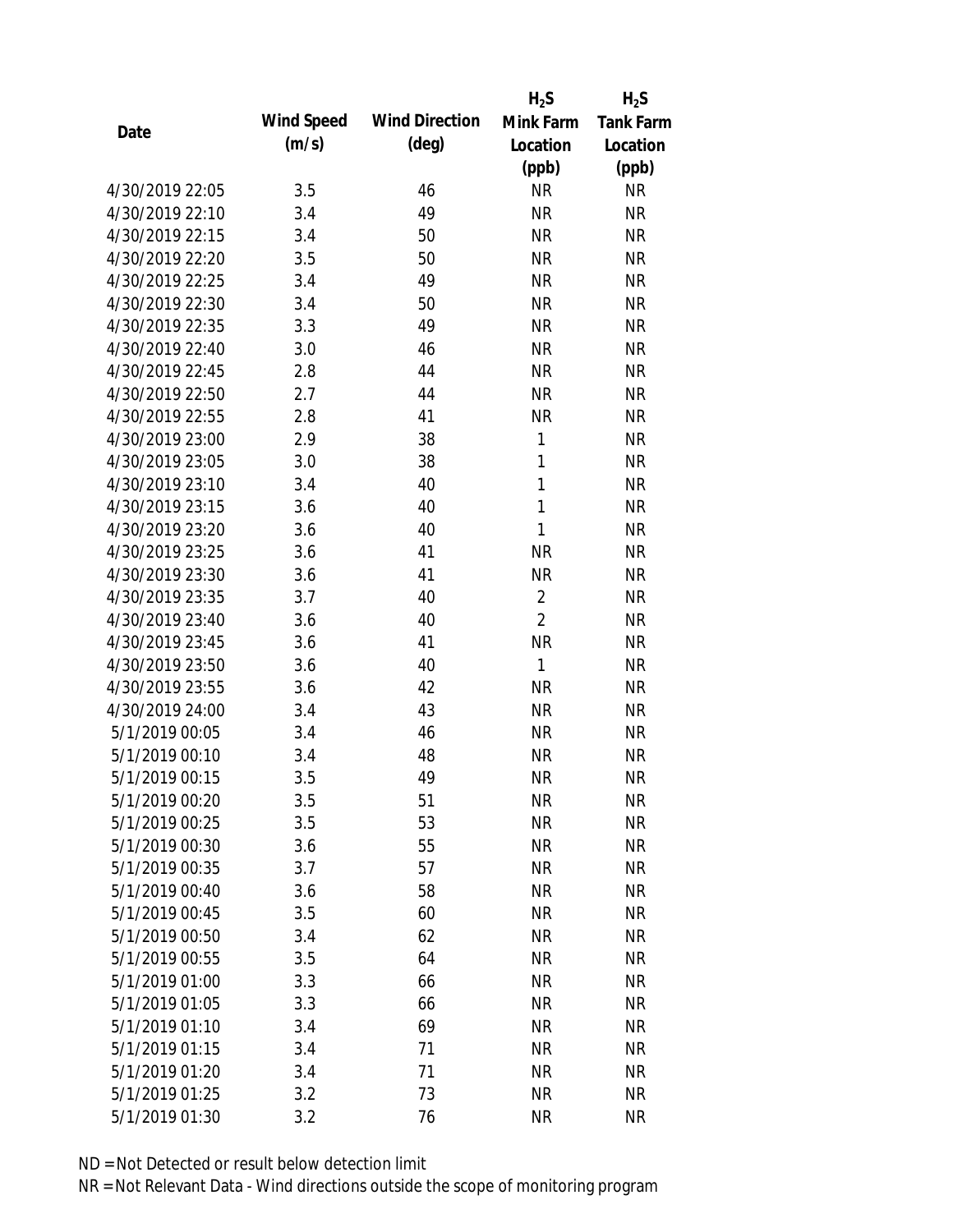|                 |            |                       | $H_2S$         | $H_2S$           |
|-----------------|------------|-----------------------|----------------|------------------|
| Date            | Wind Speed | <b>Wind Direction</b> | Mink Farm      | <b>Tank Farm</b> |
|                 | (m/s)      | $(\text{deg})$        | Location       | Location         |
|                 |            |                       | (ppb)          | (ppb)            |
| 4/30/2019 22:05 | 3.5        | 46                    | <b>NR</b>      | <b>NR</b>        |
| 4/30/2019 22:10 | 3.4        | 49                    | <b>NR</b>      | <b>NR</b>        |
| 4/30/2019 22:15 | 3.4        | 50                    | <b>NR</b>      | <b>NR</b>        |
| 4/30/2019 22:20 | 3.5        | 50                    | <b>NR</b>      | <b>NR</b>        |
| 4/30/2019 22:25 | 3.4        | 49                    | <b>NR</b>      | <b>NR</b>        |
| 4/30/2019 22:30 | 3.4        | 50                    | <b>NR</b>      | <b>NR</b>        |
| 4/30/2019 22:35 | 3.3        | 49                    | <b>NR</b>      | <b>NR</b>        |
| 4/30/2019 22:40 | 3.0        | 46                    | <b>NR</b>      | <b>NR</b>        |
| 4/30/2019 22:45 | 2.8        | 44                    | <b>NR</b>      | <b>NR</b>        |
| 4/30/2019 22:50 | 2.7        | 44                    | <b>NR</b>      | <b>NR</b>        |
| 4/30/2019 22:55 | 2.8        | 41                    | <b>NR</b>      | <b>NR</b>        |
| 4/30/2019 23:00 | 2.9        | 38                    | 1              | <b>NR</b>        |
| 4/30/2019 23:05 | 3.0        | 38                    | $\mathbf{1}$   | <b>NR</b>        |
| 4/30/2019 23:10 | 3.4        | 40                    | $\mathbf{1}$   | <b>NR</b>        |
| 4/30/2019 23:15 | 3.6        | 40                    | $\mathbf{1}$   | <b>NR</b>        |
| 4/30/2019 23:20 | 3.6        | 40                    | 1              | <b>NR</b>        |
| 4/30/2019 23:25 | 3.6        | 41                    | <b>NR</b>      | <b>NR</b>        |
| 4/30/2019 23:30 | 3.6        | 41                    | <b>NR</b>      | <b>NR</b>        |
| 4/30/2019 23:35 | 3.7        | 40                    | $\overline{2}$ | <b>NR</b>        |
| 4/30/2019 23:40 | 3.6        | 40                    | $\overline{2}$ | <b>NR</b>        |
| 4/30/2019 23:45 | 3.6        | 41                    | <b>NR</b>      | <b>NR</b>        |
| 4/30/2019 23:50 | 3.6        | 40                    | $\mathbf{1}$   | <b>NR</b>        |
| 4/30/2019 23:55 | 3.6        | 42                    | <b>NR</b>      | <b>NR</b>        |
| 4/30/2019 24:00 | 3.4        | 43                    | <b>NR</b>      | <b>NR</b>        |
| 5/1/2019 00:05  | 3.4        | 46                    | <b>NR</b>      | <b>NR</b>        |
| 5/1/2019 00:10  | 3.4        | 48                    | <b>NR</b>      | <b>NR</b>        |
| 5/1/2019 00:15  | 3.5        | 49                    | <b>NR</b>      | <b>NR</b>        |
| 5/1/2019 00:20  | 3.5        | 51                    | <b>NR</b>      | <b>NR</b>        |
| 5/1/2019 00:25  | 3.5        | 53                    | <b>NR</b>      | <b>NR</b>        |
| 5/1/2019 00:30  | 3.6        | 55                    | <b>NR</b>      | <b>NR</b>        |
| 5/1/2019 00:35  | 3.7        | 57                    | <b>NR</b>      | <b>NR</b>        |
| 5/1/2019 00:40  | 3.6        | 58                    | <b>NR</b>      | <b>NR</b>        |
| 5/1/2019 00:45  | 3.5        | 60                    | <b>NR</b>      | <b>NR</b>        |
| 5/1/2019 00:50  | 3.4        | 62                    | <b>NR</b>      | <b>NR</b>        |
| 5/1/2019 00:55  | 3.5        | 64                    | <b>NR</b>      | <b>NR</b>        |
| 5/1/2019 01:00  | 3.3        | 66                    | <b>NR</b>      | <b>NR</b>        |
| 5/1/2019 01:05  | 3.3        | 66                    | <b>NR</b>      | <b>NR</b>        |
| 5/1/2019 01:10  | 3.4        | 69                    | NR             | <b>NR</b>        |
| 5/1/2019 01:15  | 3.4        | 71                    | <b>NR</b>      | <b>NR</b>        |
| 5/1/2019 01:20  | 3.4        | 71                    | <b>NR</b>      | <b>NR</b>        |
| 5/1/2019 01:25  | 3.2        | 73                    | <b>NR</b>      | <b>NR</b>        |
| 5/1/2019 01:30  | 3.2        | 76                    | <b>NR</b>      | <b>NR</b>        |
|                 |            |                       |                |                  |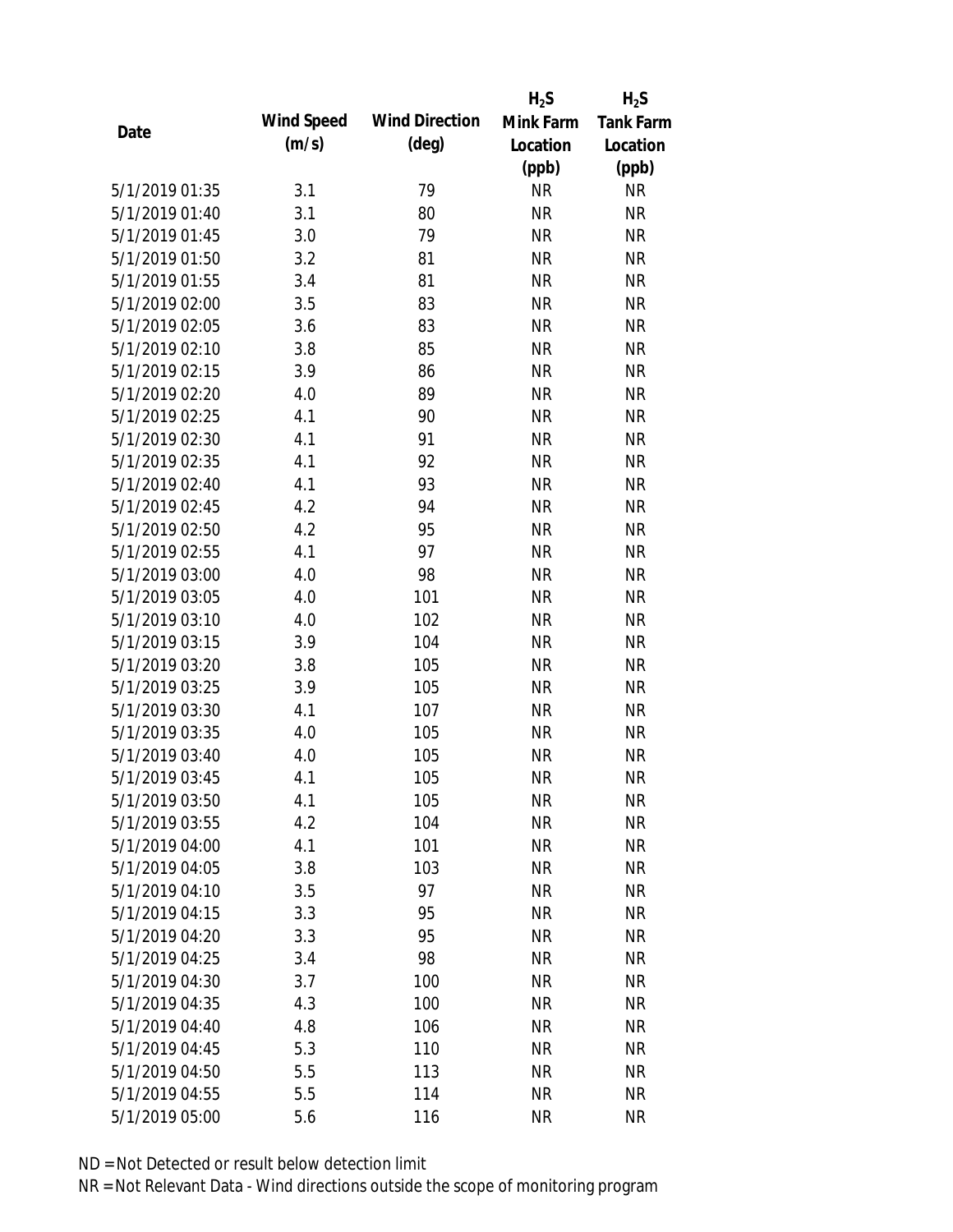|                |            |                       | $H_2S$    | $H_2S$           |
|----------------|------------|-----------------------|-----------|------------------|
|                | Wind Speed | <b>Wind Direction</b> | Mink Farm | <b>Tank Farm</b> |
| Date           | (m/s)      | $(\text{deg})$        | Location  | Location         |
|                |            |                       | (ppb)     | (ppb)            |
| 5/1/2019 01:35 | 3.1        | 79                    | <b>NR</b> | <b>NR</b>        |
| 5/1/2019 01:40 | 3.1        | 80                    | <b>NR</b> | <b>NR</b>        |
| 5/1/2019 01:45 | 3.0        | 79                    | <b>NR</b> | <b>NR</b>        |
| 5/1/2019 01:50 | 3.2        | 81                    | <b>NR</b> | <b>NR</b>        |
| 5/1/2019 01:55 | 3.4        | 81                    | <b>NR</b> | <b>NR</b>        |
| 5/1/2019 02:00 | 3.5        | 83                    | <b>NR</b> | <b>NR</b>        |
| 5/1/2019 02:05 | 3.6        | 83                    | <b>NR</b> | <b>NR</b>        |
| 5/1/2019 02:10 | 3.8        | 85                    | <b>NR</b> | <b>NR</b>        |
| 5/1/2019 02:15 | 3.9        | 86                    | <b>NR</b> | <b>NR</b>        |
| 5/1/2019 02:20 | 4.0        | 89                    | <b>NR</b> | <b>NR</b>        |
| 5/1/2019 02:25 | 4.1        | 90                    | <b>NR</b> | <b>NR</b>        |
| 5/1/2019 02:30 | 4.1        | 91                    | <b>NR</b> | <b>NR</b>        |
| 5/1/2019 02:35 | 4.1        | 92                    | <b>NR</b> | <b>NR</b>        |
| 5/1/2019 02:40 | 4.1        | 93                    | <b>NR</b> | <b>NR</b>        |
| 5/1/2019 02:45 | 4.2        | 94                    | <b>NR</b> | <b>NR</b>        |
| 5/1/2019 02:50 | 4.2        | 95                    | <b>NR</b> | <b>NR</b>        |
| 5/1/2019 02:55 | 4.1        | 97                    | <b>NR</b> | <b>NR</b>        |
| 5/1/2019 03:00 | 4.0        | 98                    | <b>NR</b> | <b>NR</b>        |
| 5/1/2019 03:05 | 4.0        | 101                   | <b>NR</b> | <b>NR</b>        |
| 5/1/2019 03:10 | 4.0        | 102                   | <b>NR</b> | <b>NR</b>        |
| 5/1/2019 03:15 | 3.9        | 104                   | <b>NR</b> | <b>NR</b>        |
| 5/1/2019 03:20 | 3.8        | 105                   | <b>NR</b> | <b>NR</b>        |
| 5/1/2019 03:25 | 3.9        | 105                   | <b>NR</b> | <b>NR</b>        |
| 5/1/2019 03:30 | 4.1        | 107                   | <b>NR</b> | <b>NR</b>        |
| 5/1/2019 03:35 | 4.0        | 105                   | <b>NR</b> | <b>NR</b>        |
| 5/1/2019 03:40 | 4.0        | 105                   | <b>NR</b> | <b>NR</b>        |
| 5/1/2019 03:45 | 4.1        | 105                   | <b>NR</b> | <b>NR</b>        |
| 5/1/2019 03:50 | 4.1        | 105                   | <b>NR</b> | <b>NR</b>        |
| 5/1/2019 03:55 | 4.2        | 104                   | <b>NR</b> | <b>NR</b>        |
| 5/1/2019 04:00 | 4.1        | 101                   | <b>NR</b> | <b>NR</b>        |
| 5/1/2019 04:05 | 3.8        | 103                   | <b>NR</b> | <b>NR</b>        |
| 5/1/2019 04:10 | 3.5        | 97                    | <b>NR</b> | <b>NR</b>        |
| 5/1/2019 04:15 | 3.3        | 95                    | <b>NR</b> | <b>NR</b>        |
| 5/1/2019 04:20 | 3.3        | 95                    | <b>NR</b> | <b>NR</b>        |
| 5/1/2019 04:25 | 3.4        | 98                    | <b>NR</b> | <b>NR</b>        |
| 5/1/2019 04:30 | 3.7        | 100                   | <b>NR</b> | <b>NR</b>        |
| 5/1/2019 04:35 | 4.3        | 100                   | <b>NR</b> | <b>NR</b>        |
| 5/1/2019 04:40 | 4.8        | 106                   | <b>NR</b> | <b>NR</b>        |
| 5/1/2019 04:45 | 5.3        | 110                   | <b>NR</b> | <b>NR</b>        |
| 5/1/2019 04:50 | 5.5        | 113                   | <b>NR</b> | <b>NR</b>        |
| 5/1/2019 04:55 | 5.5        | 114                   | <b>NR</b> | <b>NR</b>        |
| 5/1/2019 05:00 | 5.6        | 116                   | <b>NR</b> | <b>NR</b>        |
|                |            |                       |           |                  |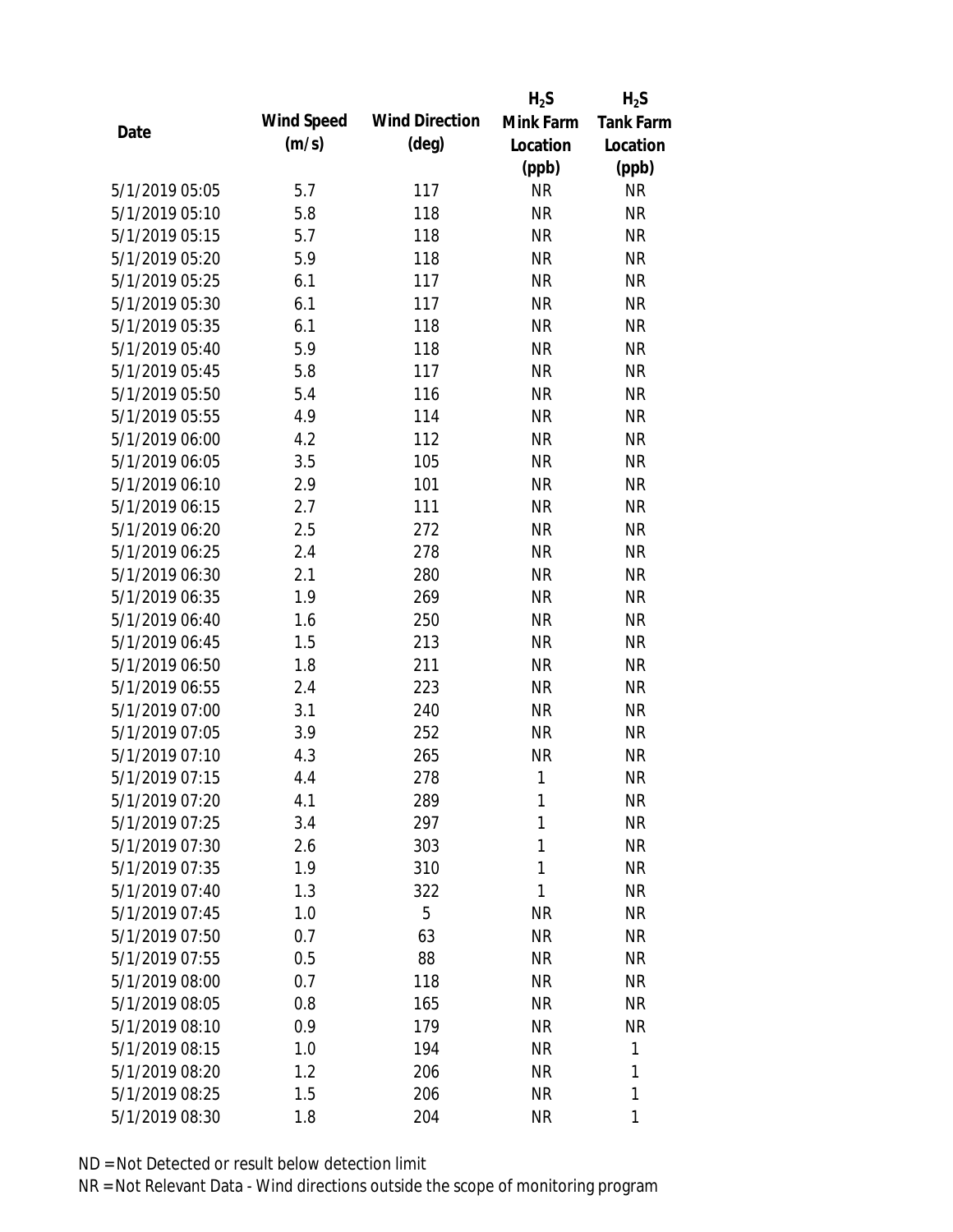|                |            |                       | $H_2S$    | $H_2S$           |
|----------------|------------|-----------------------|-----------|------------------|
|                | Wind Speed | <b>Wind Direction</b> | Mink Farm | <b>Tank Farm</b> |
| Date           | (m/s)      | $(\text{deg})$        | Location  | Location         |
|                |            |                       | (ppb)     | (ppb)            |
| 5/1/2019 05:05 | 5.7        | 117                   | <b>NR</b> | <b>NR</b>        |
| 5/1/2019 05:10 | 5.8        | 118                   | <b>NR</b> | <b>NR</b>        |
| 5/1/2019 05:15 | 5.7        | 118                   | <b>NR</b> | <b>NR</b>        |
| 5/1/2019 05:20 | 5.9        | 118                   | <b>NR</b> | <b>NR</b>        |
| 5/1/2019 05:25 | 6.1        | 117                   | <b>NR</b> | <b>NR</b>        |
| 5/1/2019 05:30 | 6.1        | 117                   | <b>NR</b> | <b>NR</b>        |
| 5/1/2019 05:35 | 6.1        | 118                   | <b>NR</b> | <b>NR</b>        |
| 5/1/2019 05:40 | 5.9        | 118                   | <b>NR</b> | <b>NR</b>        |
| 5/1/2019 05:45 | 5.8        | 117                   | <b>NR</b> | <b>NR</b>        |
| 5/1/2019 05:50 | 5.4        | 116                   | <b>NR</b> | <b>NR</b>        |
| 5/1/2019 05:55 | 4.9        | 114                   | <b>NR</b> | <b>NR</b>        |
| 5/1/2019 06:00 | 4.2        | 112                   | <b>NR</b> | <b>NR</b>        |
| 5/1/2019 06:05 | 3.5        | 105                   | <b>NR</b> | <b>NR</b>        |
| 5/1/2019 06:10 | 2.9        | 101                   | <b>NR</b> | <b>NR</b>        |
| 5/1/2019 06:15 | 2.7        | 111                   | <b>NR</b> | <b>NR</b>        |
| 5/1/2019 06:20 | 2.5        | 272                   | <b>NR</b> | <b>NR</b>        |
| 5/1/2019 06:25 | 2.4        | 278                   | <b>NR</b> | <b>NR</b>        |
| 5/1/2019 06:30 | 2.1        | 280                   | <b>NR</b> | <b>NR</b>        |
| 5/1/2019 06:35 | 1.9        | 269                   | <b>NR</b> | <b>NR</b>        |
| 5/1/2019 06:40 | 1.6        | 250                   | <b>NR</b> | <b>NR</b>        |
| 5/1/2019 06:45 | 1.5        | 213                   | <b>NR</b> | <b>NR</b>        |
| 5/1/2019 06:50 | 1.8        | 211                   | <b>NR</b> | <b>NR</b>        |
| 5/1/2019 06:55 | 2.4        | 223                   | <b>NR</b> | <b>NR</b>        |
| 5/1/2019 07:00 | 3.1        | 240                   | <b>NR</b> | <b>NR</b>        |
| 5/1/2019 07:05 | 3.9        | 252                   | <b>NR</b> | <b>NR</b>        |
| 5/1/2019 07:10 | 4.3        | 265                   | <b>NR</b> | <b>NR</b>        |
| 5/1/2019 07:15 | 4.4        | 278                   | 1         | <b>NR</b>        |
| 5/1/2019 07:20 | 4.1        | 289                   | 1         | <b>NR</b>        |
| 5/1/2019 07:25 | 3.4        | 297                   | 1         | <b>NR</b>        |
| 5/1/2019 07:30 | 2.6        | 303                   | 1         | <b>NR</b>        |
| 5/1/2019 07:35 | 1.9        | 310                   | 1         | <b>NR</b>        |
| 5/1/2019 07:40 | 1.3        | 322                   | 1         | <b>NR</b>        |
| 5/1/2019 07:45 | 1.0        | 5                     | <b>NR</b> | <b>NR</b>        |
| 5/1/2019 07:50 | 0.7        | 63                    | <b>NR</b> | <b>NR</b>        |
| 5/1/2019 07:55 | 0.5        | 88                    | <b>NR</b> | <b>NR</b>        |
| 5/1/2019 08:00 | 0.7        | 118                   | <b>NR</b> | <b>NR</b>        |
| 5/1/2019 08:05 | 0.8        | 165                   | <b>NR</b> | NR               |
| 5/1/2019 08:10 | 0.9        | 179                   | <b>NR</b> | <b>NR</b>        |
| 5/1/2019 08:15 | 1.0        | 194                   | <b>NR</b> | 1                |
| 5/1/2019 08:20 | 1.2        | 206                   | <b>NR</b> | 1                |
| 5/1/2019 08:25 | 1.5        | 206                   | <b>NR</b> | 1                |
|                |            |                       |           |                  |
| 5/1/2019 08:30 | 1.8        | 204                   | <b>NR</b> | 1                |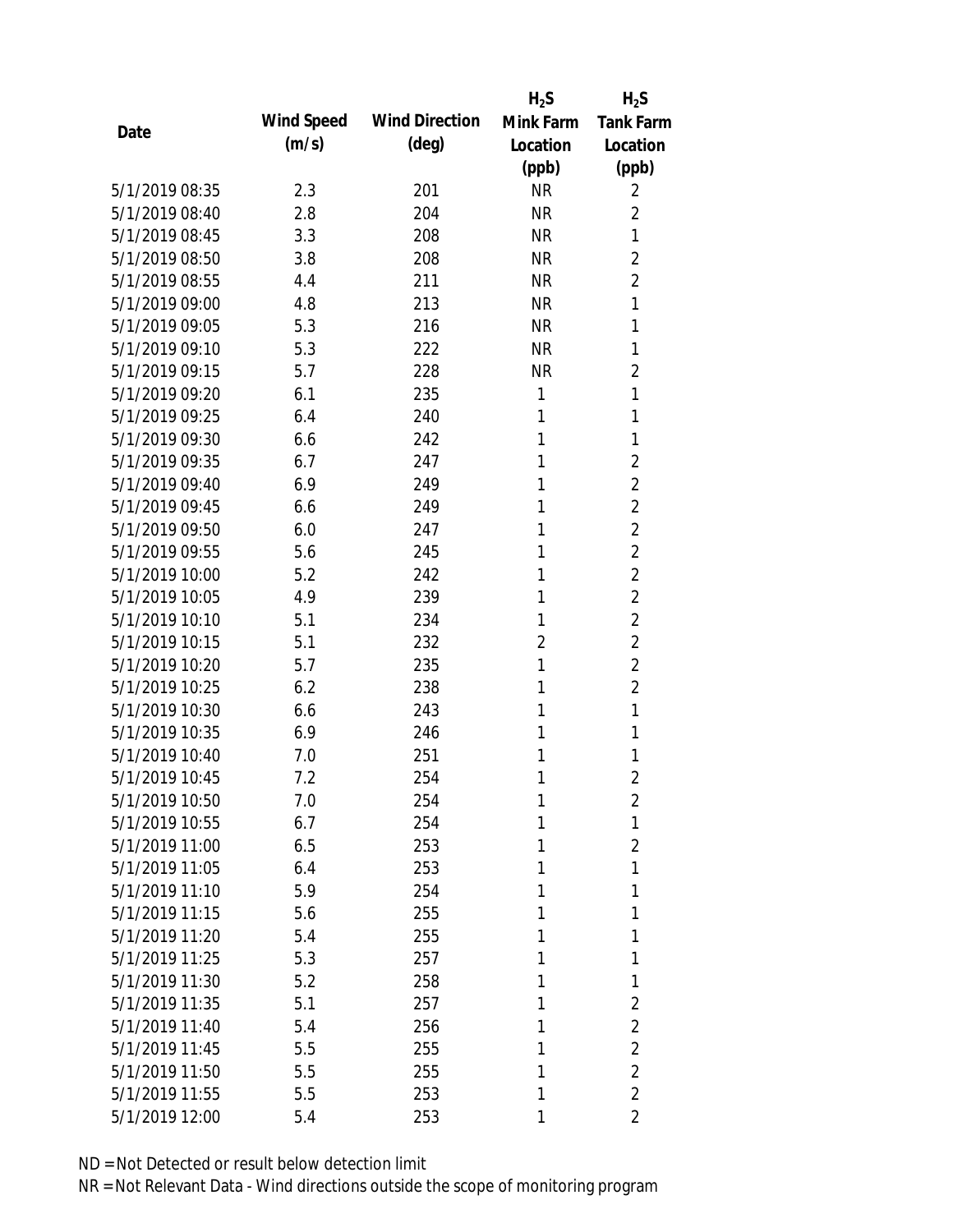|                |            |                       | $H_2S$         | $H_2S$           |
|----------------|------------|-----------------------|----------------|------------------|
| Date           | Wind Speed | <b>Wind Direction</b> | Mink Farm      | <b>Tank Farm</b> |
|                | (m/s)      | $(\text{deg})$        | Location       | Location         |
|                |            |                       | (ppb)          | (ppb)            |
| 5/1/2019 08:35 | 2.3        | 201                   | <b>NR</b>      | 2                |
| 5/1/2019 08:40 | 2.8        | 204                   | <b>NR</b>      | $\overline{2}$   |
| 5/1/2019 08:45 | 3.3        | 208                   | <b>NR</b>      | 1                |
| 5/1/2019 08:50 | 3.8        | 208                   | <b>NR</b>      | $\overline{2}$   |
| 5/1/2019 08:55 | 4.4        | 211                   | <b>NR</b>      | $\overline{2}$   |
| 5/1/2019 09:00 | 4.8        | 213                   | <b>NR</b>      | 1                |
| 5/1/2019 09:05 | 5.3        | 216                   | <b>NR</b>      | 1                |
| 5/1/2019 09:10 | 5.3        | 222                   | <b>NR</b>      | 1                |
| 5/1/2019 09:15 | 5.7        | 228                   | <b>NR</b>      | $\overline{2}$   |
| 5/1/2019 09:20 | 6.1        | 235                   | $\mathbf{1}$   | 1                |
| 5/1/2019 09:25 | 6.4        | 240                   | 1              | 1                |
| 5/1/2019 09:30 | 6.6        | 242                   | 1              | 1                |
| 5/1/2019 09:35 | 6.7        | 247                   | 1              | $\overline{2}$   |
| 5/1/2019 09:40 | 6.9        | 249                   | 1              | $\overline{2}$   |
| 5/1/2019 09:45 | 6.6        | 249                   | 1              | $\overline{2}$   |
| 5/1/2019 09:50 | 6.0        | 247                   | 1              | $\overline{2}$   |
| 5/1/2019 09:55 | 5.6        | 245                   | 1              | $\overline{2}$   |
| 5/1/2019 10:00 | 5.2        | 242                   | 1              | $\overline{2}$   |
| 5/1/2019 10:05 | 4.9        | 239                   | 1              | $\overline{2}$   |
| 5/1/2019 10:10 | 5.1        | 234                   | 1              | $\overline{2}$   |
| 5/1/2019 10:15 | 5.1        | 232                   | $\overline{2}$ | $\overline{2}$   |
| 5/1/2019 10:20 | 5.7        | 235                   | 1              | $\overline{2}$   |
| 5/1/2019 10:25 | 6.2        | 238                   | 1              | $\overline{2}$   |
| 5/1/2019 10:30 | 6.6        | 243                   | 1              | 1                |
| 5/1/2019 10:35 | 6.9        | 246                   | 1              | 1                |
| 5/1/2019 10:40 | 7.0        | 251                   | 1              | 1                |
| 5/1/2019 10:45 | 7.2        | 254                   | 1              | $\overline{2}$   |
| 5/1/2019 10:50 | 7.0        | 254                   | 1              | $\overline{2}$   |
| 5/1/2019 10:55 | 6.7        | 254                   | 1              | 1                |
| 5/1/2019 11:00 | 6.5        | 253                   | 1              | 2                |
| 5/1/2019 11:05 | 6.4        | 253                   | 1              | 1                |
| 5/1/2019 11:10 | 5.9        | 254                   | 1              | 1                |
| 5/1/2019 11:15 | 5.6        | 255                   | 1              | 1                |
| 5/1/2019 11:20 | 5.4        | 255                   | 1              | 1                |
| 5/1/2019 11:25 | 5.3        | 257                   | 1              | 1                |
| 5/1/2019 11:30 | 5.2        | 258                   | 1              | 1                |
| 5/1/2019 11:35 | 5.1        | 257                   | 1              | $\overline{2}$   |
| 5/1/2019 11:40 | 5.4        | 256                   | 1              | $\overline{2}$   |
| 5/1/2019 11:45 | 5.5        | 255                   | 1              | $\overline{2}$   |
| 5/1/2019 11:50 | 5.5        | 255                   | 1              | $\overline{2}$   |
| 5/1/2019 11:55 | 5.5        | 253                   | 1              | $\overline{2}$   |
| 5/1/2019 12:00 | 5.4        | 253                   | 1              | 2                |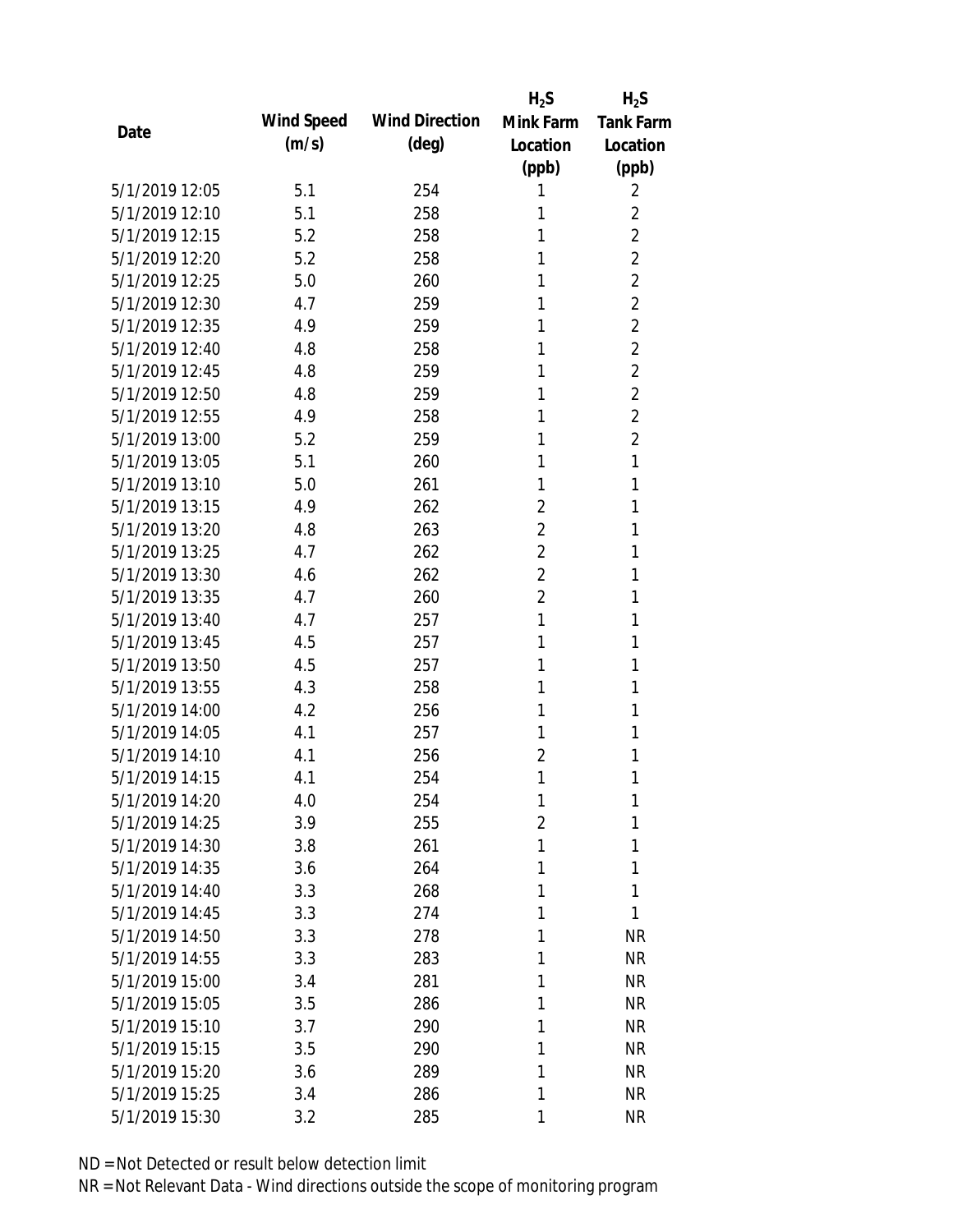|                |            |                       | $H_2S$         | $H_2S$           |
|----------------|------------|-----------------------|----------------|------------------|
| Date           | Wind Speed | <b>Wind Direction</b> | Mink Farm      | <b>Tank Farm</b> |
|                | (m/s)      | (deg)                 | Location       | Location         |
|                |            |                       | (ppb)          | (ppb)            |
| 5/1/2019 12:05 | 5.1        | 254                   | 1              | 2                |
| 5/1/2019 12:10 | 5.1        | 258                   | 1              | $\overline{2}$   |
| 5/1/2019 12:15 | 5.2        | 258                   | 1              | $\overline{2}$   |
| 5/1/2019 12:20 | 5.2        | 258                   | 1              | $\overline{2}$   |
| 5/1/2019 12:25 | 5.0        | 260                   | 1              | $\overline{2}$   |
| 5/1/2019 12:30 | 4.7        | 259                   | 1              | $\overline{2}$   |
| 5/1/2019 12:35 | 4.9        | 259                   | 1              | $\overline{2}$   |
| 5/1/2019 12:40 | 4.8        | 258                   | 1              | $\overline{2}$   |
| 5/1/2019 12:45 | 4.8        | 259                   | 1              | $\overline{2}$   |
| 5/1/2019 12:50 | 4.8        | 259                   | 1              | $\overline{2}$   |
| 5/1/2019 12:55 | 4.9        | 258                   | 1              | $\overline{2}$   |
| 5/1/2019 13:00 | 5.2        | 259                   | 1              | $\overline{2}$   |
| 5/1/2019 13:05 | 5.1        | 260                   | 1              | 1                |
| 5/1/2019 13:10 | 5.0        | 261                   | 1              | 1                |
| 5/1/2019 13:15 | 4.9        | 262                   | $\overline{2}$ | 1                |
| 5/1/2019 13:20 | 4.8        | 263                   | $\overline{2}$ | 1                |
| 5/1/2019 13:25 | 4.7        | 262                   | $\overline{2}$ | 1                |
| 5/1/2019 13:30 | 4.6        | 262                   | $\overline{2}$ | 1                |
| 5/1/2019 13:35 | 4.7        | 260                   | $\overline{2}$ | 1                |
| 5/1/2019 13:40 | 4.7        | 257                   | 1              | 1                |
| 5/1/2019 13:45 | 4.5        | 257                   | 1              | 1                |
| 5/1/2019 13:50 | 4.5        | 257                   | 1              | 1                |
| 5/1/2019 13:55 | 4.3        | 258                   | 1              | 1                |
| 5/1/2019 14:00 | 4.2        | 256                   | 1              | 1                |
| 5/1/2019 14:05 | 4.1        | 257                   | 1              | 1                |
| 5/1/2019 14:10 | 4.1        | 256                   | $\overline{2}$ | 1                |
| 5/1/2019 14:15 | 4.1        | 254                   | 1              | 1                |
| 5/1/2019 14:20 | 4.0        | 254                   | 1              | 1                |
| 5/1/2019 14:25 | 3.9        | 255                   | $\overline{2}$ | 1                |
| 5/1/2019 14:30 | 3.8        | 261                   | 1              | 1                |
| 5/1/2019 14:35 | 3.6        | 264                   | 1              | 1                |
| 5/1/2019 14:40 | 3.3        | 268                   | 1              | 1                |
| 5/1/2019 14:45 | 3.3        | 274                   | 1              | 1                |
| 5/1/2019 14:50 | 3.3        | 278                   | 1              | <b>NR</b>        |
| 5/1/2019 14:55 | 3.3        | 283                   | 1              | <b>NR</b>        |
| 5/1/2019 15:00 | 3.4        | 281                   | 1              | <b>NR</b>        |
| 5/1/2019 15:05 | 3.5        | 286                   | 1              | <b>NR</b>        |
| 5/1/2019 15:10 | 3.7        | 290                   | 1              | <b>NR</b>        |
| 5/1/2019 15:15 | 3.5        | 290                   | 1              | <b>NR</b>        |
| 5/1/2019 15:20 | 3.6        | 289                   | 1              | <b>NR</b>        |
| 5/1/2019 15:25 | 3.4        | 286                   | 1              | <b>NR</b>        |
| 5/1/2019 15:30 | 3.2        | 285                   | 1              | <b>NR</b>        |
|                |            |                       |                |                  |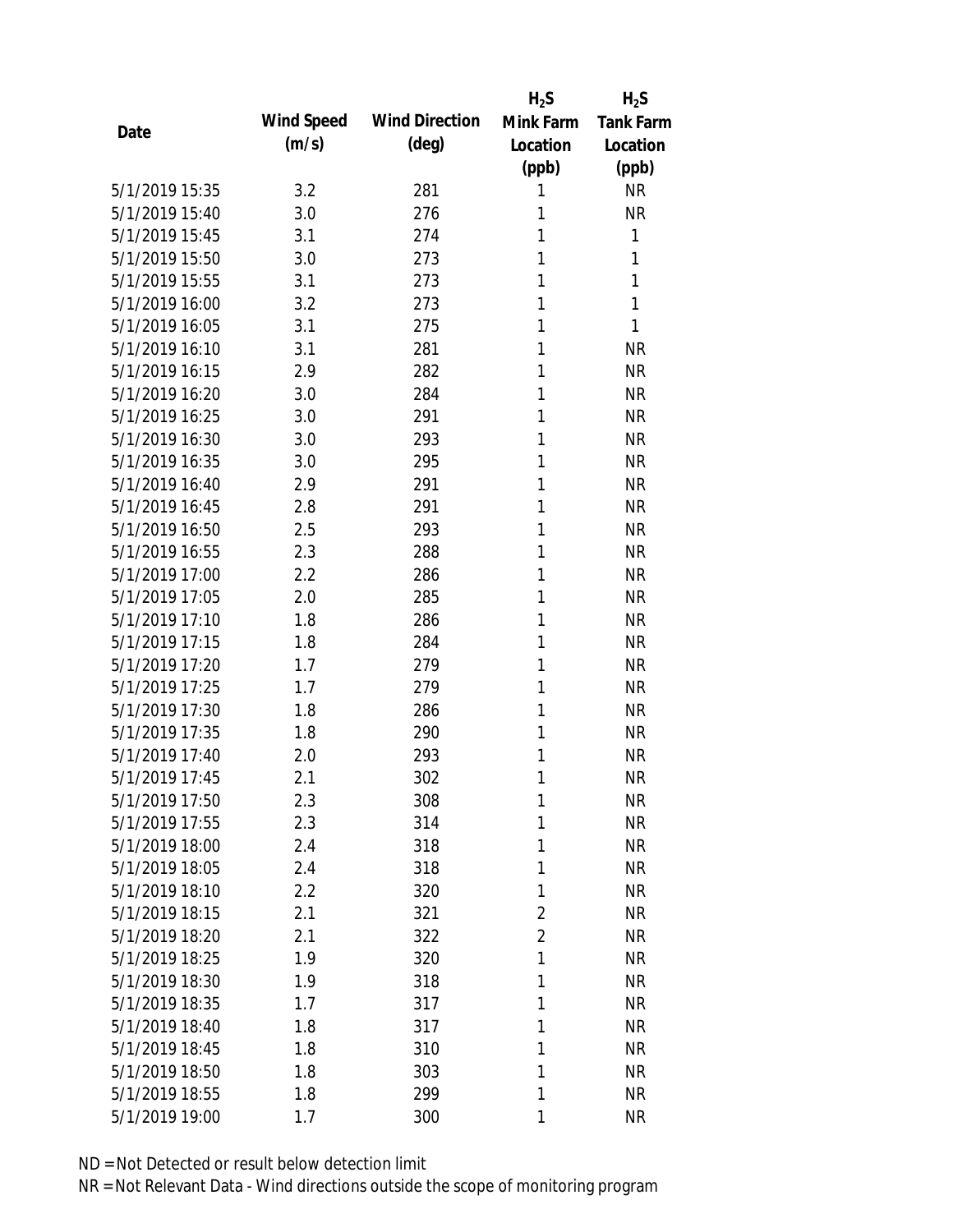|                |            |                       | $H_2S$         | $H_2S$           |
|----------------|------------|-----------------------|----------------|------------------|
| Date           | Wind Speed | <b>Wind Direction</b> | Mink Farm      | <b>Tank Farm</b> |
|                | (m/s)      | $(\text{deg})$        | Location       | Location         |
|                |            |                       | (ppb)          | (ppb)            |
| 5/1/2019 15:35 | 3.2        | 281                   | 1              | <b>NR</b>        |
| 5/1/2019 15:40 | 3.0        | 276                   | 1              | <b>NR</b>        |
| 5/1/2019 15:45 | 3.1        | 274                   | 1              | 1                |
| 5/1/2019 15:50 | 3.0        | 273                   | 1              | 1                |
| 5/1/2019 15:55 | 3.1        | 273                   | 1              | 1                |
| 5/1/2019 16:00 | 3.2        | 273                   | 1              | 1                |
| 5/1/2019 16:05 | 3.1        | 275                   | 1              | 1                |
| 5/1/2019 16:10 | 3.1        | 281                   | 1              | <b>NR</b>        |
| 5/1/2019 16:15 | 2.9        | 282                   | 1              | <b>NR</b>        |
| 5/1/2019 16:20 | 3.0        | 284                   | 1              | <b>NR</b>        |
| 5/1/2019 16:25 | 3.0        | 291                   | 1              | <b>NR</b>        |
| 5/1/2019 16:30 | 3.0        | 293                   | 1              | <b>NR</b>        |
| 5/1/2019 16:35 | 3.0        | 295                   | 1              | <b>NR</b>        |
| 5/1/2019 16:40 | 2.9        | 291                   | 1              | <b>NR</b>        |
| 5/1/2019 16:45 | 2.8        | 291                   | 1              | <b>NR</b>        |
| 5/1/2019 16:50 | 2.5        | 293                   | 1              | <b>NR</b>        |
| 5/1/2019 16:55 | 2.3        | 288                   | 1              | <b>NR</b>        |
| 5/1/2019 17:00 | 2.2        | 286                   | 1              | <b>NR</b>        |
| 5/1/2019 17:05 | 2.0        | 285                   | 1              | <b>NR</b>        |
| 5/1/2019 17:10 | 1.8        | 286                   | 1              | <b>NR</b>        |
| 5/1/2019 17:15 | 1.8        | 284                   | 1              | <b>NR</b>        |
| 5/1/2019 17:20 | 1.7        | 279                   | 1              | <b>NR</b>        |
| 5/1/2019 17:25 | 1.7        | 279                   | 1              | <b>NR</b>        |
| 5/1/2019 17:30 | 1.8        | 286                   | 1              | <b>NR</b>        |
| 5/1/2019 17:35 | 1.8        | 290                   | 1              | <b>NR</b>        |
| 5/1/2019 17:40 | 2.0        | 293                   | 1              | <b>NR</b>        |
| 5/1/2019 17:45 | 2.1        | 302                   | 1              | <b>NR</b>        |
| 5/1/2019 17:50 | 2.3        | 308                   | $\mathbf{1}$   | <b>NR</b>        |
| 5/1/2019 17:55 | 2.3        | 314                   | 1              | <b>NR</b>        |
| 5/1/2019 18:00 | 2.4        | 318                   | 1              | <b>NR</b>        |
| 5/1/2019 18:05 | 2.4        | 318                   | 1              | <b>NR</b>        |
| 5/1/2019 18:10 | 2.2        | 320                   | 1              | <b>NR</b>        |
| 5/1/2019 18:15 | 2.1        | 321                   | $\overline{2}$ | <b>NR</b>        |
| 5/1/2019 18:20 | 2.1        | 322                   | $\overline{2}$ | <b>NR</b>        |
| 5/1/2019 18:25 | 1.9        | 320                   | 1              | <b>NR</b>        |
| 5/1/2019 18:30 | 1.9        | 318                   | 1              | <b>NR</b>        |
| 5/1/2019 18:35 | 1.7        | 317                   | 1              | <b>NR</b>        |
| 5/1/2019 18:40 | 1.8        | 317                   | 1              | <b>NR</b>        |
| 5/1/2019 18:45 |            |                       |                | <b>NR</b>        |
|                | 1.8        | 310                   | 1              |                  |
| 5/1/2019 18:50 | 1.8        | 303                   | 1              | <b>NR</b>        |
| 5/1/2019 18:55 | 1.8        | 299                   | 1              | <b>NR</b>        |
| 5/1/2019 19:00 | 1.7        | 300                   | 1              | <b>NR</b>        |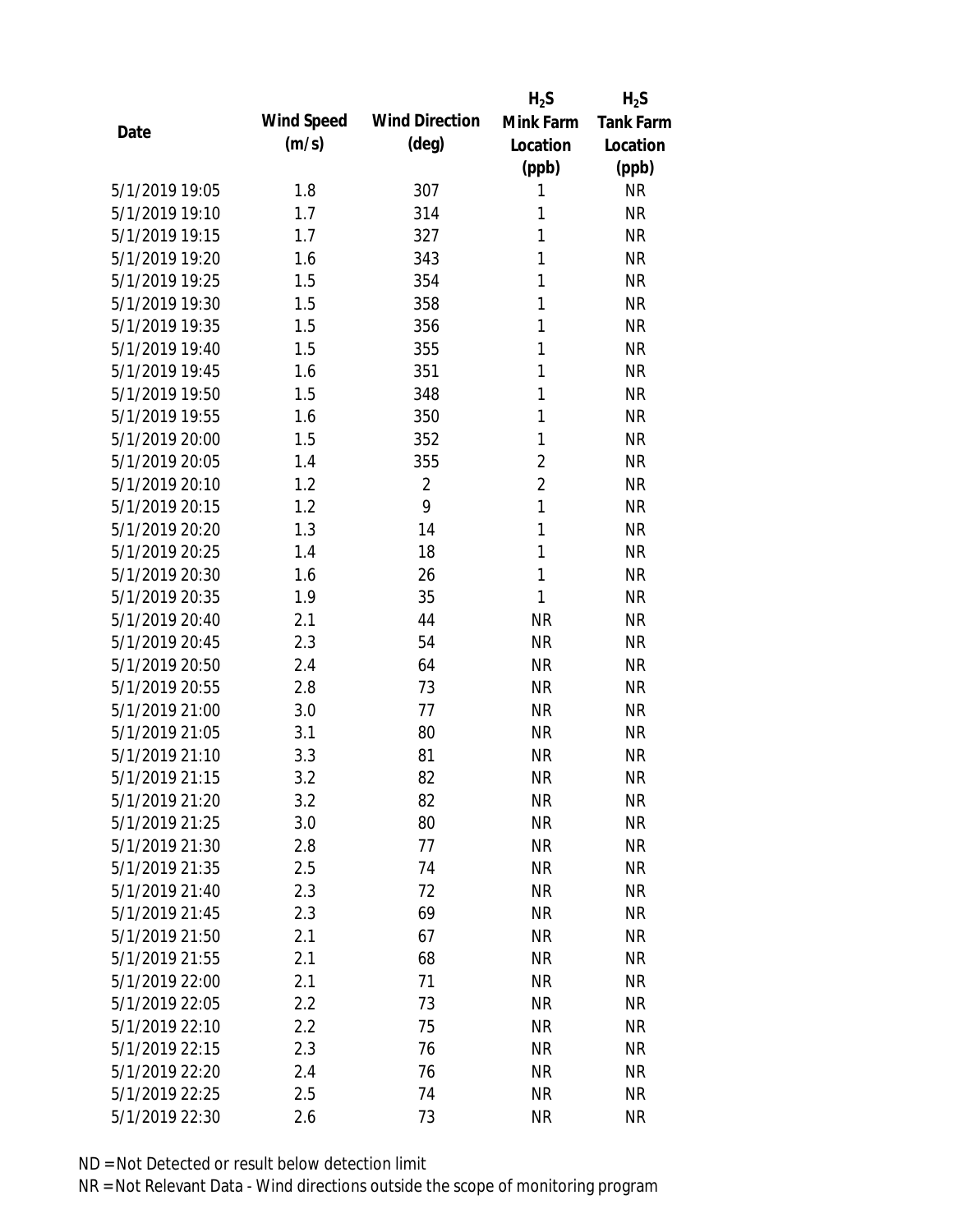|                |            |                       | $H_2S$         | $H_2S$           |
|----------------|------------|-----------------------|----------------|------------------|
| Date           | Wind Speed | <b>Wind Direction</b> | Mink Farm      | <b>Tank Farm</b> |
|                | (m/s)      | $(\text{deg})$        | Location       | Location         |
|                |            |                       | (ppb)          | (ppb)            |
| 5/1/2019 19:05 | 1.8        | 307                   | 1              | <b>NR</b>        |
| 5/1/2019 19:10 | 1.7        | 314                   | 1              | <b>NR</b>        |
| 5/1/2019 19:15 | 1.7        | 327                   | 1              | <b>NR</b>        |
| 5/1/2019 19:20 | 1.6        | 343                   | 1              | <b>NR</b>        |
| 5/1/2019 19:25 | 1.5        | 354                   | 1              | <b>NR</b>        |
| 5/1/2019 19:30 | 1.5        | 358                   | 1              | <b>NR</b>        |
| 5/1/2019 19:35 | 1.5        | 356                   | 1              | <b>NR</b>        |
| 5/1/2019 19:40 | 1.5        | 355                   | 1              | <b>NR</b>        |
| 5/1/2019 19:45 | 1.6        | 351                   | 1              | <b>NR</b>        |
| 5/1/2019 19:50 | 1.5        | 348                   | 1              | <b>NR</b>        |
| 5/1/2019 19:55 | 1.6        | 350                   | 1              | <b>NR</b>        |
| 5/1/2019 20:00 | 1.5        | 352                   | 1              | <b>NR</b>        |
| 5/1/2019 20:05 | 1.4        | 355                   | $\overline{2}$ | <b>NR</b>        |
| 5/1/2019 20:10 | 1.2        | $\overline{2}$        | $\overline{2}$ | <b>NR</b>        |
| 5/1/2019 20:15 | 1.2        | 9                     | $\mathbf{1}$   | <b>NR</b>        |
| 5/1/2019 20:20 | 1.3        | 14                    | 1              | <b>NR</b>        |
| 5/1/2019 20:25 | 1.4        | 18                    | $\mathbf{1}$   | <b>NR</b>        |
| 5/1/2019 20:30 | 1.6        | 26                    | $\mathbf{1}$   | <b>NR</b>        |
| 5/1/2019 20:35 | 1.9        | 35                    | 1              | <b>NR</b>        |
| 5/1/2019 20:40 | 2.1        | 44                    | <b>NR</b>      | <b>NR</b>        |
| 5/1/2019 20:45 | 2.3        | 54                    | <b>NR</b>      | <b>NR</b>        |
| 5/1/2019 20:50 | 2.4        | 64                    | <b>NR</b>      | <b>NR</b>        |
| 5/1/2019 20:55 | 2.8        | 73                    | <b>NR</b>      | <b>NR</b>        |
| 5/1/2019 21:00 | 3.0        | 77                    | <b>NR</b>      | <b>NR</b>        |
| 5/1/2019 21:05 | 3.1        | 80                    | <b>NR</b>      | <b>NR</b>        |
| 5/1/2019 21:10 | 3.3        | 81                    | <b>NR</b>      | <b>NR</b>        |
| 5/1/2019 21:15 | 3.2        | 82                    | <b>NR</b>      | <b>NR</b>        |
| 5/1/2019 21:20 | 3.2        | 82                    | <b>NR</b>      | <b>NR</b>        |
| 5/1/2019 21:25 | 3.0        | 80                    | <b>NR</b>      | <b>NR</b>        |
| 5/1/2019 21:30 | 2.8        | 77                    | <b>NR</b>      | <b>NR</b>        |
| 5/1/2019 21:35 | 2.5        | 74                    | <b>NR</b>      | <b>NR</b>        |
| 5/1/2019 21:40 | 2.3        | 72                    | <b>NR</b>      | <b>NR</b>        |
| 5/1/2019 21:45 | 2.3        | 69                    | <b>NR</b>      | <b>NR</b>        |
| 5/1/2019 21:50 | 2.1        | 67                    | <b>NR</b>      | <b>NR</b>        |
| 5/1/2019 21:55 | 2.1        | 68                    | <b>NR</b>      | <b>NR</b>        |
| 5/1/2019 22:00 | 2.1        | 71                    | <b>NR</b>      | <b>NR</b>        |
| 5/1/2019 22:05 | 2.2        | 73                    | <b>NR</b>      | <b>NR</b>        |
| 5/1/2019 22:10 | 2.2        | 75                    | <b>NR</b>      | <b>NR</b>        |
| 5/1/2019 22:15 | 2.3        | 76                    | <b>NR</b>      | <b>NR</b>        |
| 5/1/2019 22:20 | 2.4        | 76                    | <b>NR</b>      | <b>NR</b>        |
| 5/1/2019 22:25 | 2.5        | 74                    | <b>NR</b>      | <b>NR</b>        |
| 5/1/2019 22:30 | 2.6        | 73                    | <b>NR</b>      | <b>NR</b>        |
|                |            |                       |                |                  |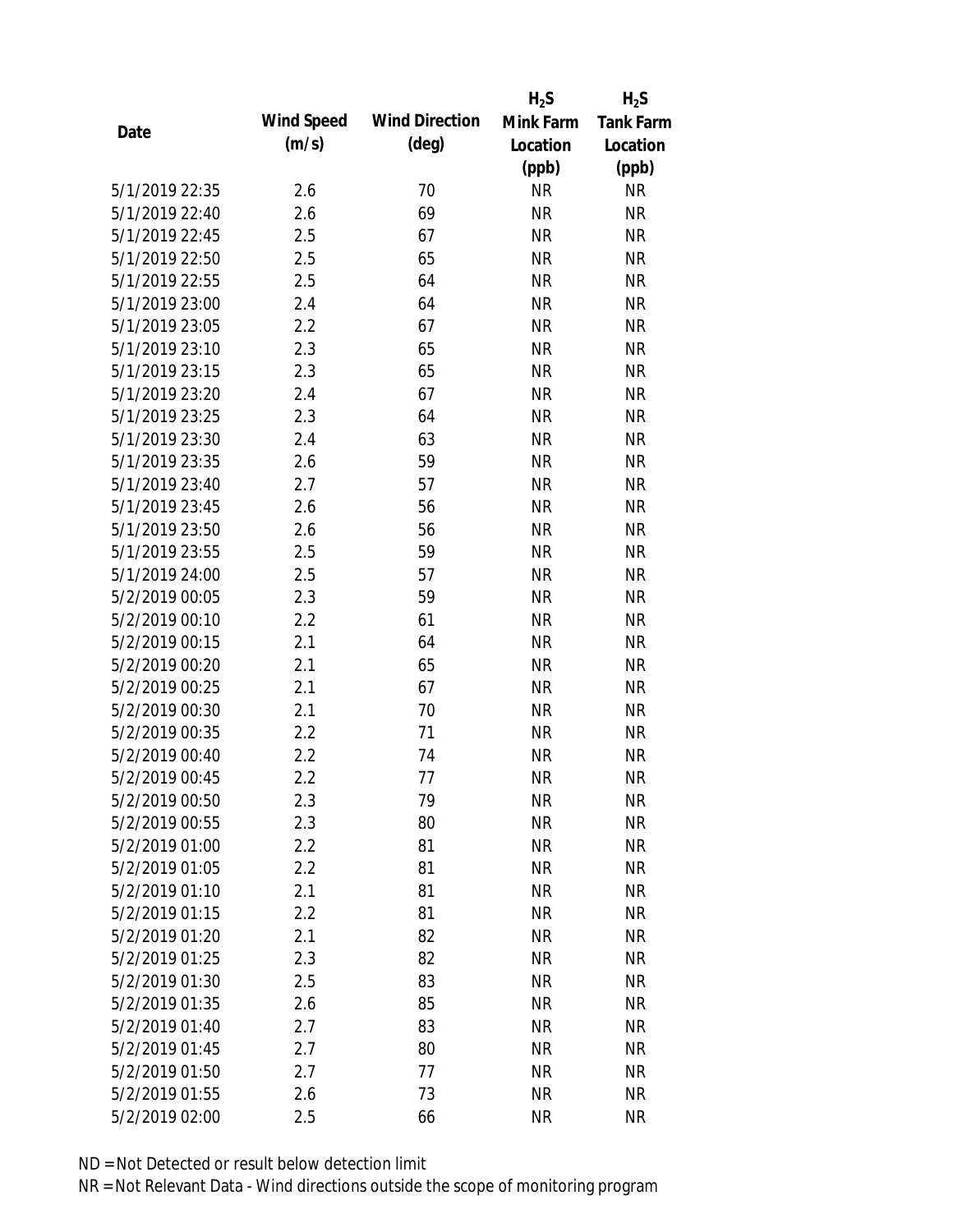|                |            |                       | $H_2S$    | $H_2S$           |
|----------------|------------|-----------------------|-----------|------------------|
| Date           | Wind Speed | <b>Wind Direction</b> | Mink Farm | <b>Tank Farm</b> |
|                | (m/s)      | $(\text{deg})$        | Location  | Location         |
|                |            |                       | (ppb)     | (ppb)            |
| 5/1/2019 22:35 | 2.6        | 70                    | <b>NR</b> | <b>NR</b>        |
| 5/1/2019 22:40 | 2.6        | 69                    | <b>NR</b> | <b>NR</b>        |
| 5/1/2019 22:45 | 2.5        | 67                    | <b>NR</b> | <b>NR</b>        |
| 5/1/2019 22:50 | 2.5        | 65                    | <b>NR</b> | <b>NR</b>        |
| 5/1/2019 22:55 | 2.5        | 64                    | <b>NR</b> | <b>NR</b>        |
| 5/1/2019 23:00 | 2.4        | 64                    | <b>NR</b> | <b>NR</b>        |
| 5/1/2019 23:05 | 2.2        | 67                    | <b>NR</b> | <b>NR</b>        |
| 5/1/2019 23:10 | 2.3        | 65                    | <b>NR</b> | <b>NR</b>        |
| 5/1/2019 23:15 | 2.3        | 65                    | <b>NR</b> | <b>NR</b>        |
| 5/1/2019 23:20 | 2.4        | 67                    | <b>NR</b> | <b>NR</b>        |
| 5/1/2019 23:25 | 2.3        | 64                    | <b>NR</b> | <b>NR</b>        |
| 5/1/2019 23:30 | 2.4        | 63                    | <b>NR</b> | <b>NR</b>        |
| 5/1/2019 23:35 | 2.6        | 59                    | <b>NR</b> | <b>NR</b>        |
| 5/1/2019 23:40 | 2.7        | 57                    | <b>NR</b> | <b>NR</b>        |
| 5/1/2019 23:45 | 2.6        | 56                    | <b>NR</b> | <b>NR</b>        |
| 5/1/2019 23:50 | 2.6        | 56                    | <b>NR</b> | <b>NR</b>        |
| 5/1/2019 23:55 | 2.5        | 59                    | <b>NR</b> | <b>NR</b>        |
| 5/1/2019 24:00 | 2.5        | 57                    | <b>NR</b> | <b>NR</b>        |
| 5/2/2019 00:05 | 2.3        | 59                    | <b>NR</b> | <b>NR</b>        |
| 5/2/2019 00:10 | 2.2        | 61                    | <b>NR</b> | <b>NR</b>        |
| 5/2/2019 00:15 | 2.1        | 64                    | <b>NR</b> | <b>NR</b>        |
| 5/2/2019 00:20 | 2.1        | 65                    | <b>NR</b> | <b>NR</b>        |
| 5/2/2019 00:25 | 2.1        | 67                    | <b>NR</b> | <b>NR</b>        |
| 5/2/2019 00:30 | 2.1        | 70                    | <b>NR</b> | <b>NR</b>        |
| 5/2/2019 00:35 | 2.2        | 71                    | <b>NR</b> | <b>NR</b>        |
| 5/2/2019 00:40 | 2.2        | 74                    | <b>NR</b> | <b>NR</b>        |
| 5/2/2019 00:45 | 2.2        | 77                    | <b>NR</b> | <b>NR</b>        |
| 5/2/2019 00:50 | 2.3        | 79                    | <b>NR</b> | <b>NR</b>        |
| 5/2/2019 00:55 | 2.3        | 80                    | <b>NR</b> | <b>NR</b>        |
| 5/2/2019 01:00 | 2.2        | 81                    | <b>NR</b> | <b>NR</b>        |
| 5/2/2019 01:05 | $2.2\,$    | 81                    | <b>NR</b> | <b>NR</b>        |
| 5/2/2019 01:10 | 2.1        | 81                    | <b>NR</b> | <b>NR</b>        |
| 5/2/2019 01:15 | 2.2        | 81                    | <b>NR</b> | <b>NR</b>        |
| 5/2/2019 01:20 | 2.1        | 82                    | <b>NR</b> | <b>NR</b>        |
| 5/2/2019 01:25 | 2.3        | 82                    | <b>NR</b> | <b>NR</b>        |
| 5/2/2019 01:30 | 2.5        | 83                    | <b>NR</b> | <b>NR</b>        |
| 5/2/2019 01:35 | 2.6        | 85                    | <b>NR</b> | <b>NR</b>        |
| 5/2/2019 01:40 | 2.7        | 83                    | <b>NR</b> | <b>NR</b>        |
| 5/2/2019 01:45 | 2.7        | 80                    | <b>NR</b> | <b>NR</b>        |
| 5/2/2019 01:50 | 2.7        | 77                    | <b>NR</b> | <b>NR</b>        |
| 5/2/2019 01:55 | 2.6        | 73                    | <b>NR</b> | <b>NR</b>        |
| 5/2/2019 02:00 | 2.5        | 66                    | <b>NR</b> | <b>NR</b>        |
|                |            |                       |           |                  |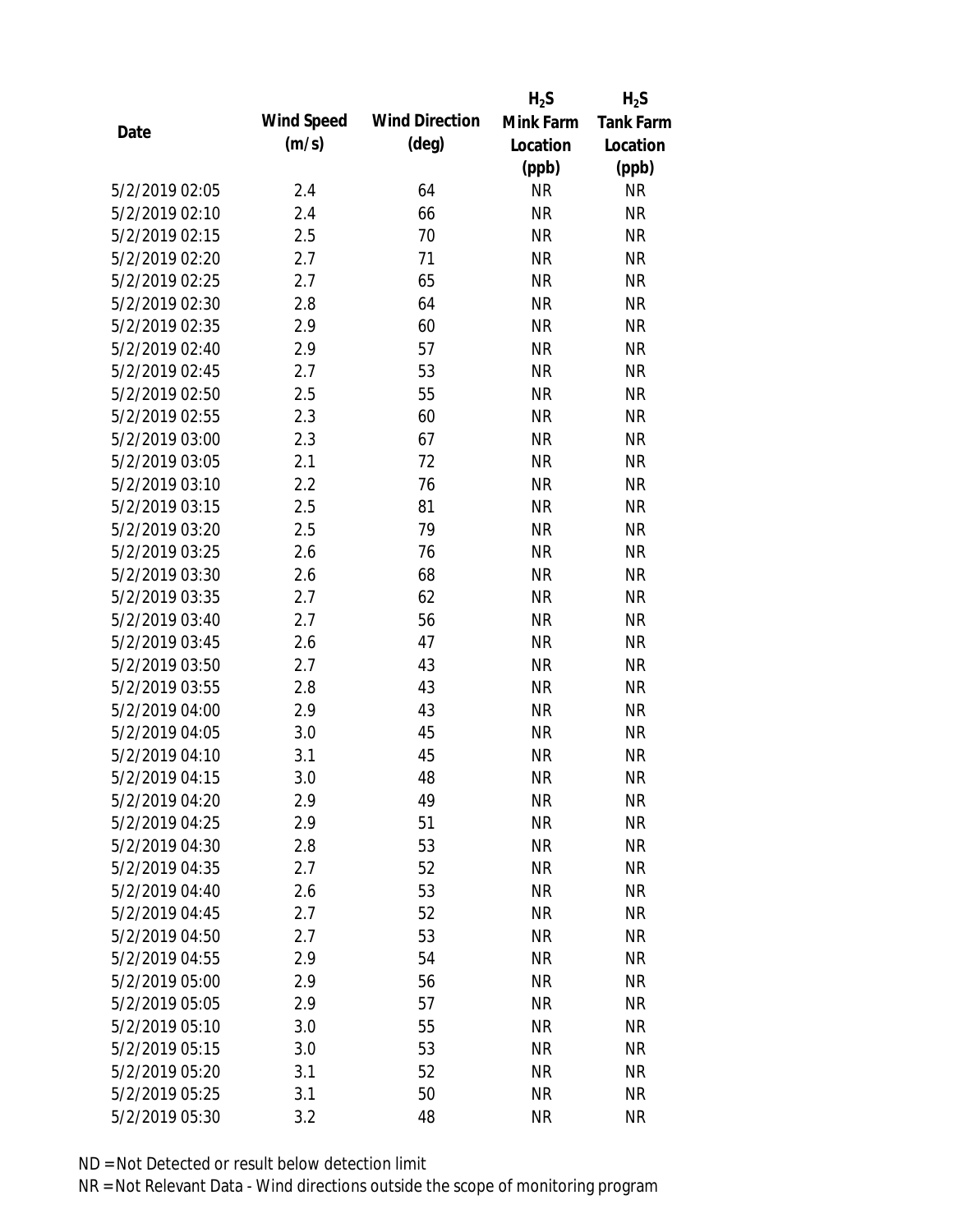|                |            |                       | $H_2S$    | $H_2S$           |
|----------------|------------|-----------------------|-----------|------------------|
| Date           | Wind Speed | <b>Wind Direction</b> | Mink Farm | <b>Tank Farm</b> |
|                | (m/s)      | $(\text{deg})$        | Location  | Location         |
|                |            |                       | (ppb)     | (ppb)            |
| 5/2/2019 02:05 | 2.4        | 64                    | <b>NR</b> | <b>NR</b>        |
| 5/2/2019 02:10 | 2.4        | 66                    | <b>NR</b> | <b>NR</b>        |
| 5/2/2019 02:15 | 2.5        | 70                    | <b>NR</b> | <b>NR</b>        |
| 5/2/2019 02:20 | 2.7        | 71                    | <b>NR</b> | <b>NR</b>        |
| 5/2/2019 02:25 | 2.7        | 65                    | <b>NR</b> | <b>NR</b>        |
| 5/2/2019 02:30 | 2.8        | 64                    | <b>NR</b> | <b>NR</b>        |
| 5/2/2019 02:35 | 2.9        | 60                    | <b>NR</b> | <b>NR</b>        |
| 5/2/2019 02:40 | 2.9        | 57                    | <b>NR</b> | <b>NR</b>        |
| 5/2/2019 02:45 | 2.7        | 53                    | <b>NR</b> | <b>NR</b>        |
| 5/2/2019 02:50 | 2.5        | 55                    | <b>NR</b> | <b>NR</b>        |
| 5/2/2019 02:55 | 2.3        | 60                    | <b>NR</b> | <b>NR</b>        |
| 5/2/2019 03:00 | 2.3        | 67                    | <b>NR</b> | <b>NR</b>        |
| 5/2/2019 03:05 | 2.1        | 72                    | <b>NR</b> | <b>NR</b>        |
| 5/2/2019 03:10 | 2.2        | 76                    | <b>NR</b> | <b>NR</b>        |
| 5/2/2019 03:15 | 2.5        | 81                    | <b>NR</b> | <b>NR</b>        |
| 5/2/2019 03:20 | 2.5        | 79                    | <b>NR</b> | <b>NR</b>        |
| 5/2/2019 03:25 | 2.6        | 76                    | <b>NR</b> | <b>NR</b>        |
| 5/2/2019 03:30 | 2.6        | 68                    | <b>NR</b> | <b>NR</b>        |
| 5/2/2019 03:35 | 2.7        | 62                    | <b>NR</b> | <b>NR</b>        |
| 5/2/2019 03:40 | 2.7        | 56                    | <b>NR</b> | <b>NR</b>        |
| 5/2/2019 03:45 | 2.6        | 47                    | <b>NR</b> | <b>NR</b>        |
| 5/2/2019 03:50 | 2.7        | 43                    | <b>NR</b> | <b>NR</b>        |
| 5/2/2019 03:55 | 2.8        | 43                    | <b>NR</b> | <b>NR</b>        |
| 5/2/2019 04:00 | 2.9        | 43                    | <b>NR</b> | <b>NR</b>        |
| 5/2/2019 04:05 | 3.0        | 45                    | <b>NR</b> | <b>NR</b>        |
| 5/2/2019 04:10 | 3.1        | 45                    | <b>NR</b> | <b>NR</b>        |
| 5/2/2019 04:15 | 3.0        | 48                    | <b>NR</b> | <b>NR</b>        |
| 5/2/2019 04:20 | 2.9        | 49                    | <b>NR</b> | <b>NR</b>        |
| 5/2/2019 04:25 | 2.9        | 51                    | <b>NR</b> | <b>NR</b>        |
| 5/2/2019 04:30 | 2.8        | 53                    | <b>NR</b> | <b>NR</b>        |
| 5/2/2019 04:35 | 2.7        | 52                    | <b>NR</b> | <b>NR</b>        |
| 5/2/2019 04:40 | 2.6        | 53                    | <b>NR</b> | <b>NR</b>        |
| 5/2/2019 04:45 | 2.7        | 52                    | <b>NR</b> | <b>NR</b>        |
| 5/2/2019 04:50 | 2.7        | 53                    | <b>NR</b> | <b>NR</b>        |
| 5/2/2019 04:55 | 2.9        | 54                    | <b>NR</b> | <b>NR</b>        |
| 5/2/2019 05:00 | 2.9        | 56                    | <b>NR</b> | <b>NR</b>        |
| 5/2/2019 05:05 | 2.9        | 57                    | <b>NR</b> | <b>NR</b>        |
| 5/2/2019 05:10 | 3.0        | 55                    | <b>NR</b> | <b>NR</b>        |
| 5/2/2019 05:15 | 3.0        | 53                    | <b>NR</b> | <b>NR</b>        |
| 5/2/2019 05:20 | 3.1        | 52                    | <b>NR</b> | <b>NR</b>        |
| 5/2/2019 05:25 | 3.1        | 50                    | <b>NR</b> | <b>NR</b>        |
| 5/2/2019 05:30 | 3.2        | 48                    | <b>NR</b> | <b>NR</b>        |
|                |            |                       |           |                  |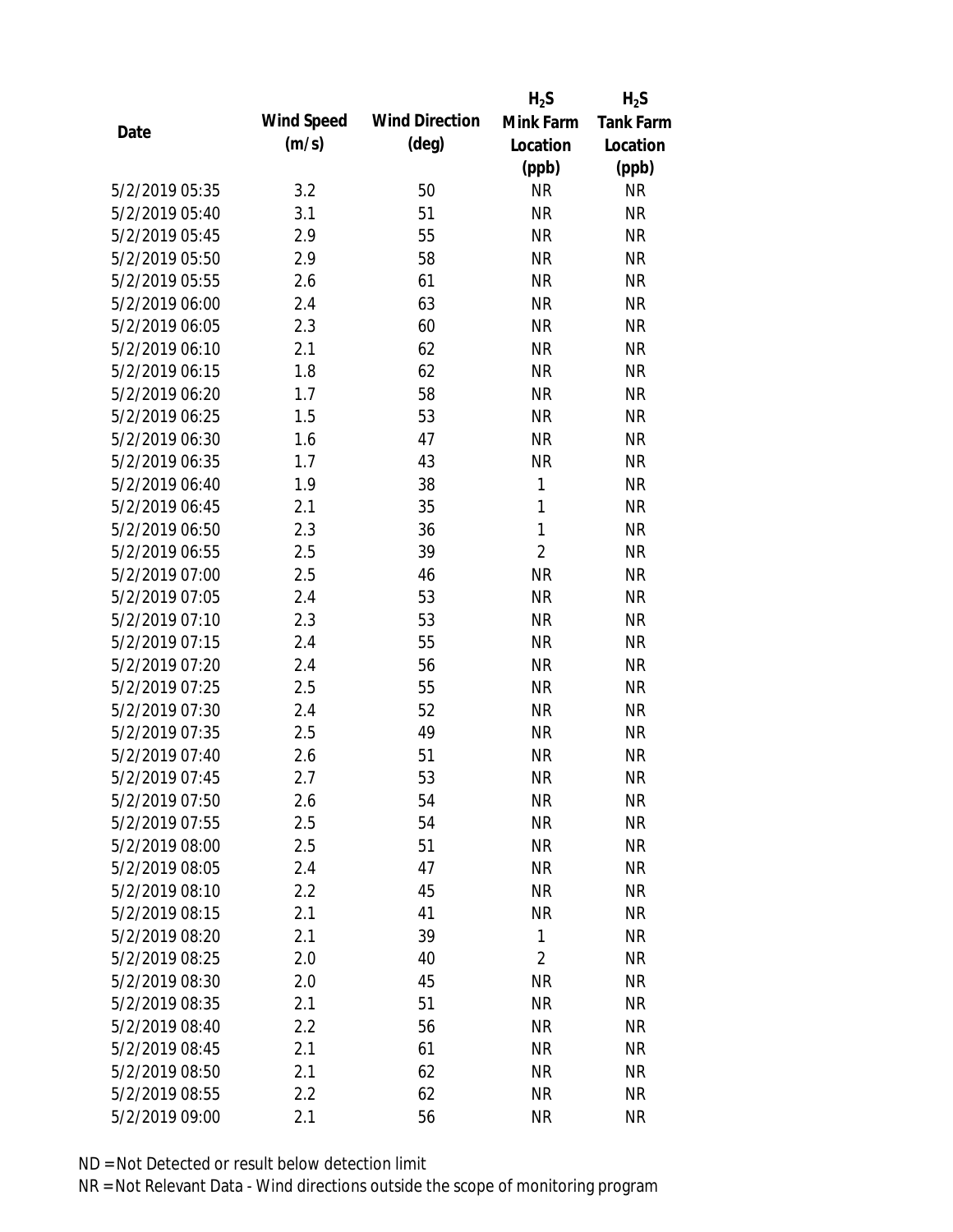|                |            |                       | $H_2S$         | $H_2S$           |
|----------------|------------|-----------------------|----------------|------------------|
| Date           | Wind Speed | <b>Wind Direction</b> | Mink Farm      | <b>Tank Farm</b> |
|                | (m/s)      | $(\text{deg})$        | Location       | Location         |
|                |            |                       | (ppb)          | (ppb)            |
| 5/2/2019 05:35 | 3.2        | 50                    | <b>NR</b>      | <b>NR</b>        |
| 5/2/2019 05:40 | 3.1        | 51                    | <b>NR</b>      | <b>NR</b>        |
| 5/2/2019 05:45 | 2.9        | 55                    | <b>NR</b>      | <b>NR</b>        |
| 5/2/2019 05:50 | 2.9        | 58                    | <b>NR</b>      | <b>NR</b>        |
| 5/2/2019 05:55 | 2.6        | 61                    | <b>NR</b>      | <b>NR</b>        |
| 5/2/2019 06:00 | 2.4        | 63                    | <b>NR</b>      | <b>NR</b>        |
| 5/2/2019 06:05 | 2.3        | 60                    | <b>NR</b>      | <b>NR</b>        |
| 5/2/2019 06:10 | 2.1        | 62                    | <b>NR</b>      | <b>NR</b>        |
| 5/2/2019 06:15 | 1.8        | 62                    | <b>NR</b>      | <b>NR</b>        |
| 5/2/2019 06:20 | 1.7        | 58                    | <b>NR</b>      | <b>NR</b>        |
| 5/2/2019 06:25 | 1.5        | 53                    | <b>NR</b>      | <b>NR</b>        |
| 5/2/2019 06:30 | 1.6        | 47                    | <b>NR</b>      | <b>NR</b>        |
| 5/2/2019 06:35 | 1.7        | 43                    | <b>NR</b>      | <b>NR</b>        |
| 5/2/2019 06:40 | 1.9        | 38                    | 1              | <b>NR</b>        |
| 5/2/2019 06:45 | 2.1        | 35                    | $\mathbf{1}$   | <b>NR</b>        |
| 5/2/2019 06:50 | 2.3        | 36                    | 1              | <b>NR</b>        |
| 5/2/2019 06:55 | 2.5        | 39                    | $\overline{2}$ | <b>NR</b>        |
| 5/2/2019 07:00 | 2.5        | 46                    | <b>NR</b>      | <b>NR</b>        |
| 5/2/2019 07:05 | 2.4        | 53                    | <b>NR</b>      | <b>NR</b>        |
| 5/2/2019 07:10 | 2.3        | 53                    | <b>NR</b>      | <b>NR</b>        |
| 5/2/2019 07:15 | 2.4        | 55                    | <b>NR</b>      | <b>NR</b>        |
| 5/2/2019 07:20 | 2.4        | 56                    | <b>NR</b>      | <b>NR</b>        |
| 5/2/2019 07:25 | 2.5        | 55                    | <b>NR</b>      | <b>NR</b>        |
| 5/2/2019 07:30 | 2.4        | 52                    | <b>NR</b>      | <b>NR</b>        |
| 5/2/2019 07:35 | 2.5        | 49                    | <b>NR</b>      | <b>NR</b>        |
| 5/2/2019 07:40 | 2.6        | 51                    | <b>NR</b>      | <b>NR</b>        |
| 5/2/2019 07:45 | 2.7        | 53                    | <b>NR</b>      | <b>NR</b>        |
| 5/2/2019 07:50 | 2.6        | 54                    | <b>NR</b>      | <b>NR</b>        |
| 5/2/2019 07:55 | 2.5        | 54                    | <b>NR</b>      | <b>NR</b>        |
| 5/2/2019 08:00 | 2.5        | 51                    | <b>NR</b>      | <b>NR</b>        |
| 5/2/2019 08:05 | 2.4        | 47                    | <b>NR</b>      | <b>NR</b>        |
| 5/2/2019 08:10 | 2.2        | 45                    | <b>NR</b>      | <b>NR</b>        |
| 5/2/2019 08:15 | 2.1        | 41                    | <b>NR</b>      | <b>NR</b>        |
| 5/2/2019 08:20 | 2.1        | 39                    | 1              | <b>NR</b>        |
| 5/2/2019 08:25 | 2.0        | 40                    | $\overline{2}$ | <b>NR</b>        |
| 5/2/2019 08:30 | 2.0        | 45                    | <b>NR</b>      | <b>NR</b>        |
| 5/2/2019 08:35 | 2.1        | 51                    | <b>NR</b>      | <b>NR</b>        |
| 5/2/2019 08:40 | 2.2        | 56                    | <b>NR</b>      | <b>NR</b>        |
| 5/2/2019 08:45 | 2.1        | 61                    | <b>NR</b>      | <b>NR</b>        |
| 5/2/2019 08:50 | 2.1        | 62                    | <b>NR</b>      | <b>NR</b>        |
| 5/2/2019 08:55 | 2.2        | 62                    | <b>NR</b>      | <b>NR</b>        |
| 5/2/2019 09:00 | 2.1        | 56                    | <b>NR</b>      | <b>NR</b>        |
|                |            |                       |                |                  |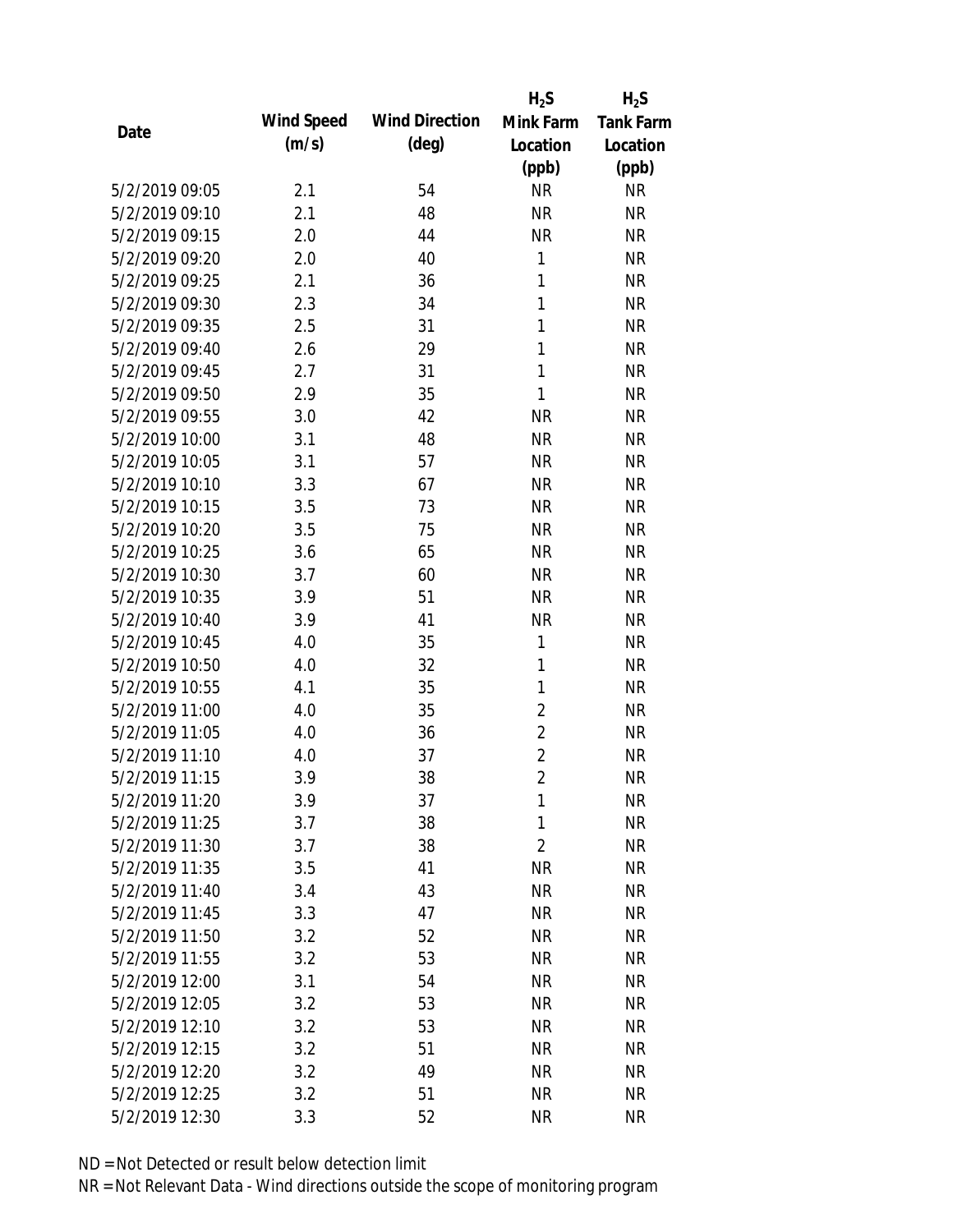|                |            |                       | $H_2S$         | $H_2S$           |
|----------------|------------|-----------------------|----------------|------------------|
| Date           | Wind Speed | <b>Wind Direction</b> | Mink Farm      | <b>Tank Farm</b> |
|                | (m/s)      | $(\text{deg})$        | Location       | Location         |
|                |            |                       | (ppb)          | (ppb)            |
| 5/2/2019 09:05 | 2.1        | 54                    | <b>NR</b>      | <b>NR</b>        |
| 5/2/2019 09:10 | 2.1        | 48                    | <b>NR</b>      | <b>NR</b>        |
| 5/2/2019 09:15 | 2.0        | 44                    | <b>NR</b>      | <b>NR</b>        |
| 5/2/2019 09:20 | 2.0        | 40                    | $\mathbf{1}$   | <b>NR</b>        |
| 5/2/2019 09:25 | 2.1        | 36                    | $\mathbf{1}$   | <b>NR</b>        |
| 5/2/2019 09:30 | 2.3        | 34                    | $\mathbf{1}$   | <b>NR</b>        |
| 5/2/2019 09:35 | 2.5        | 31                    | $\mathbf{1}$   | <b>NR</b>        |
| 5/2/2019 09:40 | 2.6        | 29                    | $\mathbf{1}$   | <b>NR</b>        |
| 5/2/2019 09:45 | 2.7        | 31                    | $\mathbf{1}$   | <b>NR</b>        |
| 5/2/2019 09:50 | 2.9        | 35                    | $\mathbf{1}$   | <b>NR</b>        |
| 5/2/2019 09:55 | 3.0        | 42                    | <b>NR</b>      | <b>NR</b>        |
| 5/2/2019 10:00 | 3.1        | 48                    | <b>NR</b>      | <b>NR</b>        |
| 5/2/2019 10:05 | 3.1        | 57                    | <b>NR</b>      | <b>NR</b>        |
| 5/2/2019 10:10 | 3.3        | 67                    | <b>NR</b>      | <b>NR</b>        |
| 5/2/2019 10:15 | 3.5        | 73                    | <b>NR</b>      | <b>NR</b>        |
| 5/2/2019 10:20 | 3.5        | 75                    | <b>NR</b>      | <b>NR</b>        |
| 5/2/2019 10:25 | 3.6        | 65                    | <b>NR</b>      | <b>NR</b>        |
| 5/2/2019 10:30 | 3.7        | 60                    | <b>NR</b>      | <b>NR</b>        |
| 5/2/2019 10:35 | 3.9        | 51                    | <b>NR</b>      | <b>NR</b>        |
| 5/2/2019 10:40 | 3.9        | 41                    | <b>NR</b>      | <b>NR</b>        |
| 5/2/2019 10:45 | 4.0        | 35                    | 1              | <b>NR</b>        |
| 5/2/2019 10:50 | 4.0        | 32                    | 1              | <b>NR</b>        |
| 5/2/2019 10:55 | 4.1        | 35                    | 1              | <b>NR</b>        |
| 5/2/2019 11:00 | 4.0        | 35                    | $\overline{2}$ | <b>NR</b>        |
| 5/2/2019 11:05 | 4.0        | 36                    | $\overline{2}$ | <b>NR</b>        |
| 5/2/2019 11:10 | 4.0        | 37                    | $\overline{2}$ | <b>NR</b>        |
| 5/2/2019 11:15 | 3.9        | 38                    | $\overline{2}$ | <b>NR</b>        |
| 5/2/2019 11:20 | 3.9        | 37                    | 1              | <b>NR</b>        |
| 5/2/2019 11:25 | 3.7        | 38                    | 1              | <b>NR</b>        |
| 5/2/2019 11:30 | 3.7        | 38                    | $\overline{2}$ | <b>NR</b>        |
| 5/2/2019 11:35 | 3.5        | 41                    | <b>NR</b>      | <b>NR</b>        |
| 5/2/2019 11:40 | 3.4        | 43                    | <b>NR</b>      | <b>NR</b>        |
| 5/2/2019 11:45 | 3.3        | 47                    | <b>NR</b>      | <b>NR</b>        |
| 5/2/2019 11:50 | 3.2        | 52                    | <b>NR</b>      | <b>NR</b>        |
| 5/2/2019 11:55 | 3.2        | 53                    | <b>NR</b>      | <b>NR</b>        |
| 5/2/2019 12:00 | 3.1        | 54                    | <b>NR</b>      | <b>NR</b>        |
| 5/2/2019 12:05 | 3.2        | 53                    | <b>NR</b>      | <b>NR</b>        |
| 5/2/2019 12:10 | 3.2        | 53                    | <b>NR</b>      | <b>NR</b>        |
| 5/2/2019 12:15 | 3.2        | 51                    | <b>NR</b>      | <b>NR</b>        |
| 5/2/2019 12:20 | 3.2        | 49                    | <b>NR</b>      | <b>NR</b>        |
| 5/2/2019 12:25 | 3.2        | 51                    | <b>NR</b>      | <b>NR</b>        |
| 5/2/2019 12:30 | 3.3        | 52                    | <b>NR</b>      | <b>NR</b>        |
|                |            |                       |                |                  |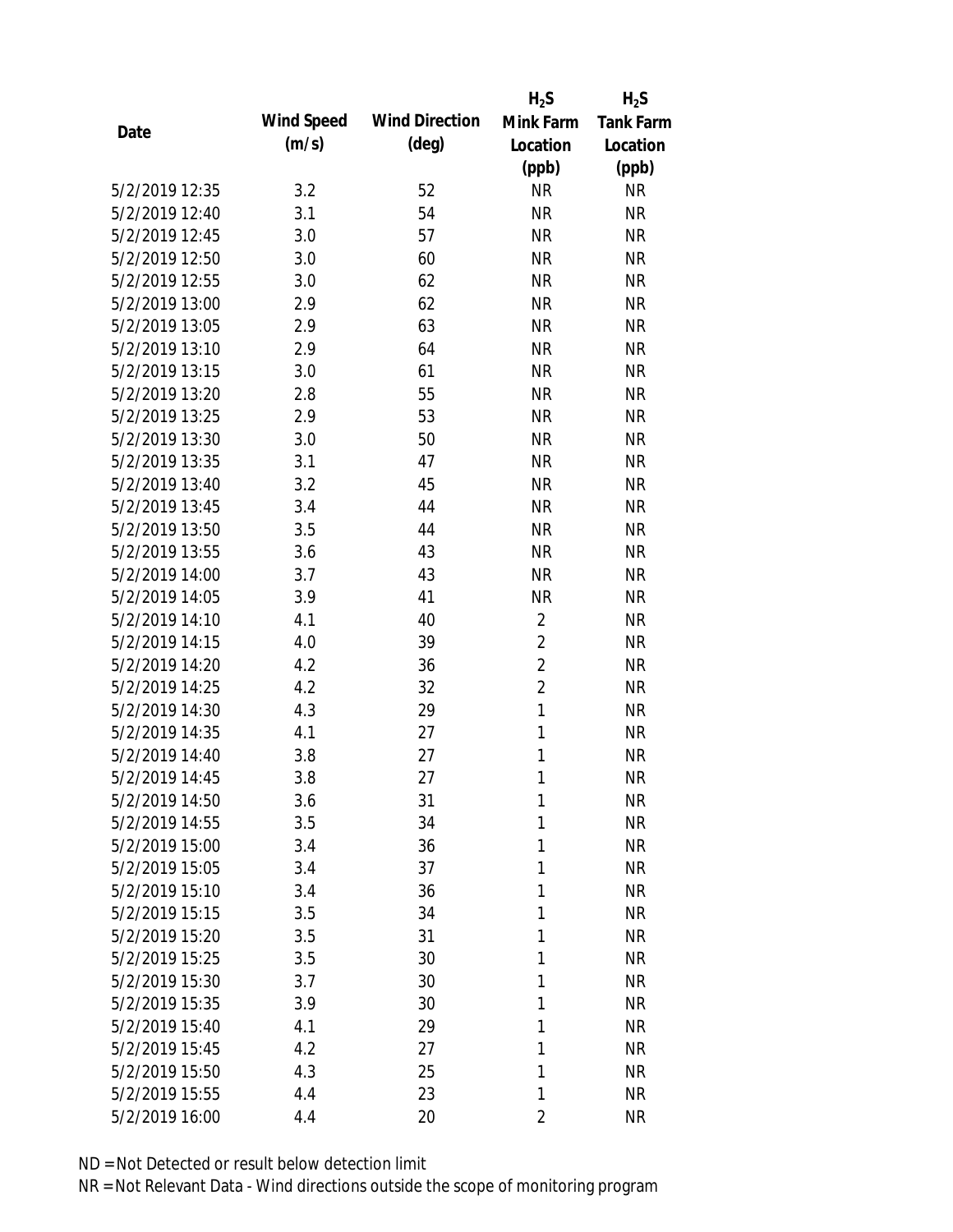|                |            |                       | $H_2S$         | $H_2S$           |
|----------------|------------|-----------------------|----------------|------------------|
| Date           | Wind Speed | <b>Wind Direction</b> | Mink Farm      | <b>Tank Farm</b> |
|                | (m/s)      | $(\text{deg})$        | Location       | Location         |
|                |            |                       | (ppb)          | (ppb)            |
| 5/2/2019 12:35 | 3.2        | 52                    | <b>NR</b>      | <b>NR</b>        |
| 5/2/2019 12:40 | 3.1        | 54                    | <b>NR</b>      | <b>NR</b>        |
| 5/2/2019 12:45 | 3.0        | 57                    | <b>NR</b>      | <b>NR</b>        |
| 5/2/2019 12:50 | 3.0        | 60                    | <b>NR</b>      | <b>NR</b>        |
| 5/2/2019 12:55 | 3.0        | 62                    | <b>NR</b>      | <b>NR</b>        |
| 5/2/2019 13:00 | 2.9        | 62                    | <b>NR</b>      | <b>NR</b>        |
| 5/2/2019 13:05 | 2.9        | 63                    | <b>NR</b>      | <b>NR</b>        |
| 5/2/2019 13:10 | 2.9        | 64                    | <b>NR</b>      | <b>NR</b>        |
| 5/2/2019 13:15 | 3.0        | 61                    | <b>NR</b>      | <b>NR</b>        |
| 5/2/2019 13:20 | 2.8        | 55                    | <b>NR</b>      | <b>NR</b>        |
| 5/2/2019 13:25 | 2.9        | 53                    | <b>NR</b>      | <b>NR</b>        |
| 5/2/2019 13:30 | 3.0        | 50                    | <b>NR</b>      | <b>NR</b>        |
| 5/2/2019 13:35 | 3.1        | 47                    | <b>NR</b>      | <b>NR</b>        |
| 5/2/2019 13:40 | 3.2        | 45                    | <b>NR</b>      | <b>NR</b>        |
| 5/2/2019 13:45 | 3.4        | 44                    | <b>NR</b>      | <b>NR</b>        |
| 5/2/2019 13:50 | 3.5        | 44                    | <b>NR</b>      | <b>NR</b>        |
| 5/2/2019 13:55 | 3.6        | 43                    | <b>NR</b>      | <b>NR</b>        |
| 5/2/2019 14:00 | 3.7        | 43                    | <b>NR</b>      | <b>NR</b>        |
| 5/2/2019 14:05 | 3.9        | 41                    | <b>NR</b>      | <b>NR</b>        |
| 5/2/2019 14:10 | 4.1        | 40                    | $\overline{2}$ | <b>NR</b>        |
| 5/2/2019 14:15 | 4.0        | 39                    | $\overline{2}$ | <b>NR</b>        |
| 5/2/2019 14:20 | 4.2        | 36                    | $\overline{2}$ | <b>NR</b>        |
| 5/2/2019 14:25 | 4.2        | 32                    | $\overline{2}$ | <b>NR</b>        |
| 5/2/2019 14:30 | 4.3        | 29                    | $\mathbf{1}$   | <b>NR</b>        |
| 5/2/2019 14:35 | 4.1        | 27                    | 1              | <b>NR</b>        |
| 5/2/2019 14:40 | 3.8        | 27                    | 1              | <b>NR</b>        |
| 5/2/2019 14:45 | 3.8        | 27                    | 1              | <b>NR</b>        |
| 5/2/2019 14:50 | 3.6        | 31                    | 1              | <b>NR</b>        |
| 5/2/2019 14:55 | 3.5        | 34                    | 1              | <b>NR</b>        |
| 5/2/2019 15:00 | 3.4        | 36                    | 1              | <b>NR</b>        |
| 5/2/2019 15:05 | 3.4        | 37                    | 1              | <b>NR</b>        |
| 5/2/2019 15:10 | 3.4        | 36                    | 1              | <b>NR</b>        |
| 5/2/2019 15:15 | 3.5        | 34                    | 1              | <b>NR</b>        |
| 5/2/2019 15:20 | 3.5        | 31                    | 1              | <b>NR</b>        |
| 5/2/2019 15:25 | 3.5        | 30                    | 1              | <b>NR</b>        |
| 5/2/2019 15:30 | 3.7        | 30                    | 1              | <b>NR</b>        |
| 5/2/2019 15:35 | 3.9        | 30                    | 1              | <b>NR</b>        |
| 5/2/2019 15:40 | 4.1        | 29                    | 1              | <b>NR</b>        |
| 5/2/2019 15:45 | 4.2        | 27                    | 1              | <b>NR</b>        |
| 5/2/2019 15:50 | 4.3        | 25                    | 1              | <b>NR</b>        |
| 5/2/2019 15:55 | 4.4        | 23                    | 1              | <b>NR</b>        |
| 5/2/2019 16:00 | 4.4        | 20                    | 2              | <b>NR</b>        |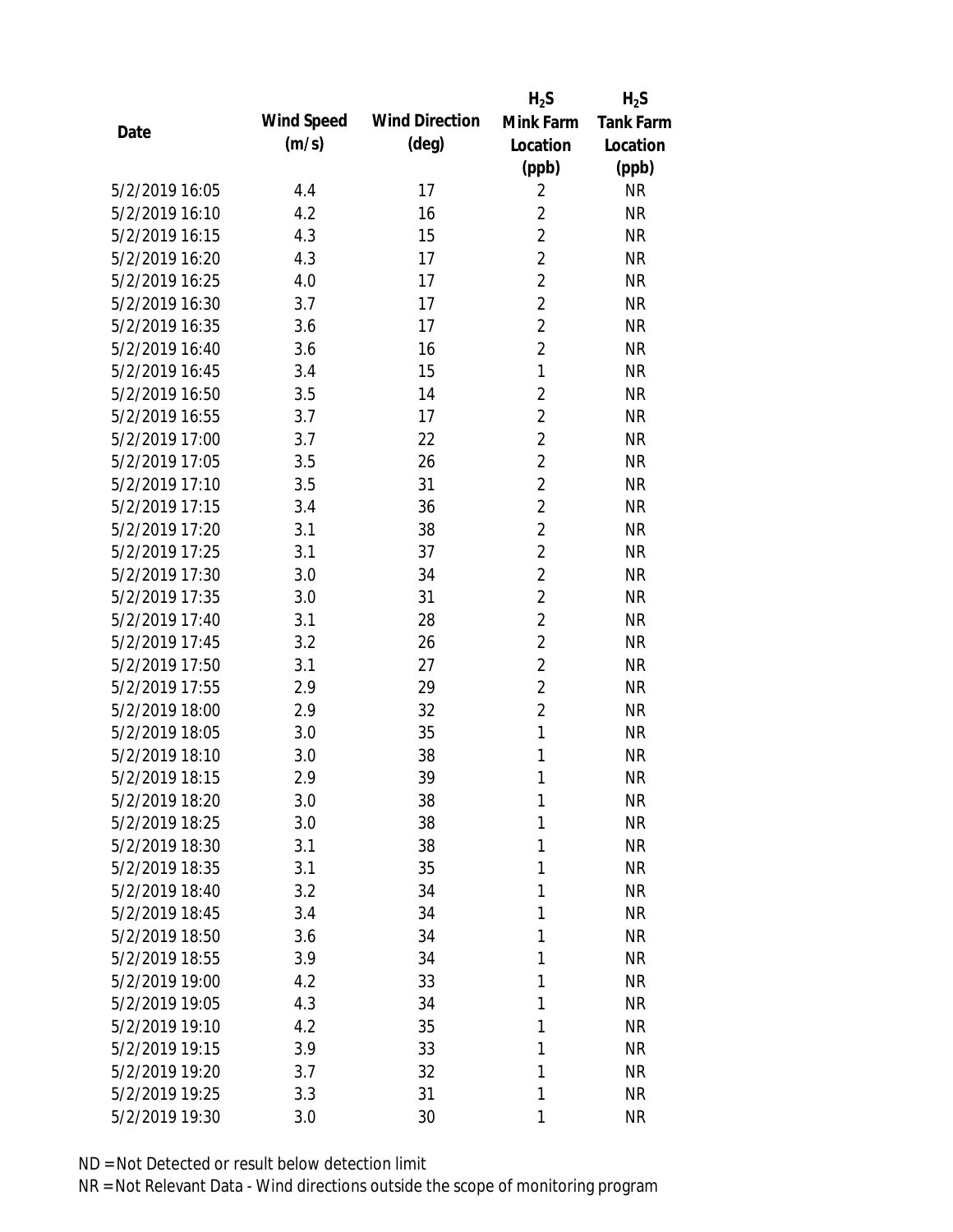|                |            |                       | $H_2S$         | $H_2S$           |
|----------------|------------|-----------------------|----------------|------------------|
| Date           | Wind Speed | <b>Wind Direction</b> | Mink Farm      | <b>Tank Farm</b> |
|                | (m/s)      | $(\text{deg})$        | Location       | Location         |
|                |            |                       | (ppb)          | (ppb)            |
| 5/2/2019 16:05 | 4.4        | 17                    | $\overline{2}$ | <b>NR</b>        |
| 5/2/2019 16:10 | 4.2        | 16                    | $\overline{2}$ | <b>NR</b>        |
| 5/2/2019 16:15 | 4.3        | 15                    | $\overline{2}$ | <b>NR</b>        |
| 5/2/2019 16:20 | 4.3        | 17                    | $\overline{2}$ | <b>NR</b>        |
| 5/2/2019 16:25 | 4.0        | 17                    | $\overline{2}$ | <b>NR</b>        |
| 5/2/2019 16:30 | 3.7        | 17                    | $\overline{2}$ | <b>NR</b>        |
| 5/2/2019 16:35 | 3.6        | 17                    | $\overline{2}$ | <b>NR</b>        |
| 5/2/2019 16:40 | 3.6        | 16                    | $\overline{2}$ | <b>NR</b>        |
| 5/2/2019 16:45 | 3.4        | 15                    | $\mathbf{1}$   | <b>NR</b>        |
| 5/2/2019 16:50 | 3.5        | 14                    | $\overline{2}$ | <b>NR</b>        |
| 5/2/2019 16:55 | 3.7        | 17                    | $\overline{2}$ | <b>NR</b>        |
| 5/2/2019 17:00 | 3.7        | 22                    | $\overline{2}$ | <b>NR</b>        |
| 5/2/2019 17:05 | 3.5        | 26                    | $\overline{2}$ | <b>NR</b>        |
| 5/2/2019 17:10 | 3.5        | 31                    | $\overline{2}$ | <b>NR</b>        |
| 5/2/2019 17:15 | 3.4        | 36                    | $\overline{2}$ | <b>NR</b>        |
| 5/2/2019 17:20 | 3.1        | 38                    | $\overline{2}$ | <b>NR</b>        |
| 5/2/2019 17:25 | 3.1        | 37                    | $\overline{2}$ | <b>NR</b>        |
| 5/2/2019 17:30 | 3.0        | 34                    | $\overline{2}$ | <b>NR</b>        |
| 5/2/2019 17:35 | 3.0        | 31                    | $\overline{2}$ | <b>NR</b>        |
| 5/2/2019 17:40 | 3.1        | 28                    | $\overline{2}$ | <b>NR</b>        |
| 5/2/2019 17:45 | 3.2        | 26                    | $\overline{2}$ | <b>NR</b>        |
| 5/2/2019 17:50 | 3.1        | 27                    | $\overline{2}$ | <b>NR</b>        |
| 5/2/2019 17:55 | 2.9        | 29                    | $\overline{2}$ | <b>NR</b>        |
| 5/2/2019 18:00 | 2.9        | 32                    | $\overline{2}$ | <b>NR</b>        |
| 5/2/2019 18:05 | 3.0        | 35                    | $\mathbf{1}$   | <b>NR</b>        |
| 5/2/2019 18:10 | 3.0        | 38                    | 1              | <b>NR</b>        |
| 5/2/2019 18:15 | 2.9        | 39                    | 1              | <b>NR</b>        |
| 5/2/2019 18:20 | 3.0        | 38                    | 1              | <b>NR</b>        |
| 5/2/2019 18:25 | 3.0        | 38                    | 1              | <b>NR</b>        |
| 5/2/2019 18:30 | 3.1        | 38                    | 1              | <b>NR</b>        |
| 5/2/2019 18:35 | 3.1        | 35                    | 1              | <b>NR</b>        |
| 5/2/2019 18:40 | 3.2        | 34                    | 1              | <b>NR</b>        |
| 5/2/2019 18:45 | 3.4        | 34                    | 1              | <b>NR</b>        |
| 5/2/2019 18:50 | 3.6        | 34                    | 1              | <b>NR</b>        |
| 5/2/2019 18:55 | 3.9        | 34                    | 1              | <b>NR</b>        |
| 5/2/2019 19:00 | 4.2        | 33                    | 1              | <b>NR</b>        |
| 5/2/2019 19:05 | 4.3        | 34                    | 1              | <b>NR</b>        |
| 5/2/2019 19:10 | 4.2        | 35                    | 1              | <b>NR</b>        |
| 5/2/2019 19:15 | 3.9        | 33                    | 1              | <b>NR</b>        |
| 5/2/2019 19:20 | 3.7        | 32                    | 1              | <b>NR</b>        |
| 5/2/2019 19:25 | 3.3        | 31                    | 1              | <b>NR</b>        |
| 5/2/2019 19:30 | 3.0        | 30                    | 1              | <b>NR</b>        |
|                |            |                       |                |                  |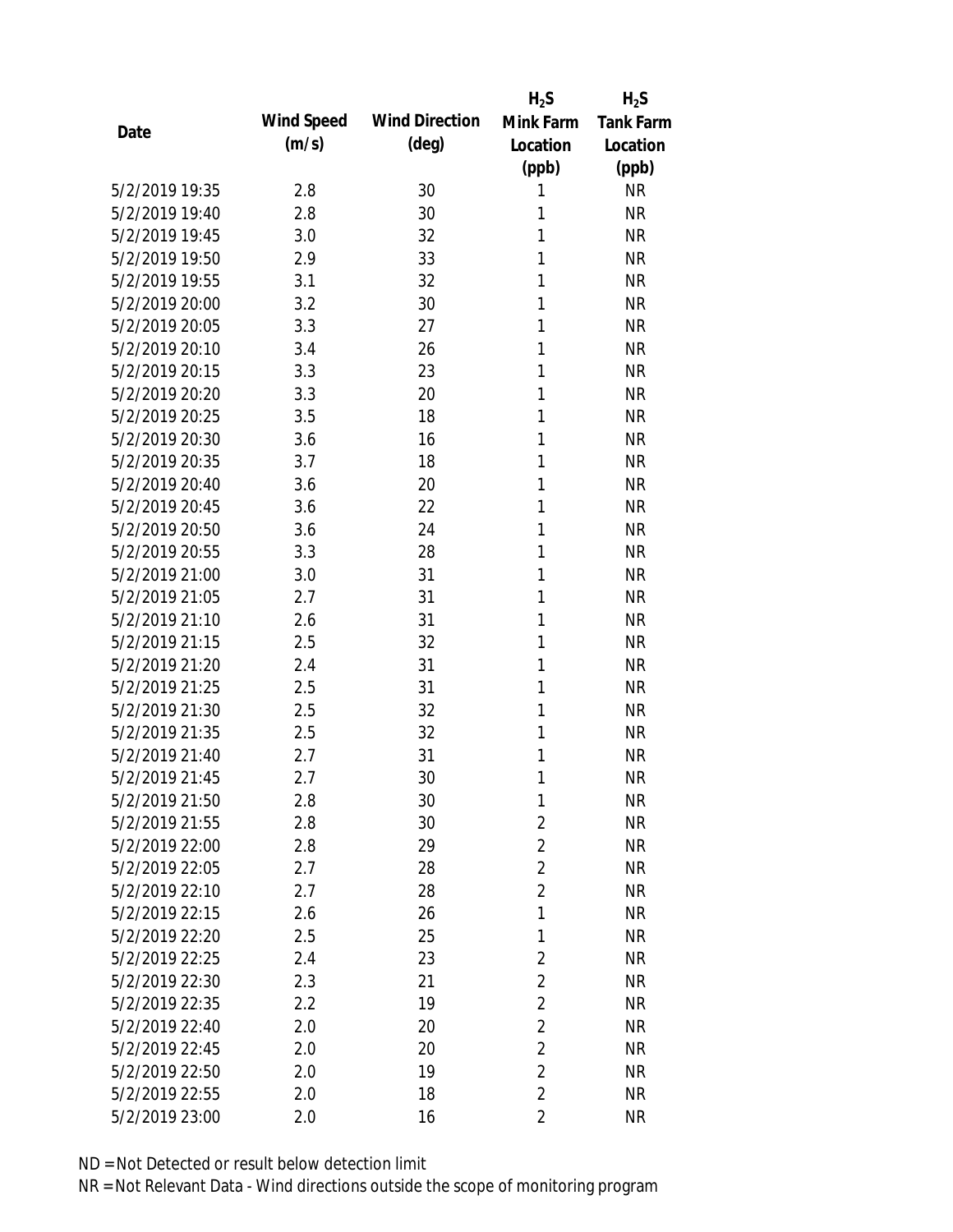|                |            |                       | $H_2S$         | $H_2S$           |
|----------------|------------|-----------------------|----------------|------------------|
| Date           | Wind Speed | <b>Wind Direction</b> | Mink Farm      | <b>Tank Farm</b> |
|                | (m/s)      | $(\text{deg})$        | Location       | Location         |
|                |            |                       | (ppb)          | (ppb)            |
| 5/2/2019 19:35 | 2.8        | 30                    | 1              | <b>NR</b>        |
| 5/2/2019 19:40 | 2.8        | 30                    | 1              | <b>NR</b>        |
| 5/2/2019 19:45 | 3.0        | 32                    | 1              | <b>NR</b>        |
| 5/2/2019 19:50 | 2.9        | 33                    | 1              | <b>NR</b>        |
| 5/2/2019 19:55 | 3.1        | 32                    | 1              | <b>NR</b>        |
| 5/2/2019 20:00 | 3.2        | 30                    | 1              | <b>NR</b>        |
| 5/2/2019 20:05 | 3.3        | 27                    | 1              | <b>NR</b>        |
| 5/2/2019 20:10 | 3.4        | 26                    | 1              | <b>NR</b>        |
| 5/2/2019 20:15 | 3.3        | 23                    | 1              | <b>NR</b>        |
| 5/2/2019 20:20 | 3.3        | 20                    | 1              | <b>NR</b>        |
| 5/2/2019 20:25 | 3.5        | 18                    | 1              | <b>NR</b>        |
| 5/2/2019 20:30 | 3.6        | 16                    | 1              | <b>NR</b>        |
| 5/2/2019 20:35 | 3.7        | 18                    | 1              | <b>NR</b>        |
| 5/2/2019 20:40 | 3.6        | 20                    | 1              | <b>NR</b>        |
| 5/2/2019 20:45 | 3.6        | 22                    | 1              | <b>NR</b>        |
| 5/2/2019 20:50 | 3.6        | 24                    | 1              | <b>NR</b>        |
| 5/2/2019 20:55 | 3.3        | 28                    | 1              | <b>NR</b>        |
| 5/2/2019 21:00 | 3.0        | 31                    | 1              | <b>NR</b>        |
| 5/2/2019 21:05 | 2.7        | 31                    | 1              | <b>NR</b>        |
| 5/2/2019 21:10 | 2.6        | 31                    | 1              | <b>NR</b>        |
| 5/2/2019 21:15 | 2.5        | 32                    | 1              | <b>NR</b>        |
| 5/2/2019 21:20 | 2.4        | 31                    | 1              | <b>NR</b>        |
| 5/2/2019 21:25 | 2.5        | 31                    | 1              | <b>NR</b>        |
| 5/2/2019 21:30 | 2.5        | 32                    | 1              | <b>NR</b>        |
| 5/2/2019 21:35 | 2.5        | 32                    | 1              | <b>NR</b>        |
| 5/2/2019 21:40 | 2.7        | 31                    | 1              | <b>NR</b>        |
| 5/2/2019 21:45 | 2.7        | 30                    | 1              | <b>NR</b>        |
| 5/2/2019 21:50 | 2.8        | 30                    | 1              | <b>NR</b>        |
| 5/2/2019 21:55 | 2.8        | 30                    | $\overline{2}$ | <b>NR</b>        |
| 5/2/2019 22:00 | 2.8        | 29                    | $\overline{2}$ | <b>NR</b>        |
| 5/2/2019 22:05 | 2.7        | 28                    | $\overline{2}$ | <b>NR</b>        |
| 5/2/2019 22:10 | 2.7        | 28                    | $\overline{2}$ | <b>NR</b>        |
| 5/2/2019 22:15 | 2.6        | 26                    | 1              | <b>NR</b>        |
| 5/2/2019 22:20 | 2.5        | 25                    | 1              | <b>NR</b>        |
| 5/2/2019 22:25 | 2.4        | 23                    | $\overline{2}$ | <b>NR</b>        |
| 5/2/2019 22:30 | 2.3        | 21                    | $\overline{2}$ | <b>NR</b>        |
| 5/2/2019 22:35 | 2.2        | 19                    | $\overline{2}$ | <b>NR</b>        |
| 5/2/2019 22:40 | 2.0        | 20                    | $\overline{2}$ | <b>NR</b>        |
| 5/2/2019 22:45 | 2.0        | 20                    | $\overline{2}$ | <b>NR</b>        |
| 5/2/2019 22:50 | 2.0        | 19                    | $\overline{2}$ | <b>NR</b>        |
| 5/2/2019 22:55 | 2.0        | 18                    | $\overline{2}$ | <b>NR</b>        |
| 5/2/2019 23:00 | 2.0        | 16                    | $\overline{2}$ | <b>NR</b>        |
|                |            |                       |                |                  |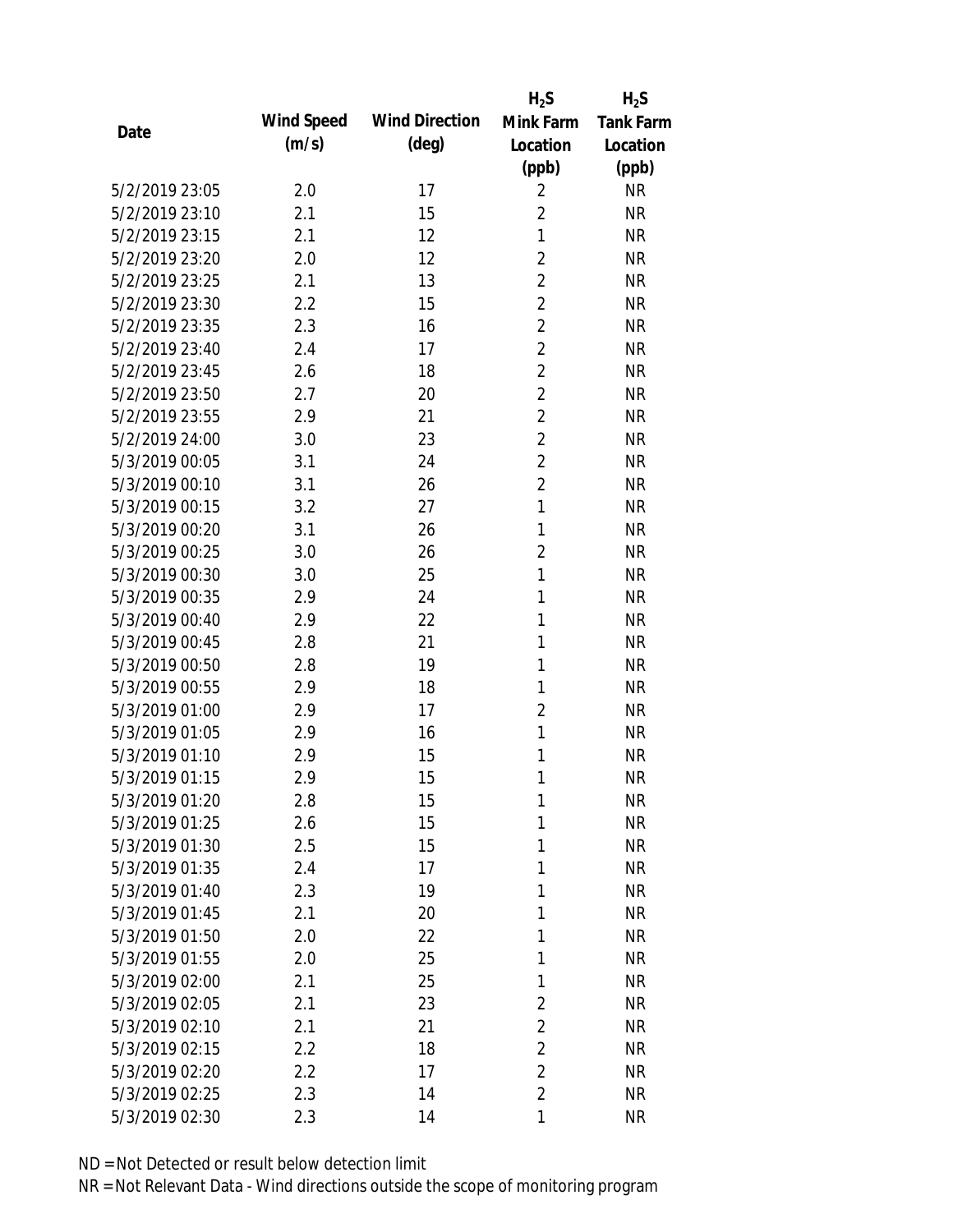|                |            |                       | $H_2S$         | $H_2S$           |
|----------------|------------|-----------------------|----------------|------------------|
| Date           | Wind Speed | <b>Wind Direction</b> | Mink Farm      | <b>Tank Farm</b> |
|                | (m/s)      | $(\text{deg})$        | Location       | Location         |
|                |            |                       | (ppb)          | (ppb)            |
| 5/2/2019 23:05 | 2.0        | 17                    | $\overline{2}$ | <b>NR</b>        |
| 5/2/2019 23:10 | 2.1        | 15                    | $\overline{2}$ | <b>NR</b>        |
| 5/2/2019 23:15 | 2.1        | 12                    | $\mathbf{1}$   | <b>NR</b>        |
| 5/2/2019 23:20 | 2.0        | 12                    | $\overline{2}$ | <b>NR</b>        |
| 5/2/2019 23:25 | 2.1        | 13                    | $\overline{2}$ | <b>NR</b>        |
| 5/2/2019 23:30 | 2.2        | 15                    | $\overline{2}$ | <b>NR</b>        |
| 5/2/2019 23:35 | 2.3        | 16                    | $\overline{2}$ | <b>NR</b>        |
| 5/2/2019 23:40 | 2.4        | 17                    | $\overline{2}$ | <b>NR</b>        |
| 5/2/2019 23:45 | 2.6        | 18                    | $\overline{2}$ | <b>NR</b>        |
| 5/2/2019 23:50 | 2.7        | 20                    | $\overline{2}$ | <b>NR</b>        |
| 5/2/2019 23:55 | 2.9        | 21                    | $\overline{2}$ | <b>NR</b>        |
| 5/2/2019 24:00 | 3.0        | 23                    | $\overline{2}$ | <b>NR</b>        |
| 5/3/2019 00:05 | 3.1        | 24                    | $\overline{2}$ | <b>NR</b>        |
| 5/3/2019 00:10 | 3.1        | 26                    | $\overline{2}$ | <b>NR</b>        |
| 5/3/2019 00:15 | 3.2        | 27                    | $\mathbf{1}$   | <b>NR</b>        |
| 5/3/2019 00:20 | 3.1        | 26                    | 1              | <b>NR</b>        |
| 5/3/2019 00:25 | 3.0        | 26                    | $\overline{2}$ | <b>NR</b>        |
| 5/3/2019 00:30 | 3.0        | 25                    | $\mathbf{1}$   | <b>NR</b>        |
| 5/3/2019 00:35 | 2.9        | 24                    | 1              | <b>NR</b>        |
| 5/3/2019 00:40 | 2.9        | 22                    | 1              | <b>NR</b>        |
| 5/3/2019 00:45 | 2.8        | 21                    | 1              | <b>NR</b>        |
| 5/3/2019 00:50 | 2.8        | 19                    | 1              | <b>NR</b>        |
| 5/3/2019 00:55 | 2.9        | 18                    | 1              | <b>NR</b>        |
| 5/3/2019 01:00 | 2.9        | 17                    | $\overline{2}$ | <b>NR</b>        |
| 5/3/2019 01:05 | 2.9        | 16                    | $\mathbf{1}$   | <b>NR</b>        |
| 5/3/2019 01:10 | 2.9        | 15                    | 1              | <b>NR</b>        |
| 5/3/2019 01:15 | 2.9        | 15                    | 1              | <b>NR</b>        |
| 5/3/2019 01:20 | 2.8        | 15                    | 1              | <b>NR</b>        |
| 5/3/2019 01:25 | 2.6        | 15                    | 1              | <b>NR</b>        |
| 5/3/2019 01:30 | 2.5        | 15                    | 1              | <b>NR</b>        |
| 5/3/2019 01:35 | 2.4        | 17                    | 1              | <b>NR</b>        |
| 5/3/2019 01:40 | 2.3        | 19                    | 1              | <b>NR</b>        |
| 5/3/2019 01:45 | 2.1        | 20                    | 1              | <b>NR</b>        |
| 5/3/2019 01:50 | 2.0        | 22                    | 1              | <b>NR</b>        |
| 5/3/2019 01:55 | 2.0        | 25                    | 1              | <b>NR</b>        |
| 5/3/2019 02:00 | 2.1        | 25                    | 1              | <b>NR</b>        |
| 5/3/2019 02:05 | 2.1        | 23                    | $\overline{2}$ | <b>NR</b>        |
| 5/3/2019 02:10 | 2.1        | 21                    | $\overline{2}$ | <b>NR</b>        |
| 5/3/2019 02:15 | 2.2        | 18                    | $\overline{2}$ | <b>NR</b>        |
| 5/3/2019 02:20 | 2.2        | 17                    | $\overline{2}$ | <b>NR</b>        |
| 5/3/2019 02:25 | 2.3        | 14                    | 2              | <b>NR</b>        |
| 5/3/2019 02:30 | 2.3        | 14                    | 1              | <b>NR</b>        |
|                |            |                       |                |                  |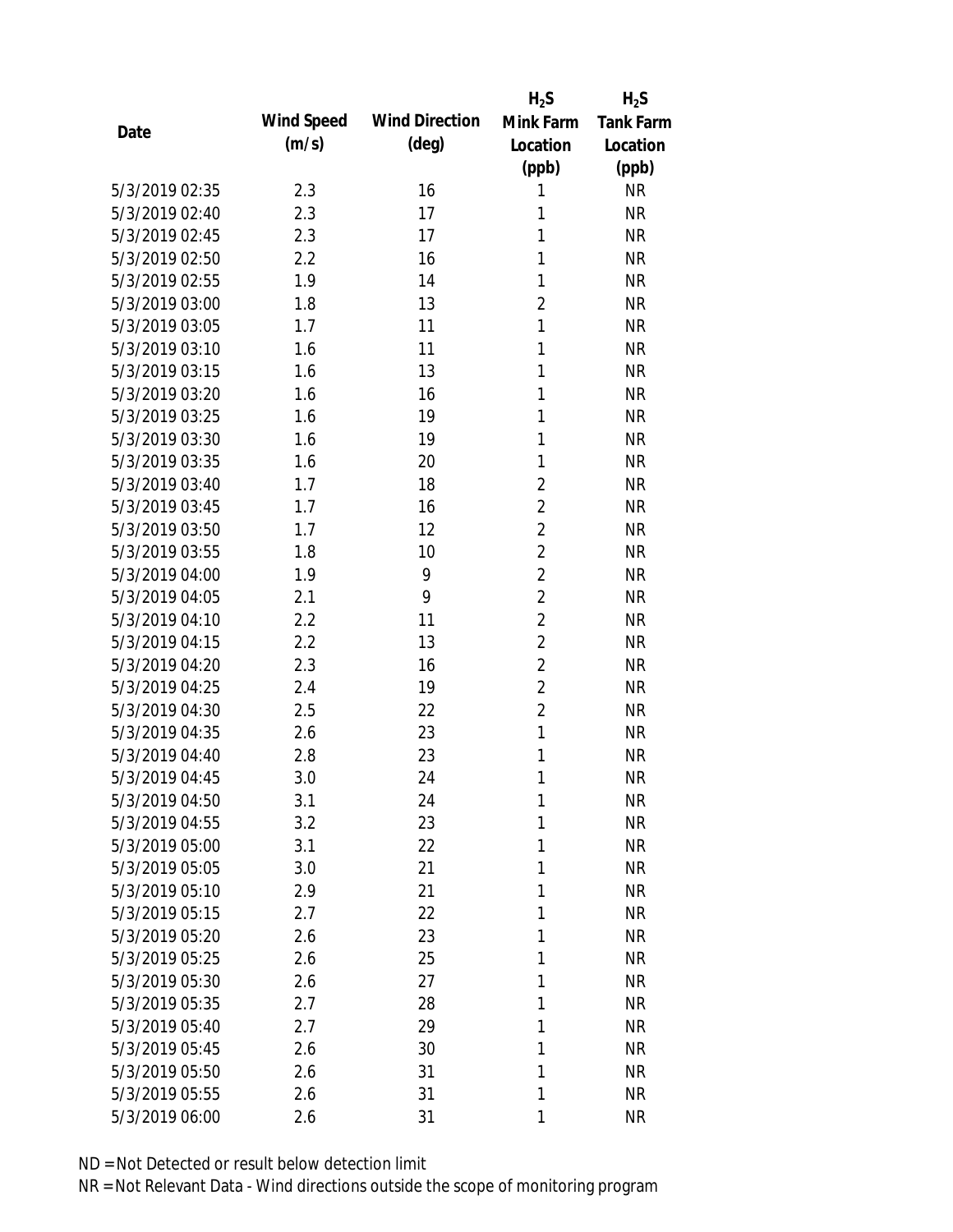|                |            |                       | $H_2S$         | $H_2S$           |
|----------------|------------|-----------------------|----------------|------------------|
| Date           | Wind Speed | <b>Wind Direction</b> | Mink Farm      | <b>Tank Farm</b> |
|                | (m/s)      | $(\text{deg})$        | Location       | Location         |
|                |            |                       | (ppb)          | (ppb)            |
| 5/3/2019 02:35 | 2.3        | 16                    | 1              | <b>NR</b>        |
| 5/3/2019 02:40 | 2.3        | 17                    | 1              | <b>NR</b>        |
| 5/3/2019 02:45 | 2.3        | 17                    | 1              | <b>NR</b>        |
| 5/3/2019 02:50 | 2.2        | 16                    | $\mathbf{1}$   | <b>NR</b>        |
| 5/3/2019 02:55 | 1.9        | 14                    | 1              | <b>NR</b>        |
| 5/3/2019 03:00 | 1.8        | 13                    | $\overline{2}$ | <b>NR</b>        |
| 5/3/2019 03:05 | 1.7        | 11                    | $\mathbf{1}$   | <b>NR</b>        |
| 5/3/2019 03:10 | 1.6        | 11                    | 1              | <b>NR</b>        |
| 5/3/2019 03:15 | 1.6        | 13                    | 1              | <b>NR</b>        |
| 5/3/2019 03:20 | 1.6        | 16                    | 1              | <b>NR</b>        |
| 5/3/2019 03:25 | 1.6        | 19                    | 1              | <b>NR</b>        |
| 5/3/2019 03:30 | 1.6        | 19                    | 1              | <b>NR</b>        |
| 5/3/2019 03:35 | 1.6        | 20                    | 1              | <b>NR</b>        |
| 5/3/2019 03:40 | 1.7        | 18                    | $\overline{2}$ | <b>NR</b>        |
| 5/3/2019 03:45 | 1.7        | 16                    | $\overline{2}$ | <b>NR</b>        |
| 5/3/2019 03:50 | 1.7        | 12                    | $\overline{2}$ | <b>NR</b>        |
| 5/3/2019 03:55 | 1.8        | 10                    | $\overline{2}$ | <b>NR</b>        |
| 5/3/2019 04:00 | 1.9        | 9                     | $\overline{2}$ | <b>NR</b>        |
| 5/3/2019 04:05 | 2.1        | 9                     | $\overline{2}$ | <b>NR</b>        |
| 5/3/2019 04:10 | 2.2        | 11                    | $\overline{2}$ | <b>NR</b>        |
| 5/3/2019 04:15 | 2.2        | 13                    | $\overline{2}$ | <b>NR</b>        |
| 5/3/2019 04:20 | 2.3        | 16                    | $\overline{2}$ | <b>NR</b>        |
| 5/3/2019 04:25 | 2.4        | 19                    | $\overline{2}$ | <b>NR</b>        |
| 5/3/2019 04:30 | 2.5        | 22                    | $\overline{2}$ | <b>NR</b>        |
| 5/3/2019 04:35 | 2.6        | 23                    | $\mathbf{1}$   | <b>NR</b>        |
| 5/3/2019 04:40 | 2.8        | 23                    | 1              | <b>NR</b>        |
| 5/3/2019 04:45 | 3.0        | 24                    | 1              | <b>NR</b>        |
| 5/3/2019 04:50 | 3.1        | 24                    | $\mathbf{1}$   | <b>NR</b>        |
| 5/3/2019 04:55 | 3.2        | 23                    | 1              | <b>NR</b>        |
| 5/3/2019 05:00 | 3.1        | 22                    | 1              | <b>NR</b>        |
| 5/3/2019 05:05 | 3.0        | 21                    | 1              | <b>NR</b>        |
| 5/3/2019 05:10 | 2.9        | 21                    | 1              | <b>NR</b>        |
| 5/3/2019 05:15 | 2.7        | 22                    | 1              | <b>NR</b>        |
| 5/3/2019 05:20 | 2.6        | 23                    | 1              | <b>NR</b>        |
| 5/3/2019 05:25 | 2.6        | 25                    | 1              | <b>NR</b>        |
| 5/3/2019 05:30 | 2.6        | 27                    | 1              | <b>NR</b>        |
| 5/3/2019 05:35 | 2.7        | 28                    | 1              | <b>NR</b>        |
| 5/3/2019 05:40 | 2.7        | 29                    | 1              | <b>NR</b>        |
| 5/3/2019 05:45 | 2.6        | 30                    | 1              | <b>NR</b>        |
| 5/3/2019 05:50 | 2.6        | 31                    | 1              | <b>NR</b>        |
| 5/3/2019 05:55 | 2.6        | 31                    | 1              | <b>NR</b>        |
| 5/3/2019 06:00 | 2.6        | 31                    | 1              | <b>NR</b>        |
|                |            |                       |                |                  |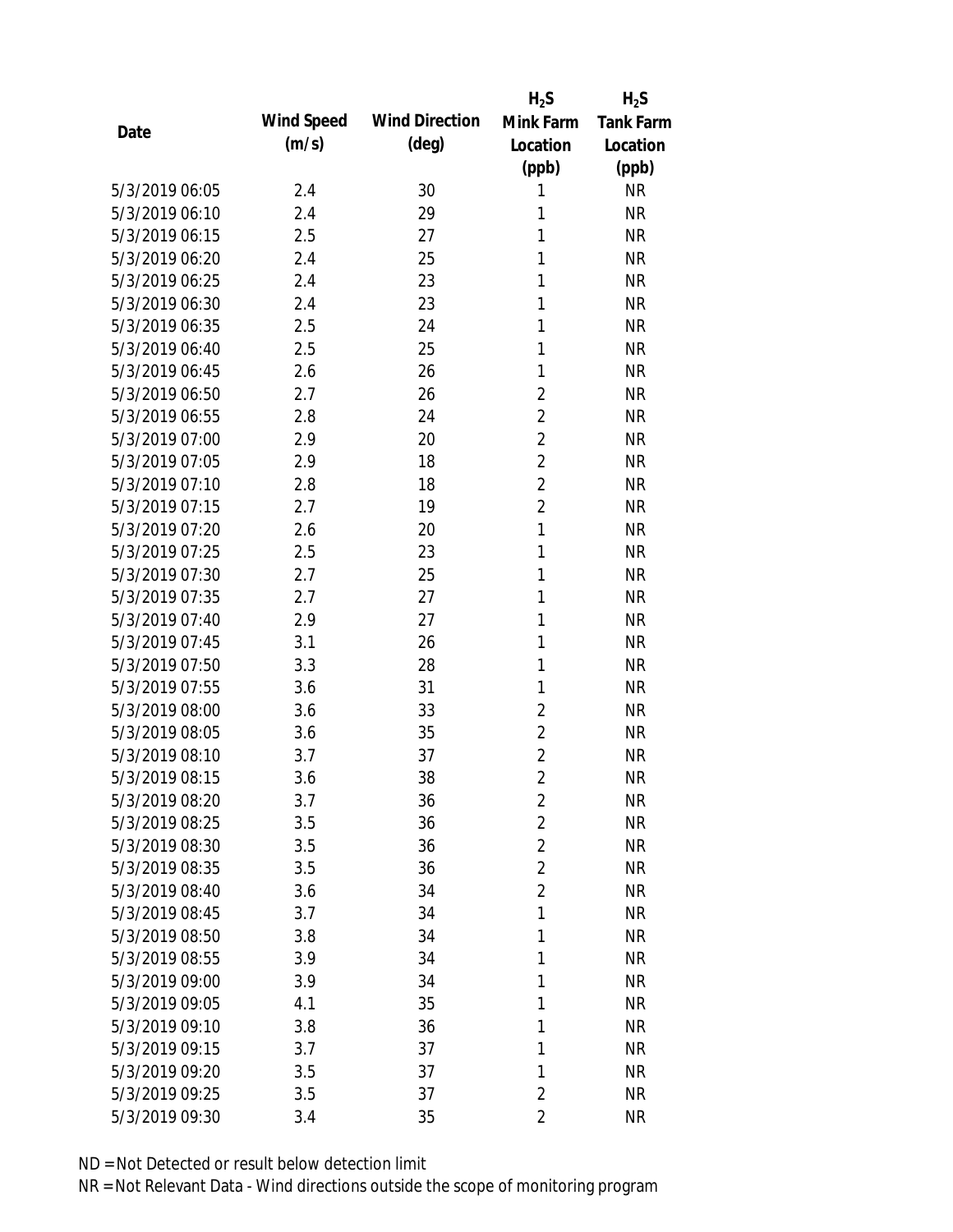|                |            |                       | $H_2S$         | $H_2S$           |
|----------------|------------|-----------------------|----------------|------------------|
|                | Wind Speed | <b>Wind Direction</b> | Mink Farm      | <b>Tank Farm</b> |
| Date           | (m/s)      | $(\text{deg})$        | Location       | Location         |
|                |            |                       | (ppb)          | (ppb)            |
| 5/3/2019 06:05 | 2.4        | 30                    | 1              | <b>NR</b>        |
| 5/3/2019 06:10 | 2.4        | 29                    | 1              | <b>NR</b>        |
| 5/3/2019 06:15 | 2.5        | 27                    | 1              | <b>NR</b>        |
| 5/3/2019 06:20 | 2.4        | 25                    | 1              | <b>NR</b>        |
| 5/3/2019 06:25 | 2.4        | 23                    | 1              | <b>NR</b>        |
| 5/3/2019 06:30 | 2.4        | 23                    | 1              | <b>NR</b>        |
| 5/3/2019 06:35 | 2.5        | 24                    | 1              | <b>NR</b>        |
| 5/3/2019 06:40 | 2.5        | 25                    | 1              | <b>NR</b>        |
| 5/3/2019 06:45 | 2.6        | 26                    | 1              | <b>NR</b>        |
| 5/3/2019 06:50 | 2.7        | 26                    | $\overline{2}$ | <b>NR</b>        |
| 5/3/2019 06:55 | 2.8        | 24                    | $\overline{2}$ | <b>NR</b>        |
| 5/3/2019 07:00 | 2.9        | 20                    | $\overline{2}$ | <b>NR</b>        |
| 5/3/2019 07:05 | 2.9        | 18                    | $\overline{2}$ | <b>NR</b>        |
| 5/3/2019 07:10 | 2.8        | 18                    | $\overline{2}$ | <b>NR</b>        |
| 5/3/2019 07:15 | 2.7        | 19                    | $\overline{2}$ | <b>NR</b>        |
| 5/3/2019 07:20 | 2.6        | 20                    | 1              | <b>NR</b>        |
| 5/3/2019 07:25 | 2.5        | 23                    | 1              | <b>NR</b>        |
| 5/3/2019 07:30 | 2.7        | 25                    | 1              | <b>NR</b>        |
| 5/3/2019 07:35 | 2.7        | 27                    | 1              | <b>NR</b>        |
| 5/3/2019 07:40 | 2.9        | 27                    | 1              | <b>NR</b>        |
| 5/3/2019 07:45 | 3.1        | 26                    | 1              | <b>NR</b>        |
| 5/3/2019 07:50 | 3.3        | 28                    | 1              | <b>NR</b>        |
| 5/3/2019 07:55 | 3.6        | 31                    | 1              | <b>NR</b>        |
| 5/3/2019 08:00 | 3.6        | 33                    | $\overline{2}$ | <b>NR</b>        |
| 5/3/2019 08:05 | 3.6        | 35                    | $\overline{2}$ | <b>NR</b>        |
| 5/3/2019 08:10 | 3.7        | 37                    | $\overline{2}$ | <b>NR</b>        |
| 5/3/2019 08:15 | 3.6        | 38                    | $\overline{2}$ | <b>NR</b>        |
| 5/3/2019 08:20 | 3.7        | 36                    | $\overline{2}$ | <b>NR</b>        |
| 5/3/2019 08:25 | 3.5        | 36                    | $\overline{2}$ | <b>NR</b>        |
| 5/3/2019 08:30 | 3.5        | 36                    | $\overline{2}$ | <b>NR</b>        |
| 5/3/2019 08:35 | 3.5        | 36                    | $\overline{2}$ | <b>NR</b>        |
| 5/3/2019 08:40 | 3.6        | 34                    | $\overline{2}$ | <b>NR</b>        |
| 5/3/2019 08:45 | 3.7        | 34                    | 1              | <b>NR</b>        |
| 5/3/2019 08:50 | 3.8        | 34                    | 1              | <b>NR</b>        |
| 5/3/2019 08:55 | 3.9        | 34                    | $\mathbf{1}$   | <b>NR</b>        |
| 5/3/2019 09:00 | 3.9        | 34                    | 1              | <b>NR</b>        |
| 5/3/2019 09:05 | 4.1        | 35                    | 1              | <b>NR</b>        |
| 5/3/2019 09:10 | 3.8        | 36                    | 1              | <b>NR</b>        |
| 5/3/2019 09:15 | 3.7        | 37                    | 1              | <b>NR</b>        |
| 5/3/2019 09:20 | 3.5        | 37                    | 1              | <b>NR</b>        |
| 5/3/2019 09:25 | 3.5        | 37                    | $\overline{2}$ | <b>NR</b>        |
| 5/3/2019 09:30 | 3.4        | 35                    | $\overline{2}$ | <b>NR</b>        |
|                |            |                       |                |                  |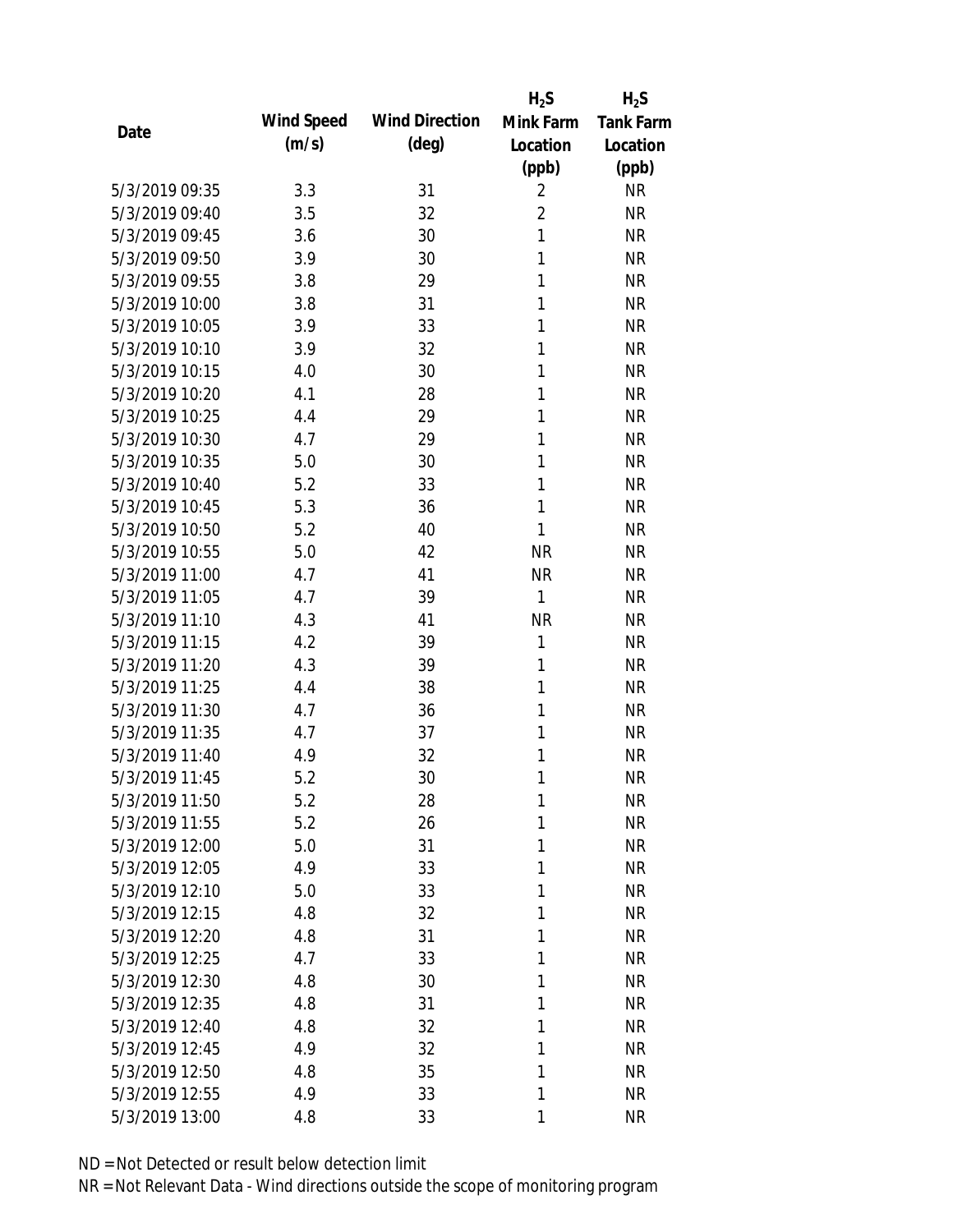|                |            |                       | $H_2S$         | $H_2S$           |
|----------------|------------|-----------------------|----------------|------------------|
| Date           | Wind Speed | <b>Wind Direction</b> | Mink Farm      | <b>Tank Farm</b> |
|                | (m/s)      | $(\text{deg})$        | Location       | Location         |
|                |            |                       | (ppb)          | (ppb)            |
| 5/3/2019 09:35 | 3.3        | 31                    | $\overline{2}$ | <b>NR</b>        |
| 5/3/2019 09:40 | 3.5        | 32                    | $\overline{2}$ | <b>NR</b>        |
| 5/3/2019 09:45 | 3.6        | 30                    | $\mathbf{1}$   | <b>NR</b>        |
| 5/3/2019 09:50 | 3.9        | 30                    | 1              | <b>NR</b>        |
| 5/3/2019 09:55 | 3.8        | 29                    | 1              | <b>NR</b>        |
| 5/3/2019 10:00 | 3.8        | 31                    | 1              | <b>NR</b>        |
| 5/3/2019 10:05 | 3.9        | 33                    | 1              | <b>NR</b>        |
| 5/3/2019 10:10 | 3.9        | 32                    | 1              | <b>NR</b>        |
| 5/3/2019 10:15 | 4.0        | 30                    | 1              | <b>NR</b>        |
| 5/3/2019 10:20 | 4.1        | 28                    | 1              | <b>NR</b>        |
| 5/3/2019 10:25 | 4.4        | 29                    | 1              | <b>NR</b>        |
| 5/3/2019 10:30 | 4.7        | 29                    | 1              | <b>NR</b>        |
| 5/3/2019 10:35 | 5.0        | 30                    | 1              | <b>NR</b>        |
| 5/3/2019 10:40 | 5.2        | 33                    | 1              | <b>NR</b>        |
| 5/3/2019 10:45 | 5.3        | 36                    | $\mathbf{1}$   | <b>NR</b>        |
| 5/3/2019 10:50 | 5.2        | 40                    | 1              | <b>NR</b>        |
| 5/3/2019 10:55 | 5.0        | 42                    | <b>NR</b>      | <b>NR</b>        |
| 5/3/2019 11:00 | 4.7        | 41                    | <b>NR</b>      | <b>NR</b>        |
| 5/3/2019 11:05 | 4.7        | 39                    | 1              | <b>NR</b>        |
| 5/3/2019 11:10 | 4.3        | 41                    | <b>NR</b>      | <b>NR</b>        |
| 5/3/2019 11:15 | 4.2        | 39                    | $\mathbf{1}$   | <b>NR</b>        |
| 5/3/2019 11:20 | 4.3        | 39                    | 1              | <b>NR</b>        |
| 5/3/2019 11:25 | 4.4        | 38                    | 1              | <b>NR</b>        |
| 5/3/2019 11:30 | 4.7        | 36                    | 1              | <b>NR</b>        |
| 5/3/2019 11:35 | 4.7        | 37                    | 1              | <b>NR</b>        |
| 5/3/2019 11:40 | 4.9        | 32                    | 1              | <b>NR</b>        |
| 5/3/2019 11:45 | 5.2        | 30                    | 1              | <b>NR</b>        |
| 5/3/2019 11:50 | 5.2        | 28                    | 1              | <b>NR</b>        |
| 5/3/2019 11:55 | 5.2        | 26                    | 1              | <b>NR</b>        |
| 5/3/2019 12:00 | 5.0        | 31                    | 1              | <b>NR</b>        |
| 5/3/2019 12:05 | 4.9        | 33                    | 1              | <b>NR</b>        |
| 5/3/2019 12:10 | 5.0        | 33                    | 1              | <b>NR</b>        |
| 5/3/2019 12:15 | 4.8        | 32                    | 1              | <b>NR</b>        |
| 5/3/2019 12:20 | 4.8        | 31                    | 1              | <b>NR</b>        |
| 5/3/2019 12:25 | 4.7        | 33                    | 1              | <b>NR</b>        |
| 5/3/2019 12:30 | 4.8        | 30                    | 1              | <b>NR</b>        |
| 5/3/2019 12:35 | 4.8        | 31                    | 1              | <b>NR</b>        |
| 5/3/2019 12:40 | 4.8        | 32                    | 1              | <b>NR</b>        |
| 5/3/2019 12:45 | 4.9        | 32                    | 1              | <b>NR</b>        |
| 5/3/2019 12:50 | 4.8        | 35                    | 1              | <b>NR</b>        |
| 5/3/2019 12:55 | 4.9        | 33                    | 1              | <b>NR</b>        |
| 5/3/2019 13:00 | 4.8        | 33                    | 1              | <b>NR</b>        |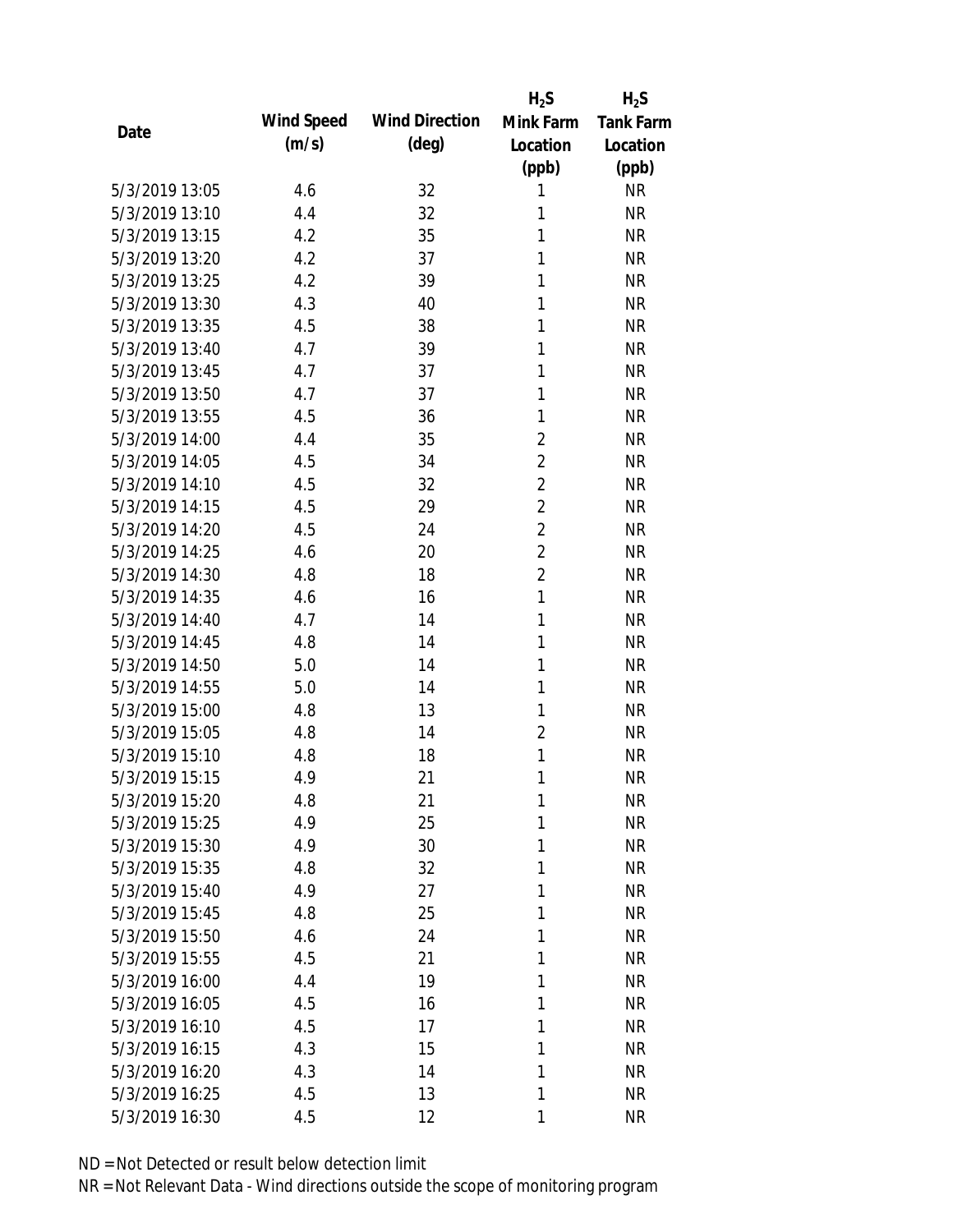|                |            |                       | $H_2S$         | $H_2S$    |
|----------------|------------|-----------------------|----------------|-----------|
| Date           | Wind Speed | <b>Wind Direction</b> | Mink Farm      | Tank Farm |
|                | (m/s)      | $(\text{deg})$        | Location       | Location  |
|                |            |                       | (ppb)          | (ppb)     |
| 5/3/2019 13:05 | 4.6        | 32                    | 1              | <b>NR</b> |
| 5/3/2019 13:10 | 4.4        | 32                    | 1              | <b>NR</b> |
| 5/3/2019 13:15 | 4.2        | 35                    | 1              | <b>NR</b> |
| 5/3/2019 13:20 | 4.2        | 37                    | 1              | <b>NR</b> |
| 5/3/2019 13:25 | 4.2        | 39                    | 1              | <b>NR</b> |
| 5/3/2019 13:30 | 4.3        | 40                    | 1              | <b>NR</b> |
| 5/3/2019 13:35 | 4.5        | 38                    | 1              | <b>NR</b> |
| 5/3/2019 13:40 | 4.7        | 39                    | $\mathbf{1}$   | <b>NR</b> |
| 5/3/2019 13:45 | 4.7        | 37                    | 1              | <b>NR</b> |
| 5/3/2019 13:50 | 4.7        | 37                    | 1              | <b>NR</b> |
| 5/3/2019 13:55 | 4.5        | 36                    | 1              | <b>NR</b> |
| 5/3/2019 14:00 | 4.4        | 35                    | $\overline{2}$ | <b>NR</b> |
| 5/3/2019 14:05 | 4.5        | 34                    | $\overline{2}$ | <b>NR</b> |
| 5/3/2019 14:10 | 4.5        | 32                    | $\overline{2}$ | <b>NR</b> |
| 5/3/2019 14:15 | 4.5        | 29                    | $\overline{2}$ | <b>NR</b> |
| 5/3/2019 14:20 | 4.5        | 24                    | $\overline{2}$ | <b>NR</b> |
| 5/3/2019 14:25 | 4.6        | 20                    | $\overline{2}$ | <b>NR</b> |
| 5/3/2019 14:30 | 4.8        | 18                    | $\overline{2}$ | <b>NR</b> |
| 5/3/2019 14:35 | 4.6        | 16                    | $\mathbf{1}$   | <b>NR</b> |
| 5/3/2019 14:40 | 4.7        | 14                    | 1              | <b>NR</b> |
| 5/3/2019 14:45 | 4.8        | 14                    | 1              | <b>NR</b> |
| 5/3/2019 14:50 | 5.0        | 14                    | 1              | <b>NR</b> |
| 5/3/2019 14:55 | 5.0        | 14                    | 1              | <b>NR</b> |
| 5/3/2019 15:00 | 4.8        | 13                    | 1              | <b>NR</b> |
| 5/3/2019 15:05 | 4.8        | 14                    | $\overline{2}$ | <b>NR</b> |
| 5/3/2019 15:10 | 4.8        | 18                    | 1              | <b>NR</b> |
| 5/3/2019 15:15 | 4.9        | 21                    | 1              | <b>NR</b> |
| 5/3/2019 15:20 | 4.8        | 21                    | 1              | <b>NR</b> |
| 5/3/2019 15:25 | 4.9        | 25                    | 1              | <b>NR</b> |
| 5/3/2019 15:30 | 4.9        | 30                    | 1              | <b>NR</b> |
| 5/3/2019 15:35 | 4.8        | 32                    | 1              | <b>NR</b> |
| 5/3/2019 15:40 | 4.9        | 27                    | 1              | <b>NR</b> |
| 5/3/2019 15:45 | 4.8        | 25                    | 1              | <b>NR</b> |
| 5/3/2019 15:50 | 4.6        | 24                    | 1              | <b>NR</b> |
| 5/3/2019 15:55 | 4.5        | 21                    | 1              | <b>NR</b> |
| 5/3/2019 16:00 | 4.4        | 19                    | 1              | <b>NR</b> |
| 5/3/2019 16:05 | 4.5        | 16                    | 1              | <b>NR</b> |
| 5/3/2019 16:10 | 4.5        | 17                    | 1              | <b>NR</b> |
| 5/3/2019 16:15 | 4.3        | 15                    | 1              | <b>NR</b> |
| 5/3/2019 16:20 | 4.3        | 14                    | 1              | <b>NR</b> |
| 5/3/2019 16:25 | 4.5        | 13                    | 1              | <b>NR</b> |
| 5/3/2019 16:30 | 4.5        | 12                    | 1              | <b>NR</b> |
|                |            |                       |                |           |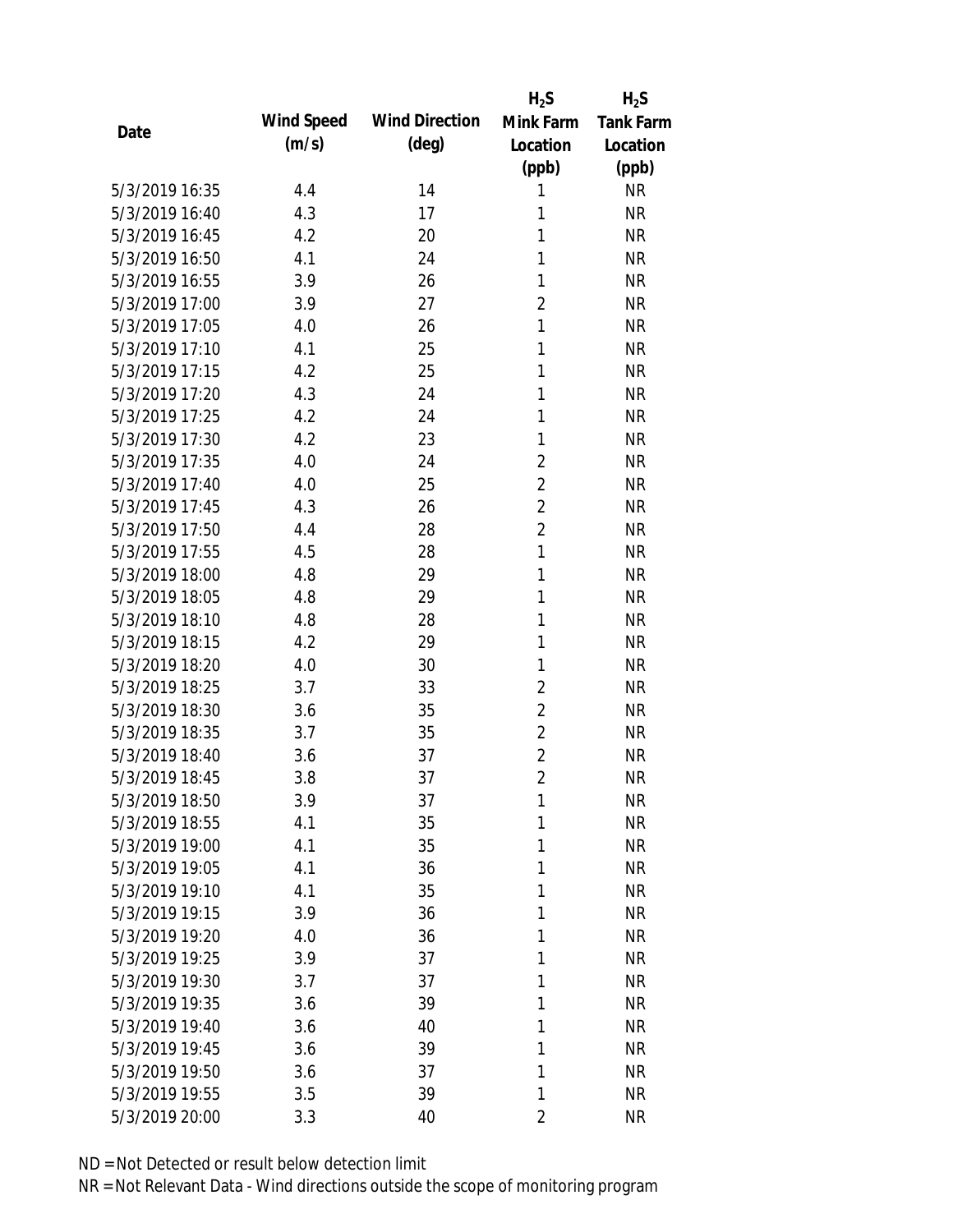|                |            |                       | $H_2S$         | $H_2S$           |
|----------------|------------|-----------------------|----------------|------------------|
| Date           | Wind Speed | <b>Wind Direction</b> | Mink Farm      | <b>Tank Farm</b> |
|                | (m/s)      | $(\text{deg})$        | Location       | Location         |
|                |            |                       | (ppb)          | (ppb)            |
| 5/3/2019 16:35 | 4.4        | 14                    | 1              | <b>NR</b>        |
| 5/3/2019 16:40 | 4.3        | 17                    | 1              | <b>NR</b>        |
| 5/3/2019 16:45 | 4.2        | 20                    | 1              | <b>NR</b>        |
| 5/3/2019 16:50 | 4.1        | 24                    | 1              | <b>NR</b>        |
| 5/3/2019 16:55 | 3.9        | 26                    | 1              | <b>NR</b>        |
| 5/3/2019 17:00 | 3.9        | 27                    | $\overline{2}$ | <b>NR</b>        |
| 5/3/2019 17:05 | 4.0        | 26                    | 1              | <b>NR</b>        |
| 5/3/2019 17:10 | 4.1        | 25                    | 1              | <b>NR</b>        |
| 5/3/2019 17:15 | 4.2        | 25                    | 1              | <b>NR</b>        |
| 5/3/2019 17:20 | 4.3        | 24                    | 1              | <b>NR</b>        |
| 5/3/2019 17:25 | 4.2        | 24                    | 1              | <b>NR</b>        |
| 5/3/2019 17:30 | 4.2        | 23                    | 1              | <b>NR</b>        |
| 5/3/2019 17:35 | 4.0        | 24                    | $\overline{2}$ | <b>NR</b>        |
| 5/3/2019 17:40 | 4.0        | 25                    | $\overline{2}$ | <b>NR</b>        |
| 5/3/2019 17:45 | 4.3        | 26                    | $\overline{2}$ | <b>NR</b>        |
| 5/3/2019 17:50 | 4.4        | 28                    | $\overline{2}$ | <b>NR</b>        |
| 5/3/2019 17:55 | 4.5        | 28                    | $\mathbf{1}$   | <b>NR</b>        |
| 5/3/2019 18:00 | 4.8        | 29                    | 1              | <b>NR</b>        |
| 5/3/2019 18:05 | 4.8        | 29                    | $\mathbf{1}$   | <b>NR</b>        |
| 5/3/2019 18:10 | 4.8        | 28                    | 1              | <b>NR</b>        |
| 5/3/2019 18:15 | 4.2        | 29                    | 1              | <b>NR</b>        |
| 5/3/2019 18:20 | 4.0        | 30                    | 1              | <b>NR</b>        |
| 5/3/2019 18:25 | 3.7        | 33                    | $\overline{2}$ | <b>NR</b>        |
| 5/3/2019 18:30 | 3.6        | 35                    | $\overline{2}$ | <b>NR</b>        |
| 5/3/2019 18:35 | 3.7        | 35                    | $\overline{2}$ | <b>NR</b>        |
| 5/3/2019 18:40 | 3.6        | 37                    | $\overline{2}$ | <b>NR</b>        |
| 5/3/2019 18:45 | 3.8        | 37                    | $\overline{2}$ | <b>NR</b>        |
| 5/3/2019 18:50 | 3.9        | 37                    | 1              | <b>NR</b>        |
| 5/3/2019 18:55 | 4.1        | 35                    | 1              | <b>NR</b>        |
| 5/3/2019 19:00 | 4.1        | 35                    | 1              | <b>NR</b>        |
| 5/3/2019 19:05 | 4.1        | 36                    | 1              | <b>NR</b>        |
| 5/3/2019 19:10 | 4.1        | 35                    | 1              | <b>NR</b>        |
| 5/3/2019 19:15 | 3.9        | 36                    | 1              | <b>NR</b>        |
| 5/3/2019 19:20 | 4.0        | 36                    | 1              | <b>NR</b>        |
| 5/3/2019 19:25 | 3.9        | 37                    | 1              | <b>NR</b>        |
| 5/3/2019 19:30 | 3.7        | 37                    | 1              | <b>NR</b>        |
| 5/3/2019 19:35 | 3.6        | 39                    | 1              | <b>NR</b>        |
| 5/3/2019 19:40 | 3.6        | 40                    | 1              | <b>NR</b>        |
| 5/3/2019 19:45 | 3.6        | 39                    | 1              | <b>NR</b>        |
| 5/3/2019 19:50 | 3.6        | 37                    | 1              | <b>NR</b>        |
| 5/3/2019 19:55 | 3.5        | 39                    | 1              | <b>NR</b>        |
| 5/3/2019 20:00 | 3.3        | 40                    | $\overline{2}$ | <b>NR</b>        |
|                |            |                       |                |                  |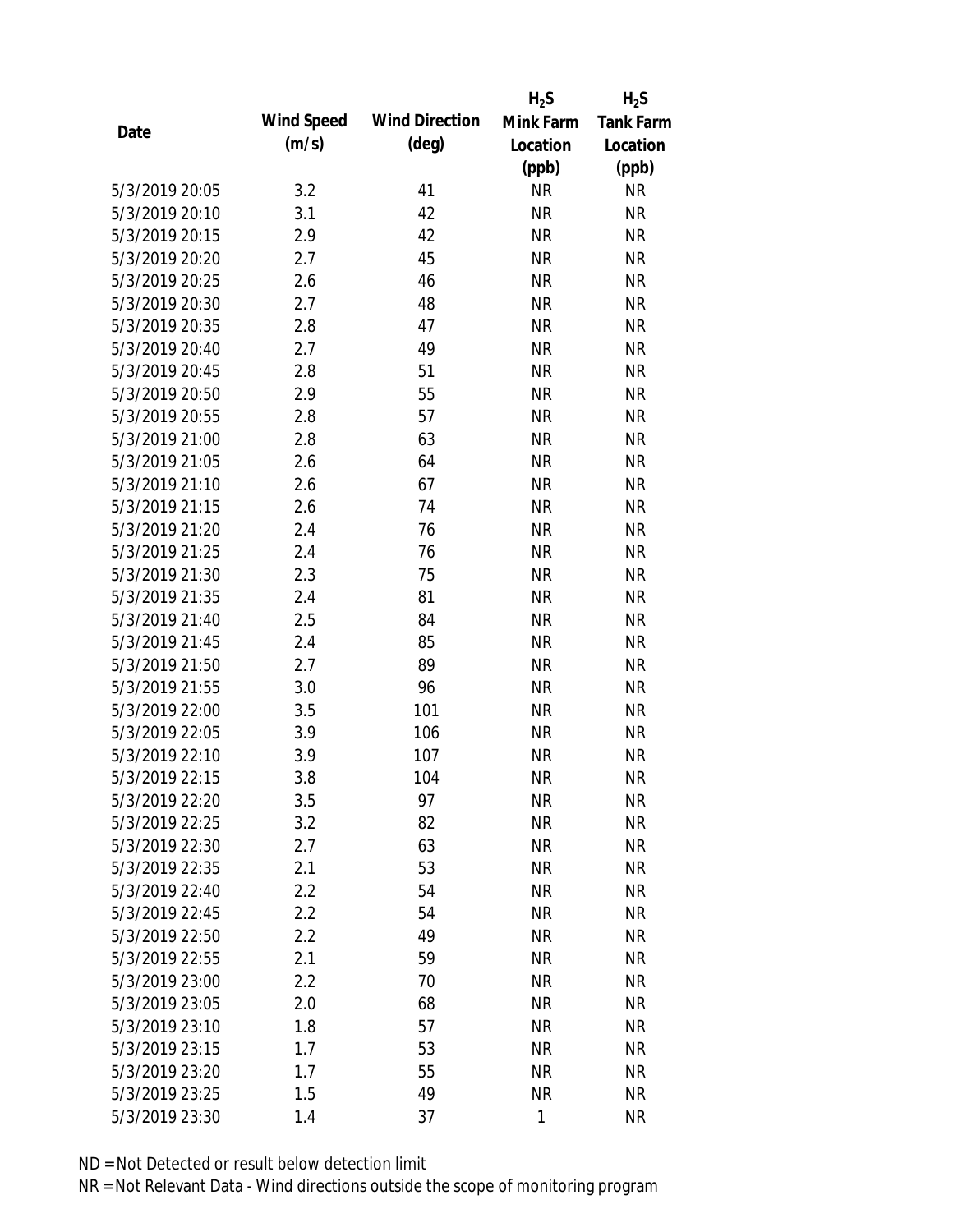|                |            |                       | $H_2S$    | $H_2S$           |
|----------------|------------|-----------------------|-----------|------------------|
| Date           | Wind Speed | <b>Wind Direction</b> | Mink Farm | <b>Tank Farm</b> |
|                | (m/s)      | $(\text{deg})$        | Location  | Location         |
|                |            |                       | (ppb)     | (ppb)            |
| 5/3/2019 20:05 | 3.2        | 41                    | <b>NR</b> | <b>NR</b>        |
| 5/3/2019 20:10 | 3.1        | 42                    | <b>NR</b> | <b>NR</b>        |
| 5/3/2019 20:15 | 2.9        | 42                    | <b>NR</b> | <b>NR</b>        |
| 5/3/2019 20:20 | 2.7        | 45                    | <b>NR</b> | <b>NR</b>        |
| 5/3/2019 20:25 | 2.6        | 46                    | <b>NR</b> | <b>NR</b>        |
| 5/3/2019 20:30 | 2.7        | 48                    | <b>NR</b> | <b>NR</b>        |
| 5/3/2019 20:35 | 2.8        | 47                    | <b>NR</b> | <b>NR</b>        |
| 5/3/2019 20:40 | 2.7        | 49                    | <b>NR</b> | <b>NR</b>        |
| 5/3/2019 20:45 | 2.8        | 51                    | <b>NR</b> | <b>NR</b>        |
| 5/3/2019 20:50 | 2.9        | 55                    | <b>NR</b> | <b>NR</b>        |
| 5/3/2019 20:55 | 2.8        | 57                    | <b>NR</b> | <b>NR</b>        |
| 5/3/2019 21:00 | 2.8        | 63                    | <b>NR</b> | <b>NR</b>        |
| 5/3/2019 21:05 | 2.6        | 64                    | <b>NR</b> | <b>NR</b>        |
| 5/3/2019 21:10 | 2.6        | 67                    | <b>NR</b> | <b>NR</b>        |
| 5/3/2019 21:15 | 2.6        | 74                    | <b>NR</b> | <b>NR</b>        |
| 5/3/2019 21:20 | 2.4        | 76                    | <b>NR</b> | <b>NR</b>        |
| 5/3/2019 21:25 | 2.4        | 76                    | <b>NR</b> | <b>NR</b>        |
| 5/3/2019 21:30 | 2.3        | 75                    | <b>NR</b> | <b>NR</b>        |
| 5/3/2019 21:35 | 2.4        | 81                    | <b>NR</b> | <b>NR</b>        |
| 5/3/2019 21:40 | 2.5        | 84                    | <b>NR</b> | <b>NR</b>        |
| 5/3/2019 21:45 | 2.4        | 85                    | <b>NR</b> | <b>NR</b>        |
| 5/3/2019 21:50 | 2.7        | 89                    | <b>NR</b> | <b>NR</b>        |
| 5/3/2019 21:55 | 3.0        | 96                    | <b>NR</b> | <b>NR</b>        |
| 5/3/2019 22:00 | 3.5        | 101                   | <b>NR</b> | <b>NR</b>        |
| 5/3/2019 22:05 | 3.9        | 106                   | <b>NR</b> | <b>NR</b>        |
| 5/3/2019 22:10 | 3.9        | 107                   | <b>NR</b> | <b>NR</b>        |
| 5/3/2019 22:15 | 3.8        | 104                   | <b>NR</b> | <b>NR</b>        |
| 5/3/2019 22:20 | 3.5        | 97                    | <b>NR</b> | <b>NR</b>        |
| 5/3/2019 22:25 | 3.2        | 82                    | <b>NR</b> | <b>NR</b>        |
| 5/3/2019 22:30 | 2.7        | 63                    | <b>NR</b> | <b>NR</b>        |
| 5/3/2019 22:35 | 2.1        | 53                    | <b>NR</b> | <b>NR</b>        |
| 5/3/2019 22:40 | 2.2        | 54                    | <b>NR</b> | <b>NR</b>        |
| 5/3/2019 22:45 | 2.2        | 54                    | <b>NR</b> | <b>NR</b>        |
| 5/3/2019 22:50 | 2.2        | 49                    | <b>NR</b> | <b>NR</b>        |
| 5/3/2019 22:55 | 2.1        | 59                    | <b>NR</b> | <b>NR</b>        |
| 5/3/2019 23:00 | 2.2        | 70                    | <b>NR</b> | <b>NR</b>        |
| 5/3/2019 23:05 | 2.0        | 68                    | <b>NR</b> | <b>NR</b>        |
| 5/3/2019 23:10 | 1.8        | 57                    | <b>NR</b> | <b>NR</b>        |
| 5/3/2019 23:15 | 1.7        | 53                    | <b>NR</b> | <b>NR</b>        |
| 5/3/2019 23:20 | 1.7        | 55                    | <b>NR</b> | <b>NR</b>        |
| 5/3/2019 23:25 | 1.5        | 49                    | <b>NR</b> | <b>NR</b>        |
| 5/3/2019 23:30 | 1.4        | 37                    | 1         | <b>NR</b>        |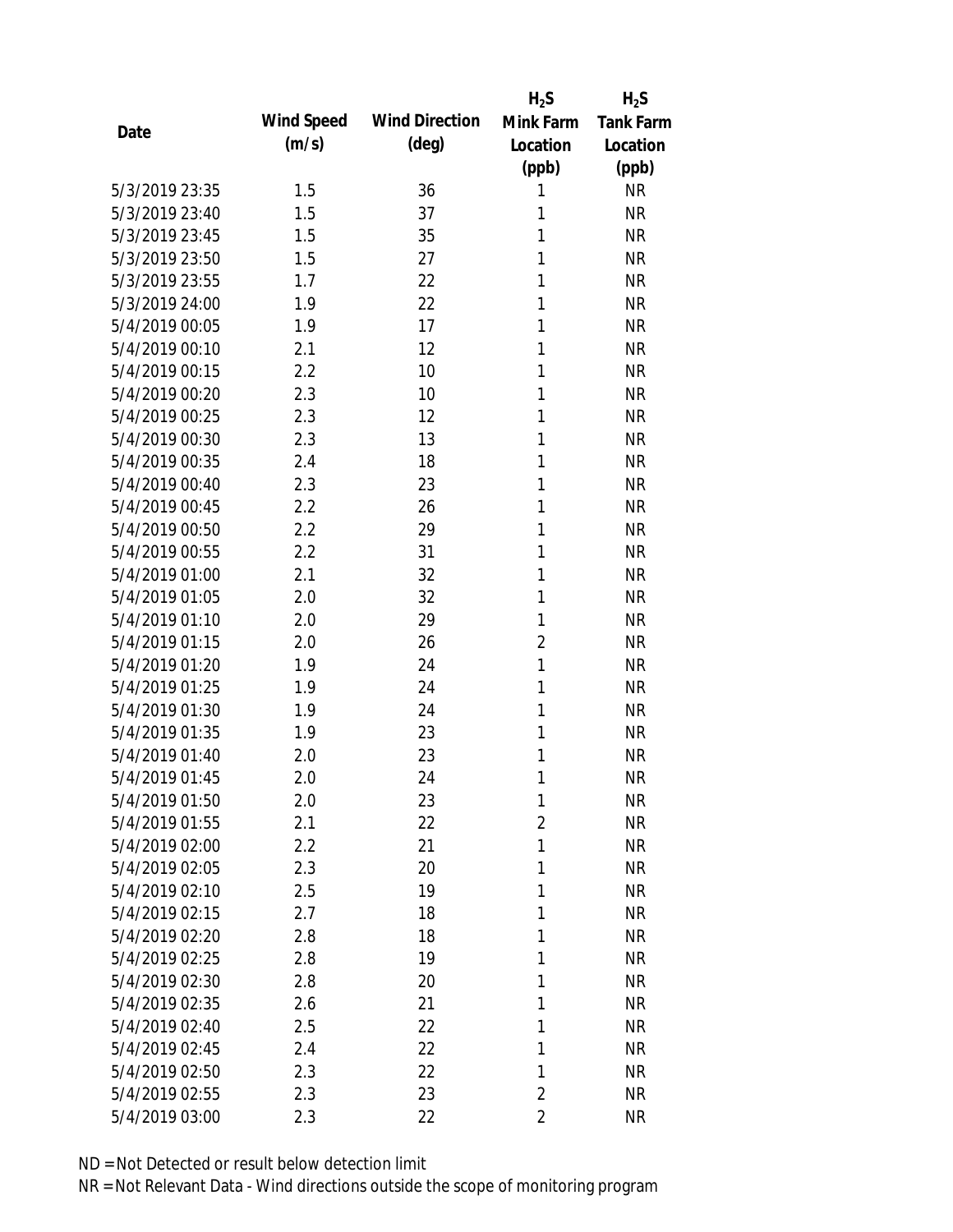|                |            |                       | $H_2S$         | $H_2S$           |
|----------------|------------|-----------------------|----------------|------------------|
| Date           | Wind Speed | <b>Wind Direction</b> | Mink Farm      | <b>Tank Farm</b> |
|                | (m/s)      | $(\text{deg})$        | Location       | Location         |
|                |            |                       | (ppb)          | (ppb)            |
| 5/3/2019 23:35 | 1.5        | 36                    | 1              | <b>NR</b>        |
| 5/3/2019 23:40 | 1.5        | 37                    | 1              | <b>NR</b>        |
| 5/3/2019 23:45 | 1.5        | 35                    | 1              | <b>NR</b>        |
| 5/3/2019 23:50 | 1.5        | 27                    | 1              | <b>NR</b>        |
| 5/3/2019 23:55 | 1.7        | 22                    | 1              | <b>NR</b>        |
| 5/3/2019 24:00 | 1.9        | 22                    | 1              | <b>NR</b>        |
| 5/4/2019 00:05 | 1.9        | 17                    | 1              | <b>NR</b>        |
| 5/4/2019 00:10 | 2.1        | 12                    | 1              | <b>NR</b>        |
| 5/4/2019 00:15 | 2.2        | 10                    | 1              | <b>NR</b>        |
| 5/4/2019 00:20 | 2.3        | 10                    | 1              | <b>NR</b>        |
| 5/4/2019 00:25 | 2.3        | 12                    | 1              | <b>NR</b>        |
| 5/4/2019 00:30 | 2.3        | 13                    | 1              | <b>NR</b>        |
| 5/4/2019 00:35 | 2.4        | 18                    | 1              | <b>NR</b>        |
| 5/4/2019 00:40 | 2.3        | 23                    | 1              | <b>NR</b>        |
| 5/4/2019 00:45 | 2.2        | 26                    | 1              | <b>NR</b>        |
| 5/4/2019 00:50 | 2.2        | 29                    | 1              | <b>NR</b>        |
| 5/4/2019 00:55 | 2.2        | 31                    | 1              | <b>NR</b>        |
| 5/4/2019 01:00 | 2.1        | 32                    | 1              | <b>NR</b>        |
| 5/4/2019 01:05 | 2.0        | 32                    | 1              | <b>NR</b>        |
| 5/4/2019 01:10 | 2.0        | 29                    | 1              | <b>NR</b>        |
| 5/4/2019 01:15 | 2.0        | 26                    | $\overline{2}$ | <b>NR</b>        |
| 5/4/2019 01:20 | 1.9        | 24                    | $\mathbf{1}$   | <b>NR</b>        |
| 5/4/2019 01:25 | 1.9        | 24                    | 1              | <b>NR</b>        |
| 5/4/2019 01:30 | 1.9        | 24                    | 1              | <b>NR</b>        |
| 5/4/2019 01:35 | 1.9        | 23                    | 1              | <b>NR</b>        |
| 5/4/2019 01:40 | 2.0        | 23                    | 1              | <b>NR</b>        |
| 5/4/2019 01:45 | 2.0        | 24                    | 1              | <b>NR</b>        |
| 5/4/2019 01:50 | 2.0        | 23                    | 1              | <b>NR</b>        |
| 5/4/2019 01:55 | 2.1        | 22                    | $\overline{2}$ | <b>NR</b>        |
| 5/4/2019 02:00 | $2.2\,$    | 21                    | 1              | <b>NR</b>        |
| 5/4/2019 02:05 | 2.3        | 20                    | 1              | <b>NR</b>        |
| 5/4/2019 02:10 | 2.5        | 19                    | 1              | <b>NR</b>        |
| 5/4/2019 02:15 | 2.7        | 18                    | 1              | <b>NR</b>        |
| 5/4/2019 02:20 | 2.8        | 18                    | 1              | <b>NR</b>        |
| 5/4/2019 02:25 | 2.8        | 19                    | 1              | <b>NR</b>        |
| 5/4/2019 02:30 | 2.8        | 20                    | 1              | <b>NR</b>        |
| 5/4/2019 02:35 | 2.6        | 21                    | 1              | <b>NR</b>        |
| 5/4/2019 02:40 | 2.5        | 22                    | 1              | <b>NR</b>        |
| 5/4/2019 02:45 | 2.4        | 22                    | 1              | <b>NR</b>        |
| 5/4/2019 02:50 | 2.3        | 22                    | 1              | <b>NR</b>        |
| 5/4/2019 02:55 | 2.3        | 23                    | $\overline{2}$ | <b>NR</b>        |
| 5/4/2019 03:00 | 2.3        | 22                    | $\overline{2}$ | <b>NR</b>        |
|                |            |                       |                |                  |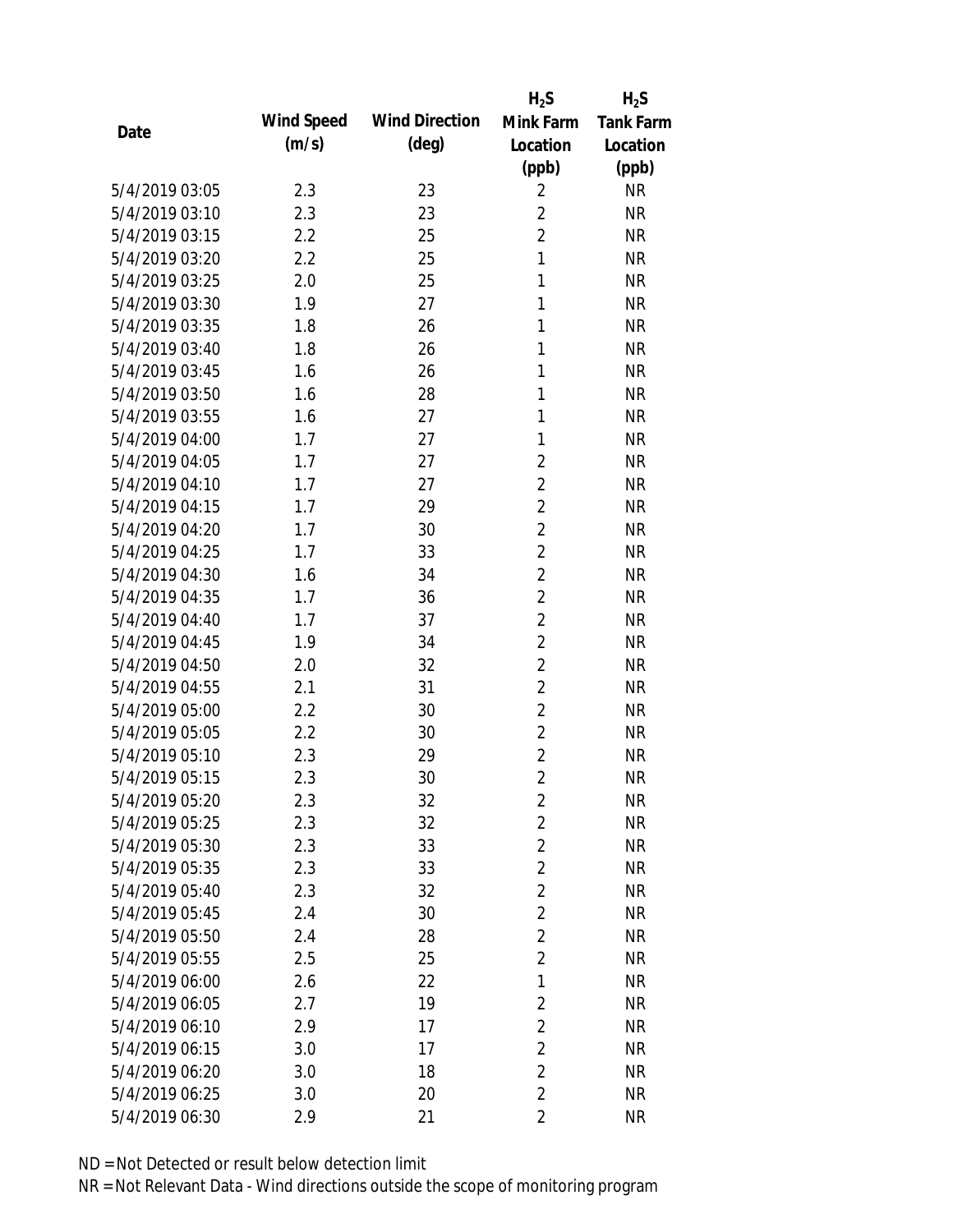|                |            |                       | $H_2S$         | $H_2S$           |
|----------------|------------|-----------------------|----------------|------------------|
|                | Wind Speed | <b>Wind Direction</b> | Mink Farm      | <b>Tank Farm</b> |
| Date           | (m/s)      | $(\text{deg})$        | Location       | Location         |
|                |            |                       | (ppb)          | (ppb)            |
| 5/4/2019 03:05 | 2.3        | 23                    | $\overline{2}$ | <b>NR</b>        |
| 5/4/2019 03:10 | 2.3        | 23                    | $\overline{2}$ | <b>NR</b>        |
| 5/4/2019 03:15 | 2.2        | 25                    | $\overline{2}$ | <b>NR</b>        |
| 5/4/2019 03:20 | 2.2        | 25                    | $\mathbf{1}$   | <b>NR</b>        |
| 5/4/2019 03:25 | 2.0        | 25                    | 1              | <b>NR</b>        |
| 5/4/2019 03:30 | 1.9        | 27                    | 1              | <b>NR</b>        |
| 5/4/2019 03:35 | 1.8        | 26                    | 1              | <b>NR</b>        |
| 5/4/2019 03:40 | 1.8        | 26                    | 1              | <b>NR</b>        |
| 5/4/2019 03:45 | 1.6        | 26                    | 1              | <b>NR</b>        |
| 5/4/2019 03:50 | 1.6        | 28                    | 1              | <b>NR</b>        |
| 5/4/2019 03:55 | 1.6        | 27                    | 1              | <b>NR</b>        |
| 5/4/2019 04:00 | 1.7        | 27                    | 1              | <b>NR</b>        |
| 5/4/2019 04:05 | 1.7        | 27                    | $\overline{2}$ | <b>NR</b>        |
| 5/4/2019 04:10 | 1.7        | 27                    | $\overline{2}$ | <b>NR</b>        |
| 5/4/2019 04:15 | 1.7        | 29                    | $\overline{2}$ | <b>NR</b>        |
| 5/4/2019 04:20 | 1.7        | 30                    | $\overline{2}$ | <b>NR</b>        |
| 5/4/2019 04:25 | 1.7        | 33                    | $\overline{2}$ | <b>NR</b>        |
| 5/4/2019 04:30 | 1.6        | 34                    | $\overline{2}$ | <b>NR</b>        |
| 5/4/2019 04:35 | 1.7        | 36                    | $\overline{2}$ | <b>NR</b>        |
| 5/4/2019 04:40 | 1.7        | 37                    | $\overline{2}$ | <b>NR</b>        |
| 5/4/2019 04:45 | 1.9        | 34                    | $\overline{2}$ | <b>NR</b>        |
| 5/4/2019 04:50 | 2.0        | 32                    | $\overline{2}$ | <b>NR</b>        |
| 5/4/2019 04:55 | 2.1        | 31                    | $\overline{2}$ | <b>NR</b>        |
| 5/4/2019 05:00 | 2.2        | 30                    | $\overline{2}$ | <b>NR</b>        |
| 5/4/2019 05:05 | 2.2        | 30                    | $\overline{2}$ | <b>NR</b>        |
| 5/4/2019 05:10 | 2.3        | 29                    | $\overline{2}$ | <b>NR</b>        |
| 5/4/2019 05:15 | 2.3        | 30                    | $\overline{2}$ | <b>NR</b>        |
| 5/4/2019 05:20 | 2.3        | 32                    | $\sqrt{2}$     | <b>NR</b>        |
| 5/4/2019 05:25 | 2.3        | 32                    | $\overline{2}$ | <b>NR</b>        |
| 5/4/2019 05:30 | 2.3        | 33                    | $\overline{2}$ | <b>NR</b>        |
| 5/4/2019 05:35 | 2.3        | 33                    | $\overline{2}$ | <b>NR</b>        |
| 5/4/2019 05:40 | 2.3        | 32                    | $\overline{2}$ | <b>NR</b>        |
| 5/4/2019 05:45 | 2.4        | 30                    | $\overline{2}$ | <b>NR</b>        |
| 5/4/2019 05:50 | 2.4        | 28                    | $\overline{2}$ | <b>NR</b>        |
| 5/4/2019 05:55 | 2.5        | 25                    | $\overline{2}$ | <b>NR</b>        |
| 5/4/2019 06:00 | 2.6        | 22                    | $\mathbf{1}$   | <b>NR</b>        |
| 5/4/2019 06:05 | 2.7        | 19                    | $\overline{2}$ | <b>NR</b>        |
| 5/4/2019 06:10 | 2.9        | 17                    | $\overline{2}$ | <b>NR</b>        |
| 5/4/2019 06:15 | 3.0        | 17                    | $\overline{2}$ | <b>NR</b>        |
| 5/4/2019 06:20 | 3.0        | 18                    | $\overline{2}$ | <b>NR</b>        |
| 5/4/2019 06:25 | 3.0        | 20                    | $\overline{2}$ | <b>NR</b>        |
| 5/4/2019 06:30 | 2.9        | 21                    | $\overline{2}$ | <b>NR</b>        |
|                |            |                       |                |                  |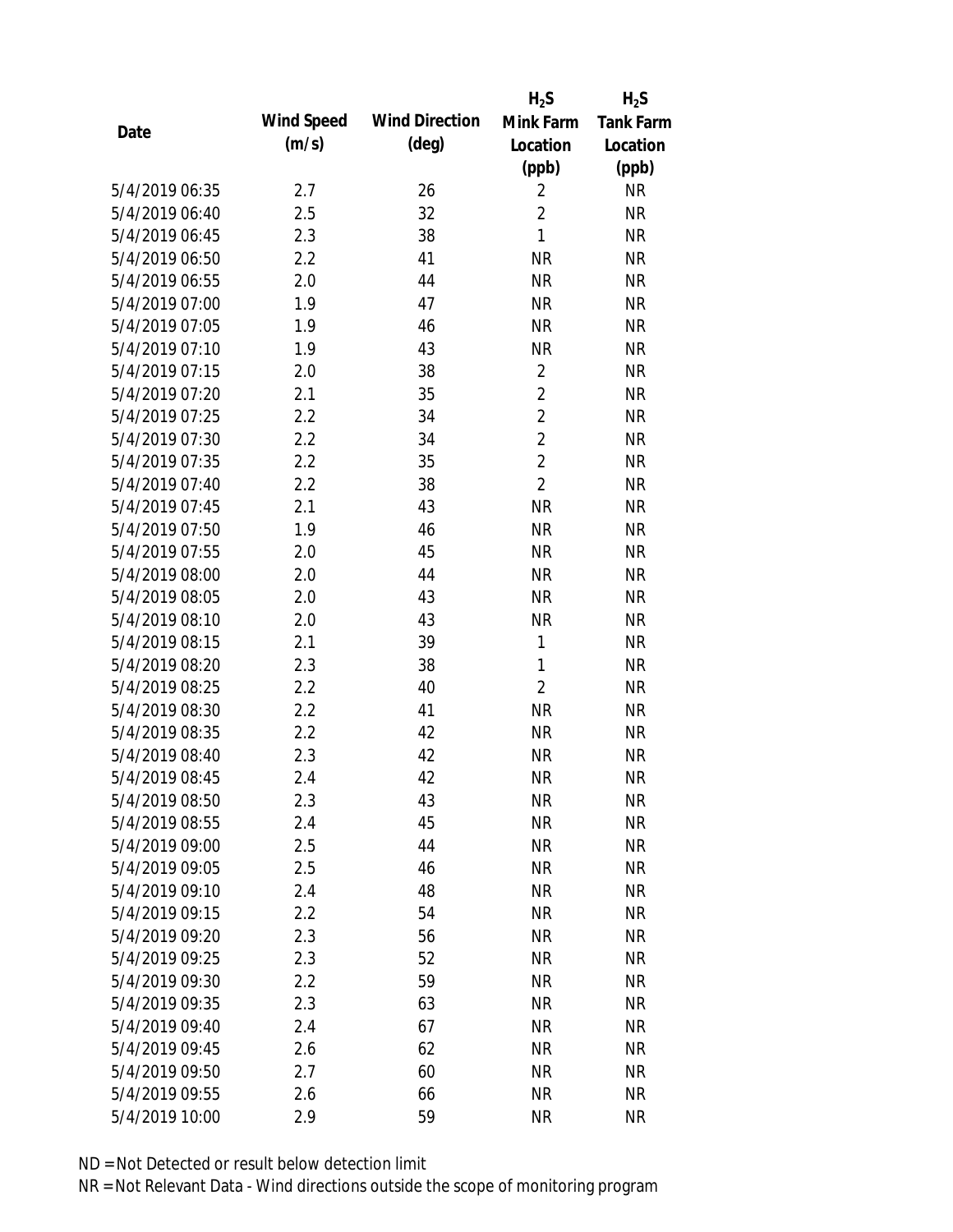|                |            |                       | $H_2S$         | $H_2S$           |
|----------------|------------|-----------------------|----------------|------------------|
|                | Wind Speed | <b>Wind Direction</b> | Mink Farm      | <b>Tank Farm</b> |
| Date           | (m/s)      | $(\text{deg})$        | Location       | Location         |
|                |            |                       | (ppb)          | (ppb)            |
| 5/4/2019 06:35 | 2.7        | 26                    | $\overline{2}$ | <b>NR</b>        |
| 5/4/2019 06:40 | 2.5        | 32                    | $\overline{2}$ | <b>NR</b>        |
| 5/4/2019 06:45 | 2.3        | 38                    | $\mathbf{1}$   | <b>NR</b>        |
| 5/4/2019 06:50 | 2.2        | 41                    | <b>NR</b>      | <b>NR</b>        |
| 5/4/2019 06:55 | 2.0        | 44                    | <b>NR</b>      | <b>NR</b>        |
| 5/4/2019 07:00 | 1.9        | 47                    | <b>NR</b>      | <b>NR</b>        |
| 5/4/2019 07:05 | 1.9        | 46                    | <b>NR</b>      | <b>NR</b>        |
| 5/4/2019 07:10 | 1.9        | 43                    | <b>NR</b>      | <b>NR</b>        |
| 5/4/2019 07:15 | 2.0        | 38                    | $\overline{2}$ | <b>NR</b>        |
| 5/4/2019 07:20 | 2.1        | 35                    | $\overline{2}$ | <b>NR</b>        |
| 5/4/2019 07:25 | 2.2        | 34                    | $\overline{2}$ | <b>NR</b>        |
| 5/4/2019 07:30 | 2.2        | 34                    | $\overline{2}$ | <b>NR</b>        |
| 5/4/2019 07:35 | 2.2        | 35                    | $\overline{2}$ | <b>NR</b>        |
| 5/4/2019 07:40 | 2.2        | 38                    | $\overline{2}$ | <b>NR</b>        |
| 5/4/2019 07:45 | 2.1        | 43                    | <b>NR</b>      | <b>NR</b>        |
| 5/4/2019 07:50 | 1.9        | 46                    | <b>NR</b>      | <b>NR</b>        |
| 5/4/2019 07:55 | 2.0        | 45                    | <b>NR</b>      | <b>NR</b>        |
| 5/4/2019 08:00 | 2.0        | 44                    | <b>NR</b>      | <b>NR</b>        |
| 5/4/2019 08:05 | 2.0        | 43                    | <b>NR</b>      | <b>NR</b>        |
| 5/4/2019 08:10 | 2.0        | 43                    | <b>NR</b>      | <b>NR</b>        |
| 5/4/2019 08:15 | 2.1        | 39                    | 1              | <b>NR</b>        |
| 5/4/2019 08:20 | 2.3        | 38                    | $\mathbf{1}$   | <b>NR</b>        |
| 5/4/2019 08:25 | 2.2        | 40                    | $\overline{2}$ | <b>NR</b>        |
| 5/4/2019 08:30 | 2.2        | 41                    | <b>NR</b>      | <b>NR</b>        |
| 5/4/2019 08:35 | 2.2        | 42                    | <b>NR</b>      | <b>NR</b>        |
| 5/4/2019 08:40 | 2.3        | 42                    | <b>NR</b>      | <b>NR</b>        |
| 5/4/2019 08:45 | 2.4        | 42                    | <b>NR</b>      | <b>NR</b>        |
| 5/4/2019 08:50 | 2.3        | 43                    | <b>NR</b>      | <b>NR</b>        |
| 5/4/2019 08:55 | 2.4        | 45                    | <b>NR</b>      | <b>NR</b>        |
| 5/4/2019 09:00 | 2.5        | 44                    | <b>NR</b>      | <b>NR</b>        |
| 5/4/2019 09:05 | 2.5        | 46                    | <b>NR</b>      | <b>NR</b>        |
| 5/4/2019 09:10 | 2.4        | 48                    | <b>NR</b>      | <b>NR</b>        |
| 5/4/2019 09:15 | 2.2        | 54                    | <b>NR</b>      | <b>NR</b>        |
| 5/4/2019 09:20 | 2.3        | 56                    | <b>NR</b>      | <b>NR</b>        |
| 5/4/2019 09:25 | 2.3        | 52                    | <b>NR</b>      | <b>NR</b>        |
| 5/4/2019 09:30 | 2.2        | 59                    | <b>NR</b>      | <b>NR</b>        |
| 5/4/2019 09:35 | 2.3        | 63                    | <b>NR</b>      | <b>NR</b>        |
| 5/4/2019 09:40 | 2.4        | 67                    | <b>NR</b>      | <b>NR</b>        |
| 5/4/2019 09:45 | 2.6        | 62                    | <b>NR</b>      | <b>NR</b>        |
| 5/4/2019 09:50 | 2.7        | 60                    | <b>NR</b>      | <b>NR</b>        |
| 5/4/2019 09:55 | 2.6        | 66                    | <b>NR</b>      | <b>NR</b>        |
| 5/4/2019 10:00 | 2.9        | 59                    | <b>NR</b>      | <b>NR</b>        |
|                |            |                       |                |                  |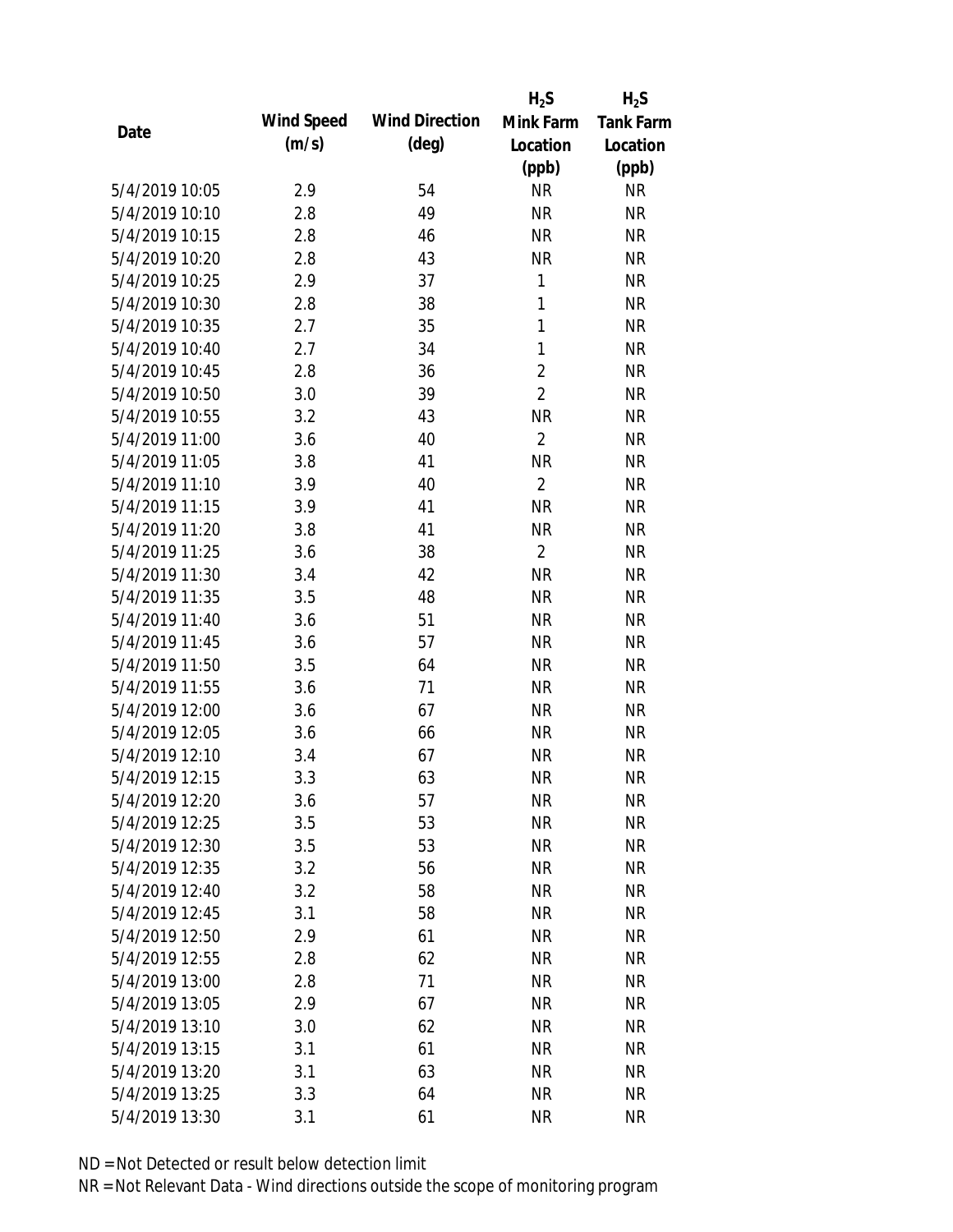|                |            |                       | $H_2S$         | $H_2S$           |
|----------------|------------|-----------------------|----------------|------------------|
| Date           | Wind Speed | <b>Wind Direction</b> | Mink Farm      | <b>Tank Farm</b> |
|                | (m/s)      | $(\text{deg})$        | Location       | Location         |
|                |            |                       | (ppb)          | (ppb)            |
| 5/4/2019 10:05 | 2.9        | 54                    | <b>NR</b>      | <b>NR</b>        |
| 5/4/2019 10:10 | 2.8        | 49                    | <b>NR</b>      | <b>NR</b>        |
| 5/4/2019 10:15 | 2.8        | 46                    | <b>NR</b>      | <b>NR</b>        |
| 5/4/2019 10:20 | 2.8        | 43                    | <b>NR</b>      | <b>NR</b>        |
| 5/4/2019 10:25 | 2.9        | 37                    | 1              | <b>NR</b>        |
| 5/4/2019 10:30 | 2.8        | 38                    | $\mathbf{1}$   | <b>NR</b>        |
| 5/4/2019 10:35 | 2.7        | 35                    | $\mathbf{1}$   | <b>NR</b>        |
| 5/4/2019 10:40 | 2.7        | 34                    | $\mathbf{1}$   | <b>NR</b>        |
| 5/4/2019 10:45 | 2.8        | 36                    | $\overline{2}$ | <b>NR</b>        |
| 5/4/2019 10:50 | 3.0        | 39                    | $\overline{2}$ | <b>NR</b>        |
| 5/4/2019 10:55 | 3.2        | 43                    | <b>NR</b>      | <b>NR</b>        |
| 5/4/2019 11:00 | 3.6        | 40                    | $\overline{2}$ | <b>NR</b>        |
| 5/4/2019 11:05 | 3.8        | 41                    | <b>NR</b>      | <b>NR</b>        |
| 5/4/2019 11:10 | 3.9        | 40                    | $\overline{2}$ | <b>NR</b>        |
| 5/4/2019 11:15 | 3.9        | 41                    | <b>NR</b>      | <b>NR</b>        |
| 5/4/2019 11:20 | 3.8        | 41                    | <b>NR</b>      | <b>NR</b>        |
| 5/4/2019 11:25 | 3.6        | 38                    | $\overline{2}$ | <b>NR</b>        |
| 5/4/2019 11:30 | 3.4        | 42                    | <b>NR</b>      | <b>NR</b>        |
| 5/4/2019 11:35 | 3.5        | 48                    | <b>NR</b>      | <b>NR</b>        |
| 5/4/2019 11:40 | 3.6        | 51                    | <b>NR</b>      | <b>NR</b>        |
| 5/4/2019 11:45 | 3.6        | 57                    | <b>NR</b>      | <b>NR</b>        |
| 5/4/2019 11:50 | 3.5        | 64                    | <b>NR</b>      | <b>NR</b>        |
| 5/4/2019 11:55 | 3.6        | 71                    | <b>NR</b>      | <b>NR</b>        |
| 5/4/2019 12:00 | 3.6        | 67                    | <b>NR</b>      | <b>NR</b>        |
| 5/4/2019 12:05 | 3.6        | 66                    | <b>NR</b>      | <b>NR</b>        |
| 5/4/2019 12:10 | 3.4        | 67                    | <b>NR</b>      | <b>NR</b>        |
| 5/4/2019 12:15 | 3.3        | 63                    | <b>NR</b>      | <b>NR</b>        |
| 5/4/2019 12:20 | 3.6        | 57                    | <b>NR</b>      | <b>NR</b>        |
| 5/4/2019 12:25 | 3.5        | 53                    | <b>NR</b>      | <b>NR</b>        |
| 5/4/2019 12:30 | 3.5        | 53                    | <b>NR</b>      | <b>NR</b>        |
| 5/4/2019 12:35 | 3.2        | 56                    | <b>NR</b>      | <b>NR</b>        |
| 5/4/2019 12:40 | 3.2        | 58                    | <b>NR</b>      | <b>NR</b>        |
| 5/4/2019 12:45 | 3.1        | 58                    | <b>NR</b>      | <b>NR</b>        |
| 5/4/2019 12:50 | 2.9        | 61                    | <b>NR</b>      | <b>NR</b>        |
| 5/4/2019 12:55 | 2.8        | 62                    | <b>NR</b>      | <b>NR</b>        |
| 5/4/2019 13:00 | 2.8        | 71                    | <b>NR</b>      | <b>NR</b>        |
| 5/4/2019 13:05 | 2.9        | 67                    | <b>NR</b>      | <b>NR</b>        |
| 5/4/2019 13:10 | 3.0        | 62                    | <b>NR</b>      | <b>NR</b>        |
| 5/4/2019 13:15 | 3.1        | 61                    | <b>NR</b>      | <b>NR</b>        |
| 5/4/2019 13:20 | 3.1        | 63                    | <b>NR</b>      | <b>NR</b>        |
| 5/4/2019 13:25 | 3.3        | 64                    | <b>NR</b>      | <b>NR</b>        |
| 5/4/2019 13:30 | 3.1        | 61                    | <b>NR</b>      | <b>NR</b>        |
|                |            |                       |                |                  |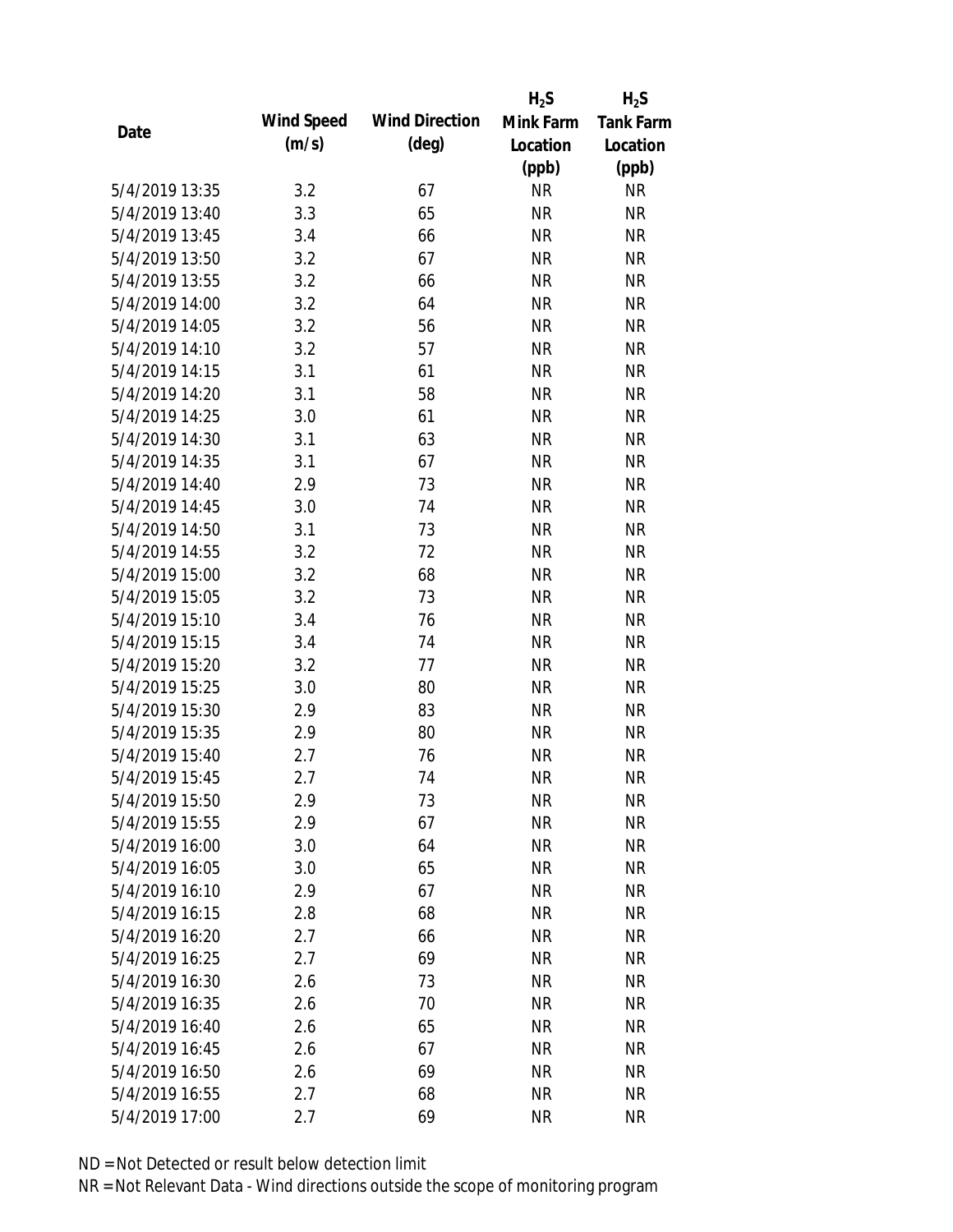|                |            |                       | $H_2S$    | $H_2S$           |
|----------------|------------|-----------------------|-----------|------------------|
|                | Wind Speed | <b>Wind Direction</b> | Mink Farm | <b>Tank Farm</b> |
| Date           | (m/s)      | $(\text{deg})$        | Location  | Location         |
|                |            |                       | (ppb)     | (ppb)            |
| 5/4/2019 13:35 | 3.2        | 67                    | <b>NR</b> | <b>NR</b>        |
| 5/4/2019 13:40 | 3.3        | 65                    | <b>NR</b> | <b>NR</b>        |
| 5/4/2019 13:45 | 3.4        | 66                    | <b>NR</b> | <b>NR</b>        |
| 5/4/2019 13:50 | 3.2        | 67                    | <b>NR</b> | <b>NR</b>        |
| 5/4/2019 13:55 | 3.2        | 66                    | <b>NR</b> | <b>NR</b>        |
| 5/4/2019 14:00 | 3.2        | 64                    | <b>NR</b> | <b>NR</b>        |
| 5/4/2019 14:05 | 3.2        | 56                    | <b>NR</b> | <b>NR</b>        |
| 5/4/2019 14:10 | 3.2        | 57                    | <b>NR</b> | <b>NR</b>        |
| 5/4/2019 14:15 | 3.1        | 61                    | <b>NR</b> | <b>NR</b>        |
| 5/4/2019 14:20 | 3.1        | 58                    | <b>NR</b> | <b>NR</b>        |
| 5/4/2019 14:25 | 3.0        | 61                    | <b>NR</b> | <b>NR</b>        |
| 5/4/2019 14:30 | 3.1        | 63                    | <b>NR</b> | <b>NR</b>        |
| 5/4/2019 14:35 | 3.1        | 67                    | <b>NR</b> | <b>NR</b>        |
| 5/4/2019 14:40 | 2.9        | 73                    | <b>NR</b> | <b>NR</b>        |
| 5/4/2019 14:45 | 3.0        | 74                    | <b>NR</b> | <b>NR</b>        |
| 5/4/2019 14:50 | 3.1        | 73                    | <b>NR</b> | <b>NR</b>        |
| 5/4/2019 14:55 | 3.2        | 72                    | <b>NR</b> | <b>NR</b>        |
| 5/4/2019 15:00 | 3.2        | 68                    | <b>NR</b> | <b>NR</b>        |
| 5/4/2019 15:05 | 3.2        | 73                    | <b>NR</b> | <b>NR</b>        |
| 5/4/2019 15:10 | 3.4        | 76                    | <b>NR</b> | <b>NR</b>        |
| 5/4/2019 15:15 | 3.4        | 74                    | <b>NR</b> | <b>NR</b>        |
| 5/4/2019 15:20 | 3.2        | 77                    | <b>NR</b> | <b>NR</b>        |
| 5/4/2019 15:25 | 3.0        | 80                    | <b>NR</b> | <b>NR</b>        |
| 5/4/2019 15:30 | 2.9        | 83                    | <b>NR</b> | <b>NR</b>        |
| 5/4/2019 15:35 | 2.9        | 80                    | <b>NR</b> | <b>NR</b>        |
| 5/4/2019 15:40 | 2.7        | 76                    | <b>NR</b> | <b>NR</b>        |
| 5/4/2019 15:45 | 2.7        | 74                    | <b>NR</b> | <b>NR</b>        |
| 5/4/2019 15:50 | 2.9        | 73                    | <b>NR</b> | <b>NR</b>        |
| 5/4/2019 15:55 | 2.9        | 67                    | <b>NR</b> | <b>NR</b>        |
| 5/4/2019 16:00 | 3.0        | 64                    | <b>NR</b> | <b>NR</b>        |
| 5/4/2019 16:05 | 3.0        | 65                    | <b>NR</b> | <b>NR</b>        |
| 5/4/2019 16:10 | 2.9        | 67                    | <b>NR</b> | <b>NR</b>        |
| 5/4/2019 16:15 | 2.8        | 68                    | <b>NR</b> | <b>NR</b>        |
| 5/4/2019 16:20 | 2.7        | 66                    | <b>NR</b> | <b>NR</b>        |
| 5/4/2019 16:25 | 2.7        | 69                    | <b>NR</b> | <b>NR</b>        |
| 5/4/2019 16:30 | 2.6        | 73                    | <b>NR</b> | <b>NR</b>        |
| 5/4/2019 16:35 | 2.6        | 70                    | <b>NR</b> | <b>NR</b>        |
| 5/4/2019 16:40 | 2.6        | 65                    | <b>NR</b> | <b>NR</b>        |
| 5/4/2019 16:45 | 2.6        | 67                    | <b>NR</b> | <b>NR</b>        |
| 5/4/2019 16:50 | 2.6        | 69                    | <b>NR</b> | <b>NR</b>        |
| 5/4/2019 16:55 | 2.7        | 68                    | <b>NR</b> | <b>NR</b>        |
| 5/4/2019 17:00 | 2.7        | 69                    | <b>NR</b> | <b>NR</b>        |
|                |            |                       |           |                  |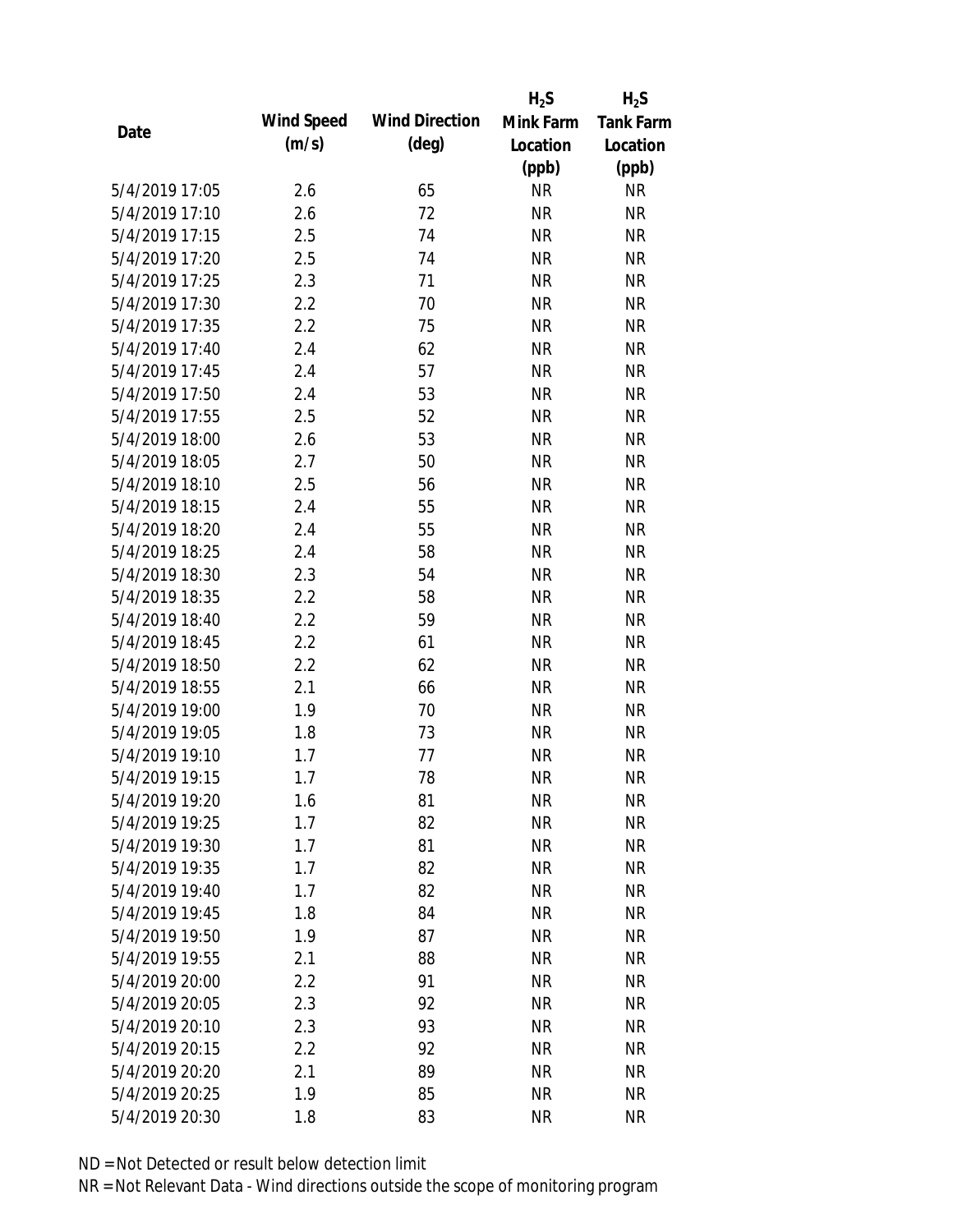|                |            |                       | $H_2S$    | $H_2S$           |
|----------------|------------|-----------------------|-----------|------------------|
|                | Wind Speed | <b>Wind Direction</b> | Mink Farm | <b>Tank Farm</b> |
| Date           | (m/s)      | $(\text{deg})$        | Location  | Location         |
|                |            |                       | (ppb)     | (ppb)            |
| 5/4/2019 17:05 | 2.6        | 65                    | <b>NR</b> | <b>NR</b>        |
| 5/4/2019 17:10 | 2.6        | 72                    | <b>NR</b> | <b>NR</b>        |
| 5/4/2019 17:15 | 2.5        | 74                    | <b>NR</b> | <b>NR</b>        |
| 5/4/2019 17:20 | 2.5        | 74                    | <b>NR</b> | <b>NR</b>        |
| 5/4/2019 17:25 | 2.3        | 71                    | <b>NR</b> | <b>NR</b>        |
| 5/4/2019 17:30 | 2.2        | 70                    | <b>NR</b> | <b>NR</b>        |
| 5/4/2019 17:35 | 2.2        | 75                    | <b>NR</b> | <b>NR</b>        |
| 5/4/2019 17:40 | 2.4        | 62                    | <b>NR</b> | <b>NR</b>        |
| 5/4/2019 17:45 | 2.4        | 57                    | <b>NR</b> | <b>NR</b>        |
| 5/4/2019 17:50 | 2.4        | 53                    | <b>NR</b> | <b>NR</b>        |
| 5/4/2019 17:55 | 2.5        | 52                    | <b>NR</b> | <b>NR</b>        |
| 5/4/2019 18:00 | 2.6        | 53                    | <b>NR</b> | <b>NR</b>        |
| 5/4/2019 18:05 | 2.7        | 50                    | <b>NR</b> | <b>NR</b>        |
| 5/4/2019 18:10 | 2.5        | 56                    | <b>NR</b> | <b>NR</b>        |
| 5/4/2019 18:15 | 2.4        | 55                    | <b>NR</b> | <b>NR</b>        |
| 5/4/2019 18:20 | 2.4        | 55                    | <b>NR</b> | <b>NR</b>        |
| 5/4/2019 18:25 | 2.4        | 58                    | <b>NR</b> | <b>NR</b>        |
| 5/4/2019 18:30 | 2.3        | 54                    | <b>NR</b> | <b>NR</b>        |
| 5/4/2019 18:35 | 2.2        | 58                    | <b>NR</b> | <b>NR</b>        |
| 5/4/2019 18:40 | 2.2        | 59                    | <b>NR</b> | <b>NR</b>        |
| 5/4/2019 18:45 | 2.2        | 61                    | <b>NR</b> | <b>NR</b>        |
| 5/4/2019 18:50 | 2.2        | 62                    | <b>NR</b> | <b>NR</b>        |
| 5/4/2019 18:55 | 2.1        | 66                    | <b>NR</b> | <b>NR</b>        |
| 5/4/2019 19:00 | 1.9        | 70                    | <b>NR</b> | <b>NR</b>        |
| 5/4/2019 19:05 | 1.8        | 73                    | <b>NR</b> | <b>NR</b>        |
| 5/4/2019 19:10 | 1.7        | 77                    | <b>NR</b> | <b>NR</b>        |
| 5/4/2019 19:15 | 1.7        | 78                    | <b>NR</b> | <b>NR</b>        |
| 5/4/2019 19:20 | 1.6        | 81                    | <b>NR</b> | <b>NR</b>        |
| 5/4/2019 19:25 | 1.7        | 82                    | <b>NR</b> | <b>NR</b>        |
| 5/4/2019 19:30 | 1.7        | 81                    | <b>NR</b> | <b>NR</b>        |
| 5/4/2019 19:35 | 1.7        | 82                    | <b>NR</b> | <b>NR</b>        |
| 5/4/2019 19:40 | 1.7        | 82                    | <b>NR</b> | <b>NR</b>        |
| 5/4/2019 19:45 | 1.8        | 84                    | <b>NR</b> | <b>NR</b>        |
| 5/4/2019 19:50 | 1.9        | 87                    | <b>NR</b> | <b>NR</b>        |
| 5/4/2019 19:55 | 2.1        | 88                    | <b>NR</b> | <b>NR</b>        |
| 5/4/2019 20:00 | 2.2        | 91                    | <b>NR</b> | <b>NR</b>        |
| 5/4/2019 20:05 | 2.3        | 92                    | <b>NR</b> | <b>NR</b>        |
| 5/4/2019 20:10 | 2.3        | 93                    | <b>NR</b> | <b>NR</b>        |
| 5/4/2019 20:15 | 2.2        | 92                    | <b>NR</b> | <b>NR</b>        |
| 5/4/2019 20:20 | 2.1        | 89                    | <b>NR</b> | <b>NR</b>        |
| 5/4/2019 20:25 | 1.9        | 85                    | <b>NR</b> | <b>NR</b>        |
| 5/4/2019 20:30 | 1.8        | 83                    | <b>NR</b> | <b>NR</b>        |
|                |            |                       |           |                  |